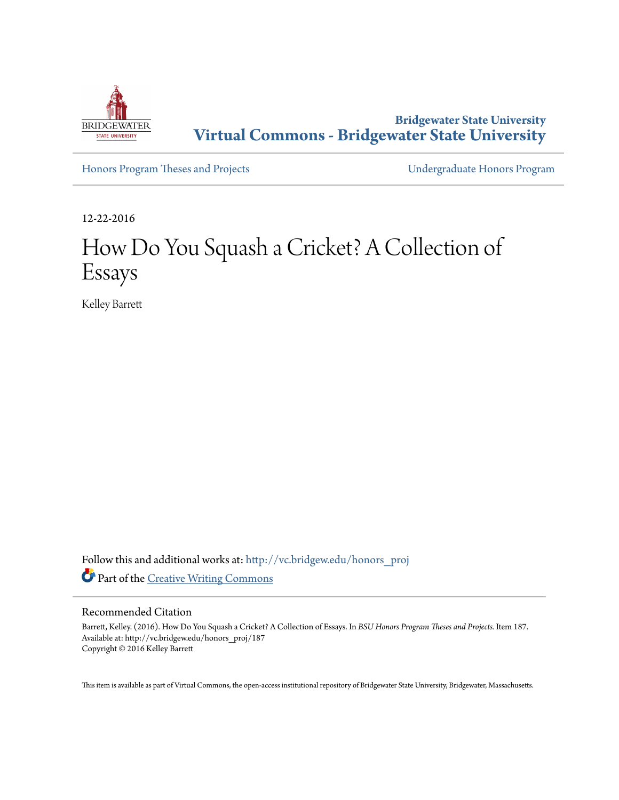

**Bridgewater State University [Virtual Commons - Bridgewater State University](http://vc.bridgew.edu?utm_source=vc.bridgew.edu%2Fhonors_proj%2F187&utm_medium=PDF&utm_campaign=PDFCoverPages)**

[Honors Program Theses and Projects](http://vc.bridgew.edu/honors_proj?utm_source=vc.bridgew.edu%2Fhonors_proj%2F187&utm_medium=PDF&utm_campaign=PDFCoverPages) [Undergraduate Honors Program](http://vc.bridgew.edu/honors?utm_source=vc.bridgew.edu%2Fhonors_proj%2F187&utm_medium=PDF&utm_campaign=PDFCoverPages)

12-22-2016

# How Do You Squash a Cricket? A Collection of Essays

Kelley Barrett

Follow this and additional works at: [http://vc.bridgew.edu/honors\\_proj](http://vc.bridgew.edu/honors_proj?utm_source=vc.bridgew.edu%2Fhonors_proj%2F187&utm_medium=PDF&utm_campaign=PDFCoverPages) Part of the [Creative Writing Commons](http://network.bepress.com/hgg/discipline/574?utm_source=vc.bridgew.edu%2Fhonors_proj%2F187&utm_medium=PDF&utm_campaign=PDFCoverPages)

### Recommended Citation

Barrett, Kelley. (2016). How Do You Squash a Cricket? A Collection of Essays. In *BSU Honors Program Theses and Projects.* Item 187. Available at: http://vc.bridgew.edu/honors\_proj/187 Copyright © 2016 Kelley Barrett

This item is available as part of Virtual Commons, the open-access institutional repository of Bridgewater State University, Bridgewater, Massachusetts.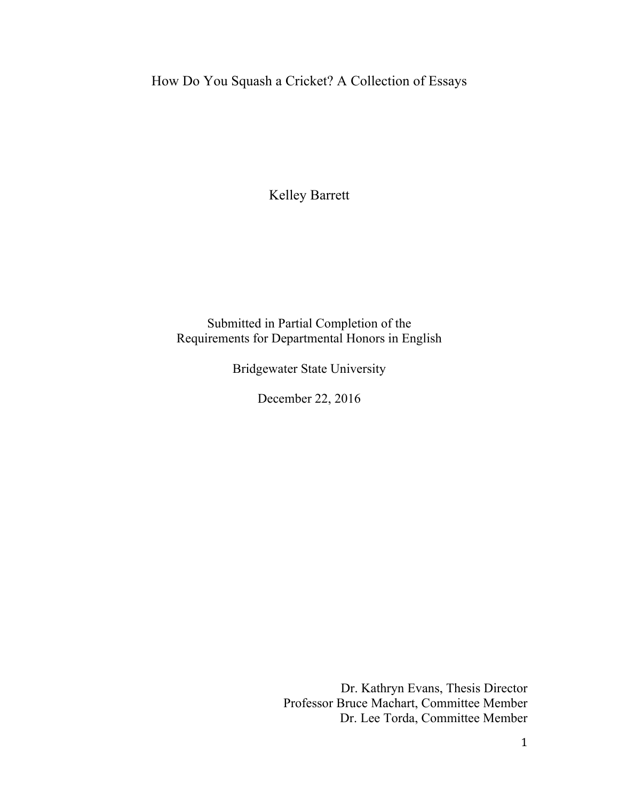How Do You Squash a Cricket? A Collection of Essays

Kelley Barrett

Submitted in Partial Completion of the Requirements for Departmental Honors in English

Bridgewater State University

December 22, 2016

Dr. Kathryn Evans, Thesis Director Professor Bruce Machart, Committee Member Dr. Lee Torda, Committee Member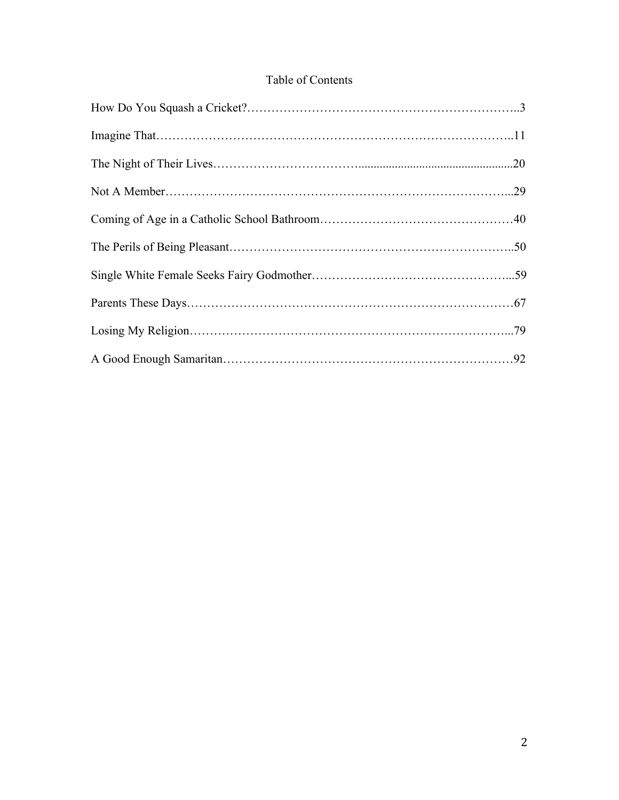## Table of Contents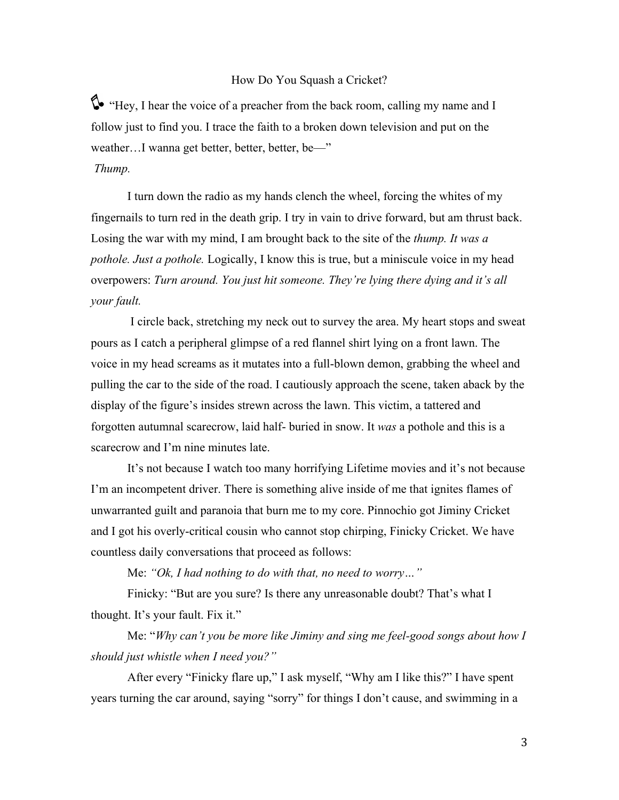### How Do You Squash a Cricket?

 "Hey, I hear the voice of a preacher from the back room, calling my name and I follow just to find you. I trace the faith to a broken down television and put on the weather...I wanna get better, better, better, be—" *Thump.* 

I turn down the radio as my hands clench the wheel, forcing the whites of my fingernails to turn red in the death grip. I try in vain to drive forward, but am thrust back. Losing the war with my mind, I am brought back to the site of the *thump. It was a pothole. Just a pothole.* Logically, I know this is true, but a miniscule voice in my head overpowers: *Turn around. You just hit someone. They're lying there dying and it's all your fault.*

I circle back, stretching my neck out to survey the area. My heart stops and sweat pours as I catch a peripheral glimpse of a red flannel shirt lying on a front lawn. The voice in my head screams as it mutates into a full-blown demon, grabbing the wheel and pulling the car to the side of the road. I cautiously approach the scene, taken aback by the display of the figure's insides strewn across the lawn. This victim, a tattered and forgotten autumnal scarecrow, laid half- buried in snow. It *was* a pothole and this is a scarecrow and I'm nine minutes late.

It's not because I watch too many horrifying Lifetime movies and it's not because I'm an incompetent driver. There is something alive inside of me that ignites flames of unwarranted guilt and paranoia that burn me to my core. Pinnochio got Jiminy Cricket and I got his overly-critical cousin who cannot stop chirping, Finicky Cricket. We have countless daily conversations that proceed as follows:

Me: *"Ok, I had nothing to do with that, no need to worry…"*

Finicky: "But are you sure? Is there any unreasonable doubt? That's what I thought. It's your fault. Fix it."

Me: "*Why can't you be more like Jiminy and sing me feel-good songs about how I should just whistle when I need you?"*

After every "Finicky flare up," I ask myself, "Why am I like this?" I have spent years turning the car around, saying "sorry" for things I don't cause, and swimming in a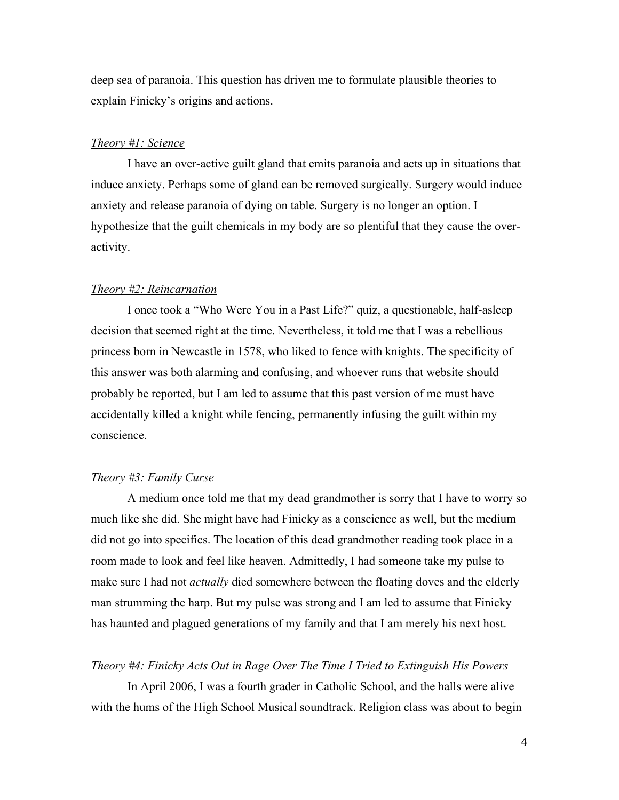deep sea of paranoia. This question has driven me to formulate plausible theories to explain Finicky's origins and actions.

### *Theory #1: Science*

I have an over-active guilt gland that emits paranoia and acts up in situations that induce anxiety. Perhaps some of gland can be removed surgically. Surgery would induce anxiety and release paranoia of dying on table. Surgery is no longer an option. I hypothesize that the guilt chemicals in my body are so plentiful that they cause the overactivity.

### *Theory #2: Reincarnation*

I once took a "Who Were You in a Past Life?" quiz, a questionable, half-asleep decision that seemed right at the time. Nevertheless, it told me that I was a rebellious princess born in Newcastle in 1578, who liked to fence with knights. The specificity of this answer was both alarming and confusing, and whoever runs that website should probably be reported, but I am led to assume that this past version of me must have accidentally killed a knight while fencing, permanently infusing the guilt within my conscience.

### *Theory #3: Family Curse*

A medium once told me that my dead grandmother is sorry that I have to worry so much like she did. She might have had Finicky as a conscience as well, but the medium did not go into specifics. The location of this dead grandmother reading took place in a room made to look and feel like heaven. Admittedly, I had someone take my pulse to make sure I had not *actually* died somewhere between the floating doves and the elderly man strumming the harp. But my pulse was strong and I am led to assume that Finicky has haunted and plagued generations of my family and that I am merely his next host.

### *Theory #4: Finicky Acts Out in Rage Over The Time I Tried to Extinguish His Powers*

In April 2006, I was a fourth grader in Catholic School, and the halls were alive with the hums of the High School Musical soundtrack. Religion class was about to begin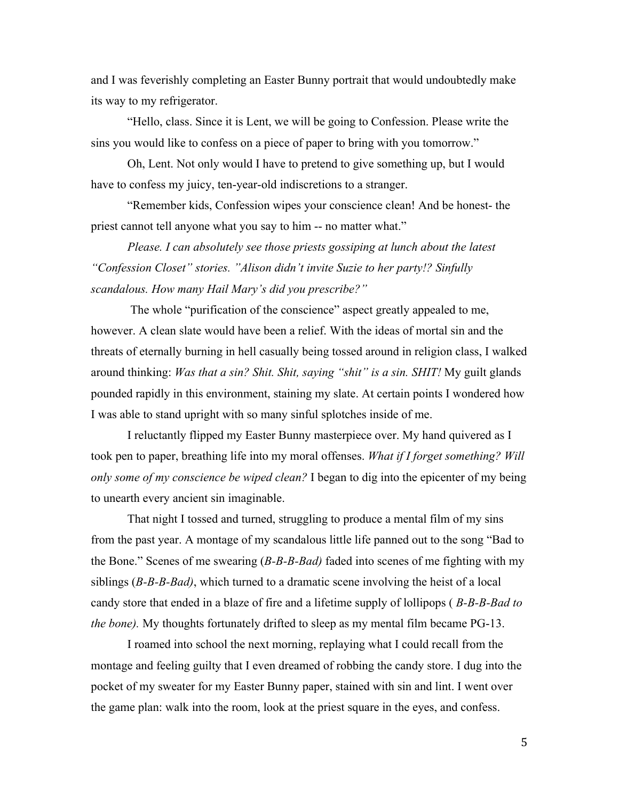and I was feverishly completing an Easter Bunny portrait that would undoubtedly make its way to my refrigerator.

"Hello, class. Since it is Lent, we will be going to Confession. Please write the sins you would like to confess on a piece of paper to bring with you tomorrow."

Oh, Lent. Not only would I have to pretend to give something up, but I would have to confess my juicy, ten-year-old indiscretions to a stranger.

"Remember kids, Confession wipes your conscience clean! And be honest- the priest cannot tell anyone what you say to him -- no matter what."

*Please. I can absolutely see those priests gossiping at lunch about the latest "Confession Closet" stories. "Alison didn't invite Suzie to her party!? Sinfully scandalous. How many Hail Mary's did you prescribe?"* 

The whole "purification of the conscience" aspect greatly appealed to me, however. A clean slate would have been a relief. With the ideas of mortal sin and the threats of eternally burning in hell casually being tossed around in religion class, I walked around thinking: *Was that a sin? Shit. Shit, saying "shit" is a sin. SHIT!* My guilt glands pounded rapidly in this environment, staining my slate. At certain points I wondered how I was able to stand upright with so many sinful splotches inside of me.

I reluctantly flipped my Easter Bunny masterpiece over. My hand quivered as I took pen to paper, breathing life into my moral offenses. *What if I forget something? Will only some of my conscience be wiped clean?* I began to dig into the epicenter of my being to unearth every ancient sin imaginable.

That night I tossed and turned, struggling to produce a mental film of my sins from the past year. A montage of my scandalous little life panned out to the song "Bad to the Bone." Scenes of me swearing (*B-B-B-Bad)* faded into scenes of me fighting with my siblings (*B-B-B-Bad)*, which turned to a dramatic scene involving the heist of a local candy store that ended in a blaze of fire and a lifetime supply of lollipops ( *B-B-B-Bad to the bone).* My thoughts fortunately drifted to sleep as my mental film became PG-13.

I roamed into school the next morning, replaying what I could recall from the montage and feeling guilty that I even dreamed of robbing the candy store. I dug into the pocket of my sweater for my Easter Bunny paper, stained with sin and lint. I went over the game plan: walk into the room, look at the priest square in the eyes, and confess.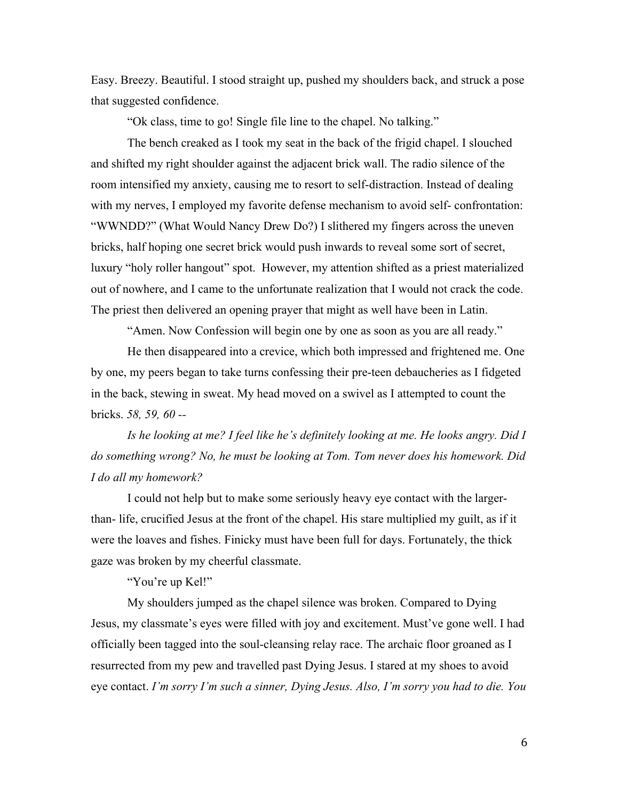Easy. Breezy. Beautiful. I stood straight up, pushed my shoulders back, and struck a pose that suggested confidence.

"Ok class, time to go! Single file line to the chapel. No talking."

The bench creaked as I took my seat in the back of the frigid chapel. I slouched and shifted my right shoulder against the adjacent brick wall. The radio silence of the room intensified my anxiety, causing me to resort to self-distraction. Instead of dealing with my nerves, I employed my favorite defense mechanism to avoid self- confrontation: "WWNDD?" (What Would Nancy Drew Do?) I slithered my fingers across the uneven bricks, half hoping one secret brick would push inwards to reveal some sort of secret, luxury "holy roller hangout" spot. However, my attention shifted as a priest materialized out of nowhere, and I came to the unfortunate realization that I would not crack the code. The priest then delivered an opening prayer that might as well have been in Latin.

"Amen. Now Confession will begin one by one as soon as you are all ready."

He then disappeared into a crevice, which both impressed and frightened me. One by one, my peers began to take turns confessing their pre-teen debaucheries as I fidgeted in the back, stewing in sweat. My head moved on a swivel as I attempted to count the bricks. *58, 59, 60 --*

*Is he looking at me? I feel like he's definitely looking at me. He looks angry. Did I do something wrong? No, he must be looking at Tom. Tom never does his homework. Did I do all my homework?*

I could not help but to make some seriously heavy eye contact with the largerthan- life, crucified Jesus at the front of the chapel. His stare multiplied my guilt, as if it were the loaves and fishes. Finicky must have been full for days. Fortunately, the thick gaze was broken by my cheerful classmate.

"You're up Kel!"

My shoulders jumped as the chapel silence was broken. Compared to Dying Jesus, my classmate's eyes were filled with joy and excitement. Must've gone well. I had officially been tagged into the soul-cleansing relay race. The archaic floor groaned as I resurrected from my pew and travelled past Dying Jesus. I stared at my shoes to avoid eye contact. *I'm sorry I'm such a sinner, Dying Jesus. Also, I'm sorry you had to die. You*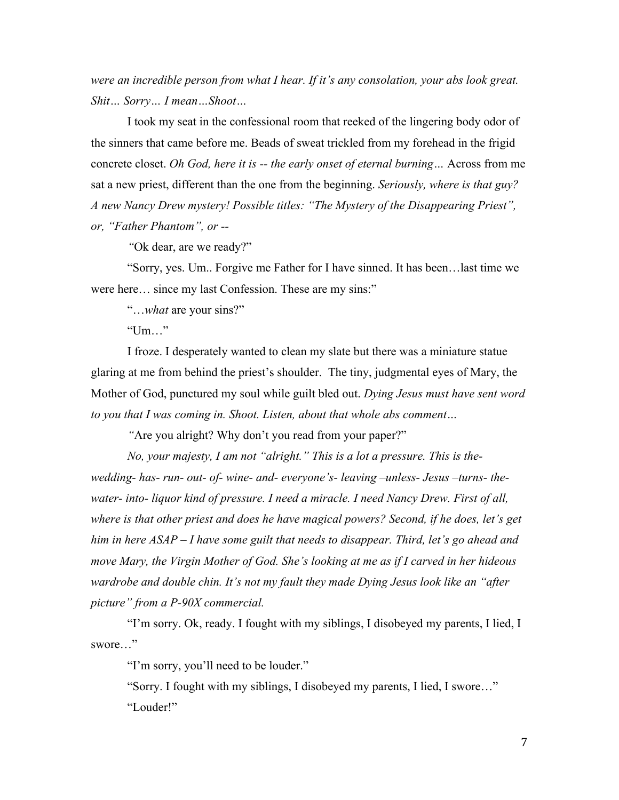*were an incredible person from what I hear. If it's any consolation, your abs look great. Shit… Sorry… I mean…Shoot…*

I took my seat in the confessional room that reeked of the lingering body odor of the sinners that came before me. Beads of sweat trickled from my forehead in the frigid concrete closet. *Oh God, here it is -- the early onset of eternal burning…* Across from me sat a new priest, different than the one from the beginning. *Seriously, where is that guy? A new Nancy Drew mystery! Possible titles: "The Mystery of the Disappearing Priest", or, "Father Phantom", or --*

*"*Ok dear, are we ready?"

"Sorry, yes. Um.. Forgive me Father for I have sinned. It has been…last time we were here… since my last Confession. These are my sins:"

"…*what* are your sins?"

"Um…"

I froze. I desperately wanted to clean my slate but there was a miniature statue glaring at me from behind the priest's shoulder. The tiny, judgmental eyes of Mary, the Mother of God, punctured my soul while guilt bled out. *Dying Jesus must have sent word to you that I was coming in. Shoot. Listen, about that whole abs comment…* 

*"*Are you alright? Why don't you read from your paper?"

*No, your majesty, I am not "alright." This is a lot a pressure. This is thewedding- has- run- out- of- wine- and- everyone's- leaving –unless- Jesus –turns- thewater- into- liquor kind of pressure. I need a miracle. I need Nancy Drew. First of all, where is that other priest and does he have magical powers? Second, if he does, let's get him in here ASAP – I have some guilt that needs to disappear. Third, let's go ahead and move Mary, the Virgin Mother of God. She's looking at me as if I carved in her hideous wardrobe and double chin. It's not my fault they made Dying Jesus look like an "after picture" from a P-90X commercial.* 

"I'm sorry. Ok, ready. I fought with my siblings, I disobeyed my parents, I lied, I swore…"

"I'm sorry, you'll need to be louder."

"Sorry. I fought with my siblings, I disobeyed my parents, I lied, I swore…" "Louder!"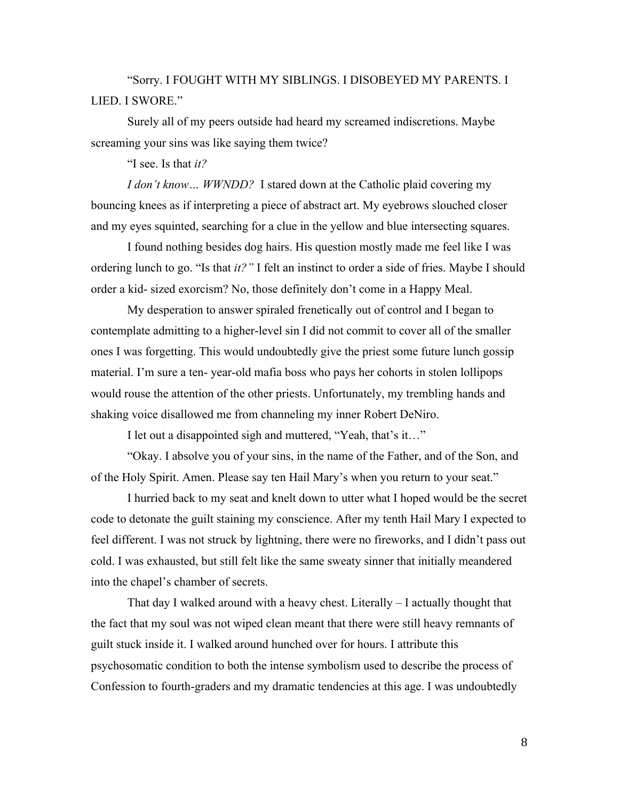### "Sorry. I FOUGHT WITH MY SIBLINGS. I DISOBEYED MY PARENTS. I LIED. I SWORE."

Surely all of my peers outside had heard my screamed indiscretions. Maybe screaming your sins was like saying them twice?

"I see. Is that *it?*

*I don't know… WWNDD?* I stared down at the Catholic plaid covering my bouncing knees as if interpreting a piece of abstract art. My eyebrows slouched closer and my eyes squinted, searching for a clue in the yellow and blue intersecting squares.

I found nothing besides dog hairs. His question mostly made me feel like I was ordering lunch to go. "Is that *it?"* I felt an instinct to order a side of fries. Maybe I should order a kid- sized exorcism? No, those definitely don't come in a Happy Meal.

My desperation to answer spiraled frenetically out of control and I began to contemplate admitting to a higher-level sin I did not commit to cover all of the smaller ones I was forgetting. This would undoubtedly give the priest some future lunch gossip material. I'm sure a ten- year-old mafia boss who pays her cohorts in stolen lollipops would rouse the attention of the other priests. Unfortunately, my trembling hands and shaking voice disallowed me from channeling my inner Robert DeNiro.

I let out a disappointed sigh and muttered, "Yeah, that's it…"

"Okay. I absolve you of your sins, in the name of the Father, and of the Son, and of the Holy Spirit. Amen. Please say ten Hail Mary's when you return to your seat."

I hurried back to my seat and knelt down to utter what I hoped would be the secret code to detonate the guilt staining my conscience. After my tenth Hail Mary I expected to feel different. I was not struck by lightning, there were no fireworks, and I didn't pass out cold. I was exhausted, but still felt like the same sweaty sinner that initially meandered into the chapel's chamber of secrets.

That day I walked around with a heavy chest. Literally  $-I$  actually thought that the fact that my soul was not wiped clean meant that there were still heavy remnants of guilt stuck inside it. I walked around hunched over for hours. I attribute this psychosomatic condition to both the intense symbolism used to describe the process of Confession to fourth-graders and my dramatic tendencies at this age. I was undoubtedly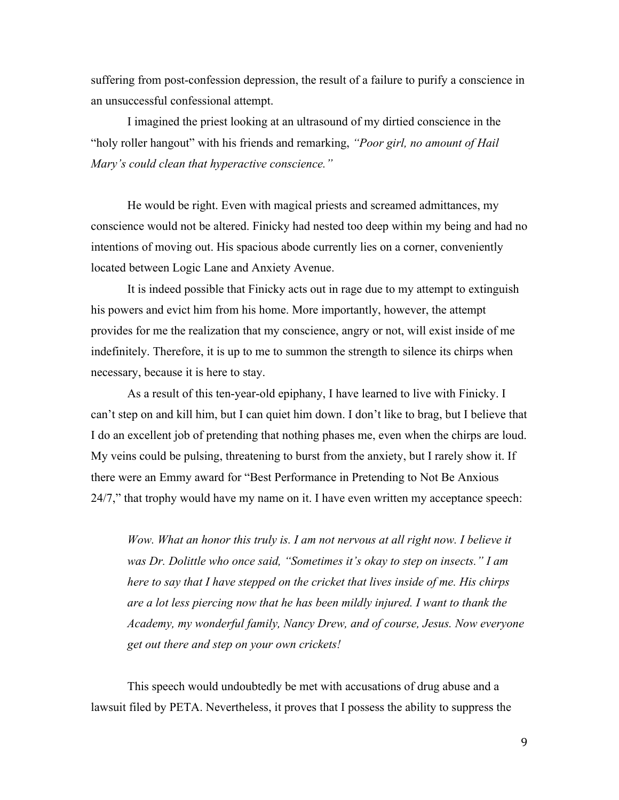suffering from post-confession depression, the result of a failure to purify a conscience in an unsuccessful confessional attempt.

I imagined the priest looking at an ultrasound of my dirtied conscience in the "holy roller hangout" with his friends and remarking, *"Poor girl, no amount of Hail Mary's could clean that hyperactive conscience."*

He would be right. Even with magical priests and screamed admittances, my conscience would not be altered. Finicky had nested too deep within my being and had no intentions of moving out. His spacious abode currently lies on a corner, conveniently located between Logic Lane and Anxiety Avenue.

It is indeed possible that Finicky acts out in rage due to my attempt to extinguish his powers and evict him from his home. More importantly, however, the attempt provides for me the realization that my conscience, angry or not, will exist inside of me indefinitely. Therefore, it is up to me to summon the strength to silence its chirps when necessary, because it is here to stay.

As a result of this ten-year-old epiphany, I have learned to live with Finicky. I can't step on and kill him, but I can quiet him down. I don't like to brag, but I believe that I do an excellent job of pretending that nothing phases me, even when the chirps are loud. My veins could be pulsing, threatening to burst from the anxiety, but I rarely show it. If there were an Emmy award for "Best Performance in Pretending to Not Be Anxious 24/7," that trophy would have my name on it. I have even written my acceptance speech:

*Wow. What an honor this truly is. I am not nervous at all right now. I believe it was Dr. Dolittle who once said, "Sometimes it's okay to step on insects." I am here to say that I have stepped on the cricket that lives inside of me. His chirps are a lot less piercing now that he has been mildly injured. I want to thank the Academy, my wonderful family, Nancy Drew, and of course, Jesus. Now everyone get out there and step on your own crickets!*

This speech would undoubtedly be met with accusations of drug abuse and a lawsuit filed by PETA. Nevertheless, it proves that I possess the ability to suppress the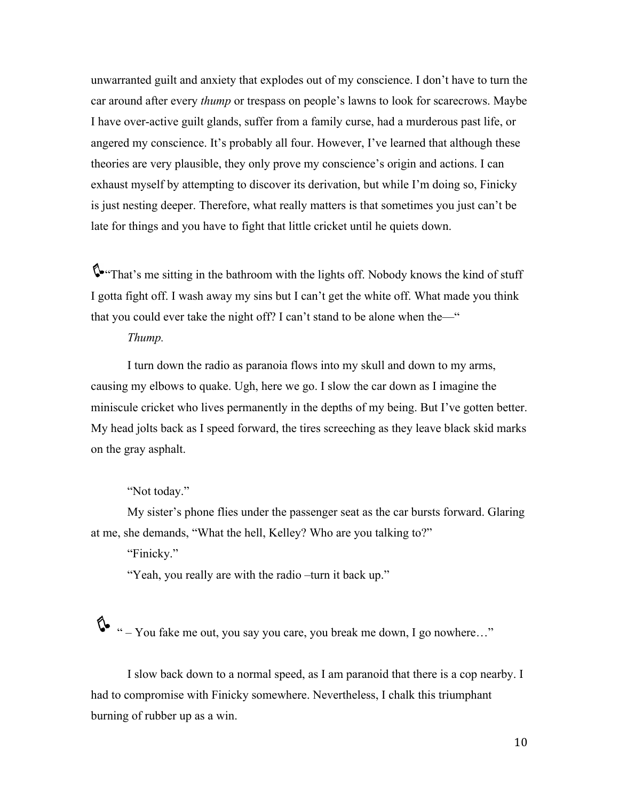unwarranted guilt and anxiety that explodes out of my conscience. I don't have to turn the car around after every *thump* or trespass on people's lawns to look for scarecrows. Maybe I have over-active guilt glands, suffer from a family curse, had a murderous past life, or angered my conscience. It's probably all four. However, I've learned that although these theories are very plausible, they only prove my conscience's origin and actions. I can exhaust myself by attempting to discover its derivation, but while I'm doing so, Finicky is just nesting deeper. Therefore, what really matters is that sometimes you just can't be late for things and you have to fight that little cricket until he quiets down.

"That's me sitting in the bathroom with the lights off. Nobody knows the kind of stuff I gotta fight off. I wash away my sins but I can't get the white off. What made you think that you could ever take the night off? I can't stand to be alone when the—"

### *Thump.*

I turn down the radio as paranoia flows into my skull and down to my arms, causing my elbows to quake. Ugh, here we go. I slow the car down as I imagine the miniscule cricket who lives permanently in the depths of my being. But I've gotten better. My head jolts back as I speed forward, the tires screeching as they leave black skid marks on the gray asphalt.

### "Not today."

My sister's phone flies under the passenger seat as the car bursts forward. Glaring at me, she demands, "What the hell, Kelley? Who are you talking to?"

"Finicky."

"Yeah, you really are with the radio –turn it back up."

" – You fake me out, you say you care, you break me down, I go nowhere…"

I slow back down to a normal speed, as I am paranoid that there is a cop nearby. I had to compromise with Finicky somewhere. Nevertheless, I chalk this triumphant burning of rubber up as a win.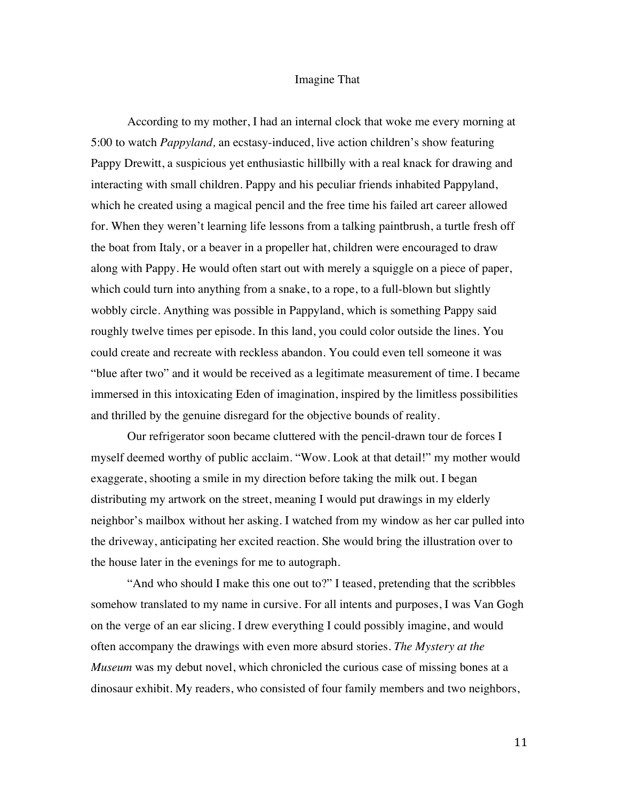#### Imagine That

According to my mother, I had an internal clock that woke me every morning at 5:00 to watch *Pappyland,* an ecstasy-induced, live action children's show featuring Pappy Drewitt, a suspicious yet enthusiastic hillbilly with a real knack for drawing and interacting with small children. Pappy and his peculiar friends inhabited Pappyland, which he created using a magical pencil and the free time his failed art career allowed for. When they weren't learning life lessons from a talking paintbrush, a turtle fresh off the boat from Italy, or a beaver in a propeller hat, children were encouraged to draw along with Pappy. He would often start out with merely a squiggle on a piece of paper, which could turn into anything from a snake, to a rope, to a full-blown but slightly wobbly circle. Anything was possible in Pappyland, which is something Pappy said roughly twelve times per episode. In this land, you could color outside the lines. You could create and recreate with reckless abandon. You could even tell someone it was "blue after two" and it would be received as a legitimate measurement of time. I became immersed in this intoxicating Eden of imagination, inspired by the limitless possibilities and thrilled by the genuine disregard for the objective bounds of reality.

Our refrigerator soon became cluttered with the pencil-drawn tour de forces I myself deemed worthy of public acclaim. "Wow. Look at that detail!" my mother would exaggerate, shooting a smile in my direction before taking the milk out. I began distributing my artwork on the street, meaning I would put drawings in my elderly neighbor's mailbox without her asking. I watched from my window as her car pulled into the driveway, anticipating her excited reaction. She would bring the illustration over to the house later in the evenings for me to autograph.

"And who should I make this one out to?" I teased, pretending that the scribbles somehow translated to my name in cursive. For all intents and purposes, I was Van Gogh on the verge of an ear slicing. I drew everything I could possibly imagine, and would often accompany the drawings with even more absurd stories. *The Mystery at the Museum* was my debut novel, which chronicled the curious case of missing bones at a dinosaur exhibit. My readers, who consisted of four family members and two neighbors,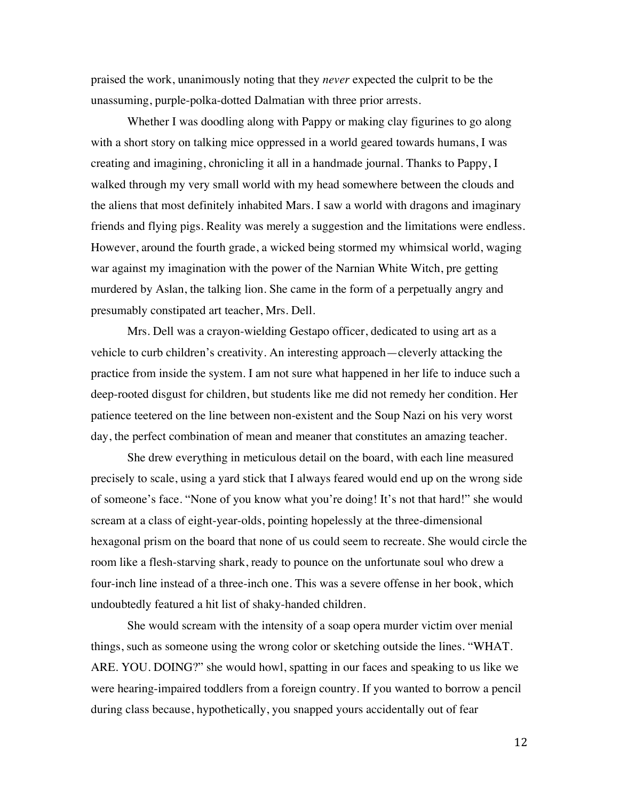praised the work, unanimously noting that they *never* expected the culprit to be the unassuming, purple-polka-dotted Dalmatian with three prior arrests.

Whether I was doodling along with Pappy or making clay figurines to go along with a short story on talking mice oppressed in a world geared towards humans, I was creating and imagining, chronicling it all in a handmade journal. Thanks to Pappy, I walked through my very small world with my head somewhere between the clouds and the aliens that most definitely inhabited Mars. I saw a world with dragons and imaginary friends and flying pigs. Reality was merely a suggestion and the limitations were endless. However, around the fourth grade, a wicked being stormed my whimsical world, waging war against my imagination with the power of the Narnian White Witch, pre getting murdered by Aslan, the talking lion. She came in the form of a perpetually angry and presumably constipated art teacher, Mrs. Dell.

Mrs. Dell was a crayon-wielding Gestapo officer, dedicated to using art as a vehicle to curb children's creativity. An interesting approach—cleverly attacking the practice from inside the system. I am not sure what happened in her life to induce such a deep-rooted disgust for children, but students like me did not remedy her condition. Her patience teetered on the line between non-existent and the Soup Nazi on his very worst day, the perfect combination of mean and meaner that constitutes an amazing teacher.

She drew everything in meticulous detail on the board, with each line measured precisely to scale, using a yard stick that I always feared would end up on the wrong side of someone's face. "None of you know what you're doing! It's not that hard!" she would scream at a class of eight-year-olds, pointing hopelessly at the three-dimensional hexagonal prism on the board that none of us could seem to recreate. She would circle the room like a flesh-starving shark, ready to pounce on the unfortunate soul who drew a four-inch line instead of a three-inch one. This was a severe offense in her book, which undoubtedly featured a hit list of shaky-handed children.

She would scream with the intensity of a soap opera murder victim over menial things, such as someone using the wrong color or sketching outside the lines. "WHAT. ARE. YOU. DOING?" she would howl, spatting in our faces and speaking to us like we were hearing-impaired toddlers from a foreign country. If you wanted to borrow a pencil during class because, hypothetically, you snapped yours accidentally out of fear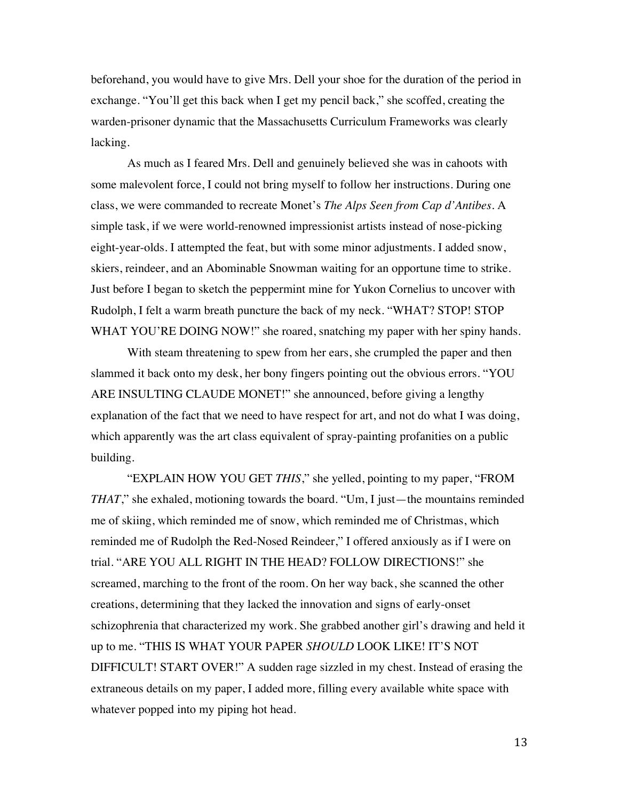beforehand, you would have to give Mrs. Dell your shoe for the duration of the period in exchange. "You'll get this back when I get my pencil back," she scoffed, creating the warden-prisoner dynamic that the Massachusetts Curriculum Frameworks was clearly lacking.

As much as I feared Mrs. Dell and genuinely believed she was in cahoots with some malevolent force, I could not bring myself to follow her instructions. During one class, we were commanded to recreate Monet's *The Alps Seen from Cap d'Antibes.* A simple task, if we were world-renowned impressionist artists instead of nose-picking eight-year-olds. I attempted the feat, but with some minor adjustments. I added snow, skiers, reindeer, and an Abominable Snowman waiting for an opportune time to strike. Just before I began to sketch the peppermint mine for Yukon Cornelius to uncover with Rudolph, I felt a warm breath puncture the back of my neck. "WHAT? STOP! STOP WHAT YOU'RE DOING NOW!" she roared, snatching my paper with her spiny hands.

With steam threatening to spew from her ears, she crumpled the paper and then slammed it back onto my desk, her bony fingers pointing out the obvious errors. "YOU ARE INSULTING CLAUDE MONET!" she announced, before giving a lengthy explanation of the fact that we need to have respect for art, and not do what I was doing, which apparently was the art class equivalent of spray-painting profanities on a public building.

"EXPLAIN HOW YOU GET *THIS*," she yelled, pointing to my paper, "FROM *THAT*," she exhaled, motioning towards the board. "Um, I just—the mountains reminded me of skiing, which reminded me of snow, which reminded me of Christmas, which reminded me of Rudolph the Red-Nosed Reindeer," I offered anxiously as if I were on trial. "ARE YOU ALL RIGHT IN THE HEAD? FOLLOW DIRECTIONS!" she screamed, marching to the front of the room. On her way back, she scanned the other creations, determining that they lacked the innovation and signs of early-onset schizophrenia that characterized my work. She grabbed another girl's drawing and held it up to me. "THIS IS WHAT YOUR PAPER *SHOULD* LOOK LIKE! IT'S NOT DIFFICULT! START OVER!" A sudden rage sizzled in my chest. Instead of erasing the extraneous details on my paper, I added more, filling every available white space with whatever popped into my piping hot head.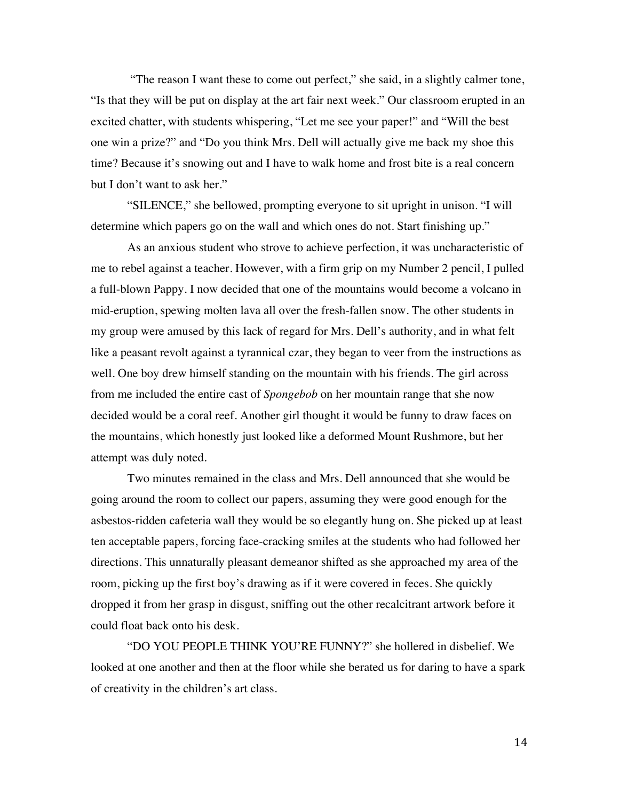"The reason I want these to come out perfect," she said, in a slightly calmer tone, "Is that they will be put on display at the art fair next week." Our classroom erupted in an excited chatter, with students whispering, "Let me see your paper!" and "Will the best one win a prize?" and "Do you think Mrs. Dell will actually give me back my shoe this time? Because it's snowing out and I have to walk home and frost bite is a real concern but I don't want to ask her."

"SILENCE," she bellowed, prompting everyone to sit upright in unison. "I will determine which papers go on the wall and which ones do not. Start finishing up."

As an anxious student who strove to achieve perfection, it was uncharacteristic of me to rebel against a teacher. However, with a firm grip on my Number 2 pencil, I pulled a full-blown Pappy. I now decided that one of the mountains would become a volcano in mid-eruption, spewing molten lava all over the fresh-fallen snow. The other students in my group were amused by this lack of regard for Mrs. Dell's authority, and in what felt like a peasant revolt against a tyrannical czar, they began to veer from the instructions as well. One boy drew himself standing on the mountain with his friends. The girl across from me included the entire cast of *Spongebob* on her mountain range that she now decided would be a coral reef. Another girl thought it would be funny to draw faces on the mountains, which honestly just looked like a deformed Mount Rushmore, but her attempt was duly noted.

Two minutes remained in the class and Mrs. Dell announced that she would be going around the room to collect our papers, assuming they were good enough for the asbestos-ridden cafeteria wall they would be so elegantly hung on. She picked up at least ten acceptable papers, forcing face-cracking smiles at the students who had followed her directions. This unnaturally pleasant demeanor shifted as she approached my area of the room, picking up the first boy's drawing as if it were covered in feces. She quickly dropped it from her grasp in disgust, sniffing out the other recalcitrant artwork before it could float back onto his desk.

"DO YOU PEOPLE THINK YOU'RE FUNNY?" she hollered in disbelief. We looked at one another and then at the floor while she berated us for daring to have a spark of creativity in the children's art class.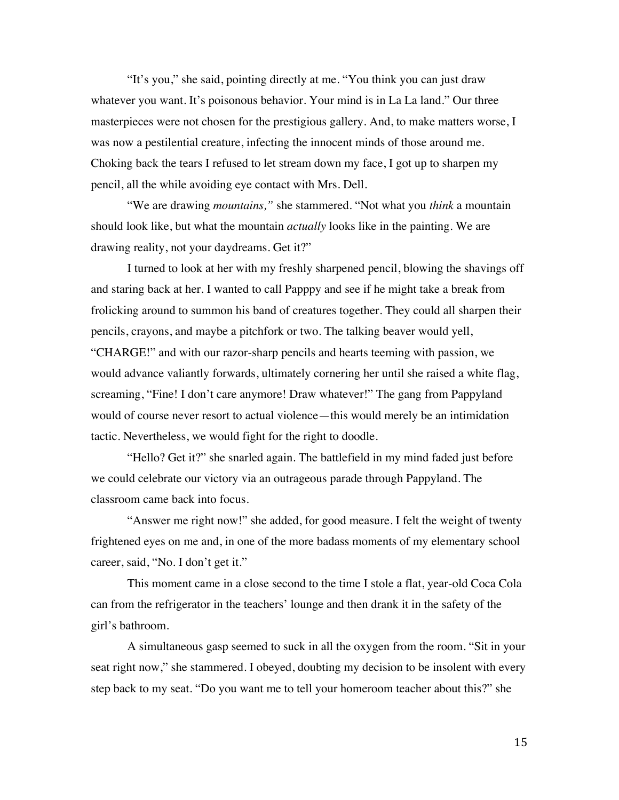"It's you," she said, pointing directly at me. "You think you can just draw whatever you want. It's poisonous behavior. Your mind is in La La land." Our three masterpieces were not chosen for the prestigious gallery. And, to make matters worse, I was now a pestilential creature, infecting the innocent minds of those around me. Choking back the tears I refused to let stream down my face, I got up to sharpen my pencil, all the while avoiding eye contact with Mrs. Dell.

"We are drawing *mountains,"* she stammered. "Not what you *think* a mountain should look like, but what the mountain *actually* looks like in the painting. We are drawing reality, not your daydreams. Get it?"

I turned to look at her with my freshly sharpened pencil, blowing the shavings off and staring back at her. I wanted to call Papppy and see if he might take a break from frolicking around to summon his band of creatures together. They could all sharpen their pencils, crayons, and maybe a pitchfork or two. The talking beaver would yell, "CHARGE!" and with our razor-sharp pencils and hearts teeming with passion, we would advance valiantly forwards, ultimately cornering her until she raised a white flag, screaming, "Fine! I don't care anymore! Draw whatever!" The gang from Pappyland would of course never resort to actual violence—this would merely be an intimidation tactic. Nevertheless, we would fight for the right to doodle.

"Hello? Get it?" she snarled again. The battlefield in my mind faded just before we could celebrate our victory via an outrageous parade through Pappyland. The classroom came back into focus.

"Answer me right now!" she added, for good measure. I felt the weight of twenty frightened eyes on me and, in one of the more badass moments of my elementary school career, said, "No. I don't get it."

This moment came in a close second to the time I stole a flat, year-old Coca Cola can from the refrigerator in the teachers' lounge and then drank it in the safety of the girl's bathroom.

A simultaneous gasp seemed to suck in all the oxygen from the room. "Sit in your seat right now," she stammered. I obeyed, doubting my decision to be insolent with every step back to my seat. "Do you want me to tell your homeroom teacher about this?" she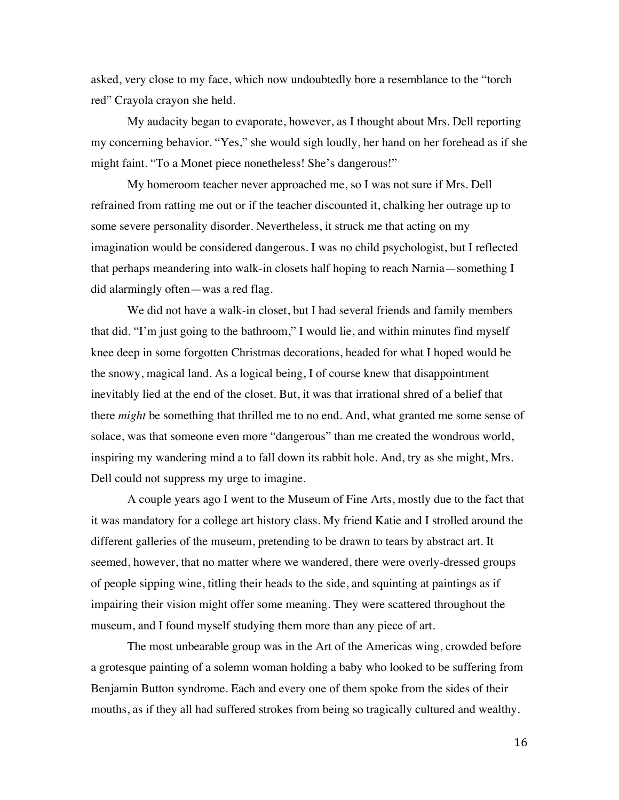asked, very close to my face, which now undoubtedly bore a resemblance to the "torch red" Crayola crayon she held.

My audacity began to evaporate, however, as I thought about Mrs. Dell reporting my concerning behavior. "Yes," she would sigh loudly, her hand on her forehead as if she might faint. "To a Monet piece nonetheless! She's dangerous!"

My homeroom teacher never approached me, so I was not sure if Mrs. Dell refrained from ratting me out or if the teacher discounted it, chalking her outrage up to some severe personality disorder. Nevertheless, it struck me that acting on my imagination would be considered dangerous. I was no child psychologist, but I reflected that perhaps meandering into walk-in closets half hoping to reach Narnia—something I did alarmingly often—was a red flag.

We did not have a walk-in closet, but I had several friends and family members that did. "I'm just going to the bathroom," I would lie, and within minutes find myself knee deep in some forgotten Christmas decorations, headed for what I hoped would be the snowy, magical land. As a logical being, I of course knew that disappointment inevitably lied at the end of the closet. But, it was that irrational shred of a belief that there *might* be something that thrilled me to no end. And, what granted me some sense of solace, was that someone even more "dangerous" than me created the wondrous world, inspiring my wandering mind a to fall down its rabbit hole. And, try as she might, Mrs. Dell could not suppress my urge to imagine.

A couple years ago I went to the Museum of Fine Arts, mostly due to the fact that it was mandatory for a college art history class. My friend Katie and I strolled around the different galleries of the museum, pretending to be drawn to tears by abstract art. It seemed, however, that no matter where we wandered, there were overly-dressed groups of people sipping wine, titling their heads to the side, and squinting at paintings as if impairing their vision might offer some meaning. They were scattered throughout the museum, and I found myself studying them more than any piece of art.

The most unbearable group was in the Art of the Americas wing, crowded before a grotesque painting of a solemn woman holding a baby who looked to be suffering from Benjamin Button syndrome. Each and every one of them spoke from the sides of their mouths, as if they all had suffered strokes from being so tragically cultured and wealthy.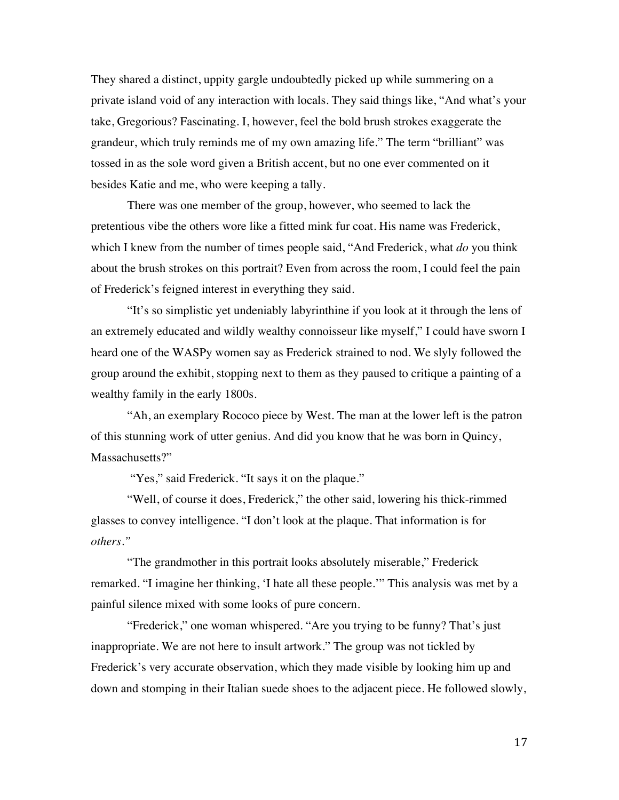They shared a distinct, uppity gargle undoubtedly picked up while summering on a private island void of any interaction with locals. They said things like, "And what's your take, Gregorious? Fascinating. I, however, feel the bold brush strokes exaggerate the grandeur, which truly reminds me of my own amazing life." The term "brilliant" was tossed in as the sole word given a British accent, but no one ever commented on it besides Katie and me, who were keeping a tally.

There was one member of the group, however, who seemed to lack the pretentious vibe the others wore like a fitted mink fur coat. His name was Frederick, which I knew from the number of times people said, "And Frederick, what *do* you think about the brush strokes on this portrait? Even from across the room, I could feel the pain of Frederick's feigned interest in everything they said.

"It's so simplistic yet undeniably labyrinthine if you look at it through the lens of an extremely educated and wildly wealthy connoisseur like myself," I could have sworn I heard one of the WASPy women say as Frederick strained to nod. We slyly followed the group around the exhibit, stopping next to them as they paused to critique a painting of a wealthy family in the early 1800s.

"Ah, an exemplary Rococo piece by West. The man at the lower left is the patron of this stunning work of utter genius. And did you know that he was born in Quincy, Massachusetts?"

"Yes," said Frederick. "It says it on the plaque."

"Well, of course it does, Frederick," the other said, lowering his thick-rimmed glasses to convey intelligence. "I don't look at the plaque. That information is for *others."*

"The grandmother in this portrait looks absolutely miserable," Frederick remarked. "I imagine her thinking, 'I hate all these people.'" This analysis was met by a painful silence mixed with some looks of pure concern.

"Frederick," one woman whispered. "Are you trying to be funny? That's just inappropriate. We are not here to insult artwork." The group was not tickled by Frederick's very accurate observation, which they made visible by looking him up and down and stomping in their Italian suede shoes to the adjacent piece. He followed slowly,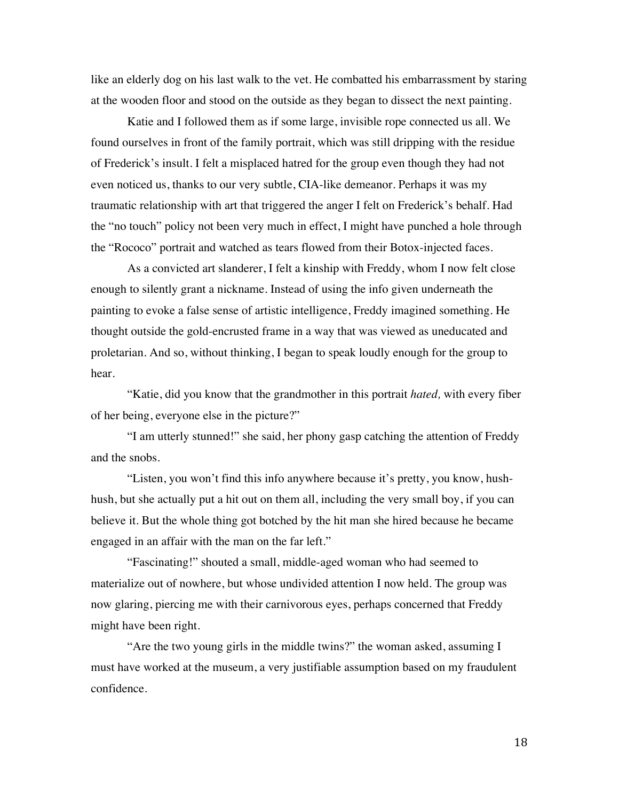like an elderly dog on his last walk to the vet. He combatted his embarrassment by staring at the wooden floor and stood on the outside as they began to dissect the next painting.

Katie and I followed them as if some large, invisible rope connected us all. We found ourselves in front of the family portrait, which was still dripping with the residue of Frederick's insult. I felt a misplaced hatred for the group even though they had not even noticed us, thanks to our very subtle, CIA-like demeanor. Perhaps it was my traumatic relationship with art that triggered the anger I felt on Frederick's behalf. Had the "no touch" policy not been very much in effect, I might have punched a hole through the "Rococo" portrait and watched as tears flowed from their Botox-injected faces.

As a convicted art slanderer, I felt a kinship with Freddy, whom I now felt close enough to silently grant a nickname. Instead of using the info given underneath the painting to evoke a false sense of artistic intelligence, Freddy imagined something. He thought outside the gold-encrusted frame in a way that was viewed as uneducated and proletarian. And so, without thinking, I began to speak loudly enough for the group to hear.

"Katie, did you know that the grandmother in this portrait *hated,* with every fiber of her being, everyone else in the picture?"

"I am utterly stunned!" she said, her phony gasp catching the attention of Freddy and the snobs.

"Listen, you won't find this info anywhere because it's pretty, you know, hushhush, but she actually put a hit out on them all, including the very small boy, if you can believe it. But the whole thing got botched by the hit man she hired because he became engaged in an affair with the man on the far left."

"Fascinating!" shouted a small, middle-aged woman who had seemed to materialize out of nowhere, but whose undivided attention I now held. The group was now glaring, piercing me with their carnivorous eyes, perhaps concerned that Freddy might have been right.

"Are the two young girls in the middle twins?" the woman asked, assuming I must have worked at the museum, a very justifiable assumption based on my fraudulent confidence.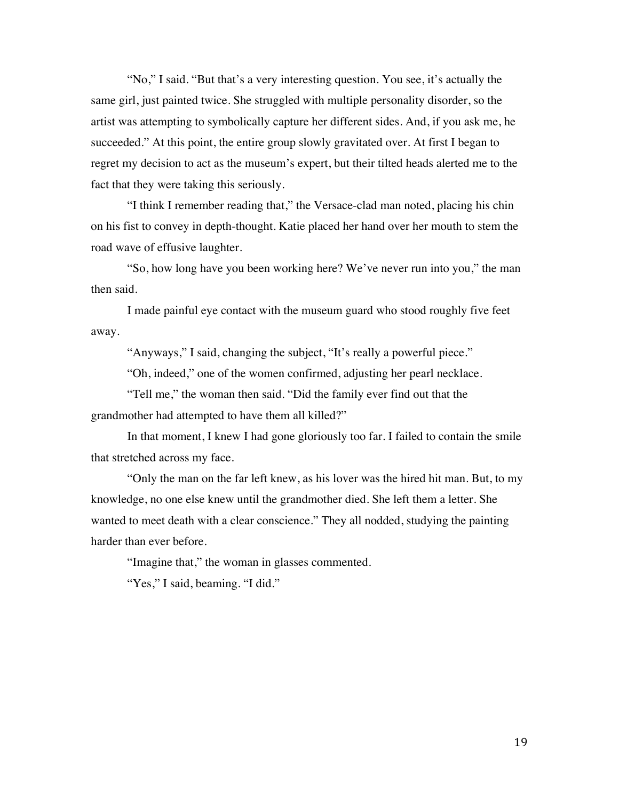"No," I said. "But that's a very interesting question. You see, it's actually the same girl, just painted twice. She struggled with multiple personality disorder, so the artist was attempting to symbolically capture her different sides. And, if you ask me, he succeeded." At this point, the entire group slowly gravitated over. At first I began to regret my decision to act as the museum's expert, but their tilted heads alerted me to the fact that they were taking this seriously.

"I think I remember reading that," the Versace-clad man noted, placing his chin on his fist to convey in depth-thought. Katie placed her hand over her mouth to stem the road wave of effusive laughter.

"So, how long have you been working here? We've never run into you," the man then said.

I made painful eye contact with the museum guard who stood roughly five feet away.

"Anyways," I said, changing the subject, "It's really a powerful piece."

"Oh, indeed," one of the women confirmed, adjusting her pearl necklace.

"Tell me," the woman then said. "Did the family ever find out that the grandmother had attempted to have them all killed?"

In that moment, I knew I had gone gloriously too far. I failed to contain the smile that stretched across my face.

"Only the man on the far left knew, as his lover was the hired hit man. But, to my knowledge, no one else knew until the grandmother died. She left them a letter. She wanted to meet death with a clear conscience." They all nodded, studying the painting harder than ever before.

"Imagine that," the woman in glasses commented. "Yes," I said, beaming. "I did."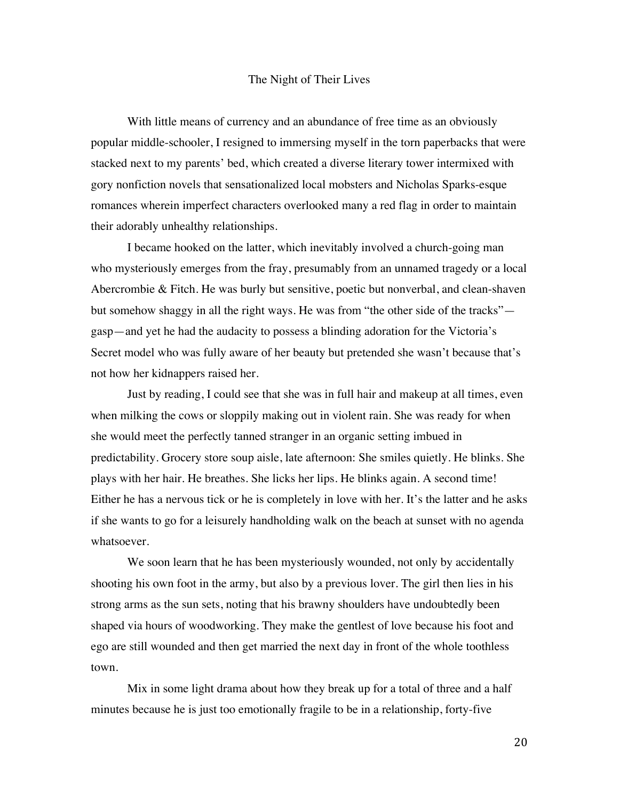### The Night of Their Lives

With little means of currency and an abundance of free time as an obviously popular middle-schooler, I resigned to immersing myself in the torn paperbacks that were stacked next to my parents' bed, which created a diverse literary tower intermixed with gory nonfiction novels that sensationalized local mobsters and Nicholas Sparks-esque romances wherein imperfect characters overlooked many a red flag in order to maintain their adorably unhealthy relationships.

I became hooked on the latter, which inevitably involved a church-going man who mysteriously emerges from the fray, presumably from an unnamed tragedy or a local Abercrombie & Fitch. He was burly but sensitive, poetic but nonverbal, and clean-shaven but somehow shaggy in all the right ways. He was from "the other side of the tracks" gasp—and yet he had the audacity to possess a blinding adoration for the Victoria's Secret model who was fully aware of her beauty but pretended she wasn't because that's not how her kidnappers raised her.

Just by reading, I could see that she was in full hair and makeup at all times, even when milking the cows or sloppily making out in violent rain. She was ready for when she would meet the perfectly tanned stranger in an organic setting imbued in predictability. Grocery store soup aisle, late afternoon: She smiles quietly. He blinks. She plays with her hair. He breathes. She licks her lips. He blinks again. A second time! Either he has a nervous tick or he is completely in love with her. It's the latter and he asks if she wants to go for a leisurely handholding walk on the beach at sunset with no agenda whatsoever.

We soon learn that he has been mysteriously wounded, not only by accidentally shooting his own foot in the army, but also by a previous lover. The girl then lies in his strong arms as the sun sets, noting that his brawny shoulders have undoubtedly been shaped via hours of woodworking. They make the gentlest of love because his foot and ego are still wounded and then get married the next day in front of the whole toothless town.

Mix in some light drama about how they break up for a total of three and a half minutes because he is just too emotionally fragile to be in a relationship, forty-five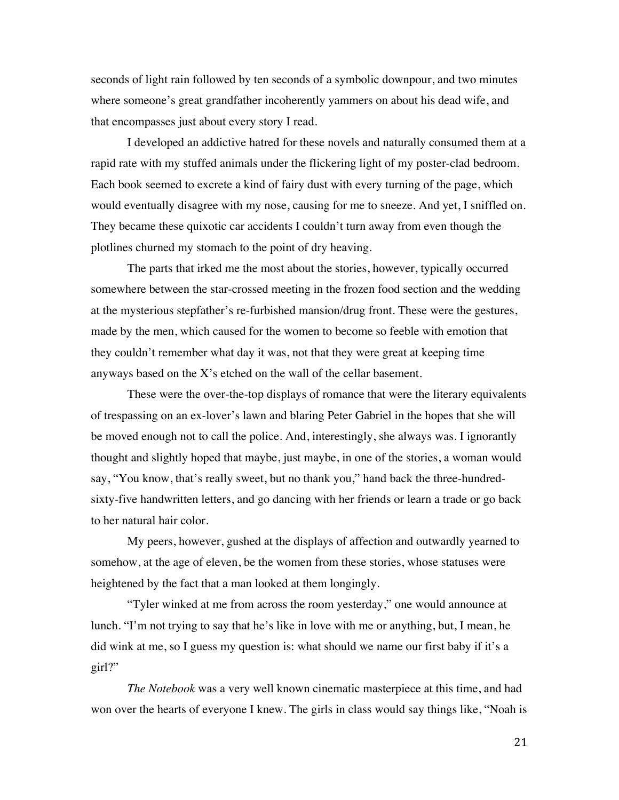seconds of light rain followed by ten seconds of a symbolic downpour, and two minutes where someone's great grandfather incoherently yammers on about his dead wife, and that encompasses just about every story I read.

I developed an addictive hatred for these novels and naturally consumed them at a rapid rate with my stuffed animals under the flickering light of my poster-clad bedroom. Each book seemed to excrete a kind of fairy dust with every turning of the page, which would eventually disagree with my nose, causing for me to sneeze. And yet, I sniffled on. They became these quixotic car accidents I couldn't turn away from even though the plotlines churned my stomach to the point of dry heaving.

The parts that irked me the most about the stories, however, typically occurred somewhere between the star-crossed meeting in the frozen food section and the wedding at the mysterious stepfather's re-furbished mansion/drug front. These were the gestures, made by the men, which caused for the women to become so feeble with emotion that they couldn't remember what day it was, not that they were great at keeping time anyways based on the X's etched on the wall of the cellar basement.

These were the over-the-top displays of romance that were the literary equivalents of trespassing on an ex-lover's lawn and blaring Peter Gabriel in the hopes that she will be moved enough not to call the police. And, interestingly, she always was. I ignorantly thought and slightly hoped that maybe, just maybe, in one of the stories, a woman would say, "You know, that's really sweet, but no thank you," hand back the three-hundredsixty-five handwritten letters, and go dancing with her friends or learn a trade or go back to her natural hair color.

My peers, however, gushed at the displays of affection and outwardly yearned to somehow, at the age of eleven, be the women from these stories, whose statuses were heightened by the fact that a man looked at them longingly.

"Tyler winked at me from across the room yesterday," one would announce at lunch. "I'm not trying to say that he's like in love with me or anything, but, I mean, he did wink at me, so I guess my question is: what should we name our first baby if it's a girl?"

*The Notebook* was a very well known cinematic masterpiece at this time, and had won over the hearts of everyone I knew. The girls in class would say things like, "Noah is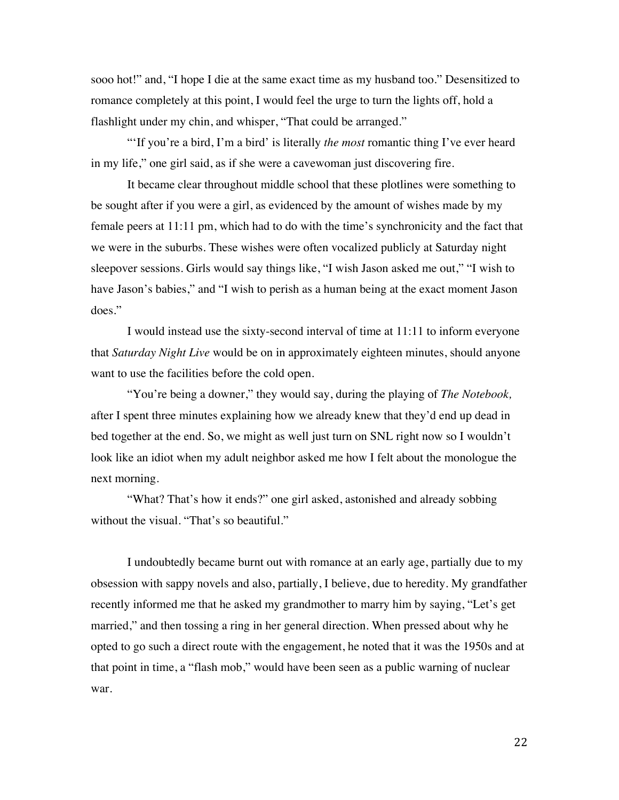sooo hot!" and, "I hope I die at the same exact time as my husband too." Desensitized to romance completely at this point, I would feel the urge to turn the lights off, hold a flashlight under my chin, and whisper, "That could be arranged."

"'If you're a bird, I'm a bird' is literally *the most* romantic thing I've ever heard in my life," one girl said, as if she were a cavewoman just discovering fire.

It became clear throughout middle school that these plotlines were something to be sought after if you were a girl, as evidenced by the amount of wishes made by my female peers at 11:11 pm, which had to do with the time's synchronicity and the fact that we were in the suburbs. These wishes were often vocalized publicly at Saturday night sleepover sessions. Girls would say things like, "I wish Jason asked me out," "I wish to have Jason's babies," and "I wish to perish as a human being at the exact moment Jason does."

I would instead use the sixty-second interval of time at 11:11 to inform everyone that *Saturday Night Live* would be on in approximately eighteen minutes, should anyone want to use the facilities before the cold open.

"You're being a downer," they would say, during the playing of *The Notebook,* after I spent three minutes explaining how we already knew that they'd end up dead in bed together at the end*.* So, we might as well just turn on SNL right now so I wouldn't look like an idiot when my adult neighbor asked me how I felt about the monologue the next morning.

"What? That's how it ends?" one girl asked, astonished and already sobbing without the visual. "That's so beautiful."

I undoubtedly became burnt out with romance at an early age, partially due to my obsession with sappy novels and also, partially, I believe, due to heredity. My grandfather recently informed me that he asked my grandmother to marry him by saying, "Let's get married," and then tossing a ring in her general direction. When pressed about why he opted to go such a direct route with the engagement, he noted that it was the 1950s and at that point in time, a "flash mob," would have been seen as a public warning of nuclear war.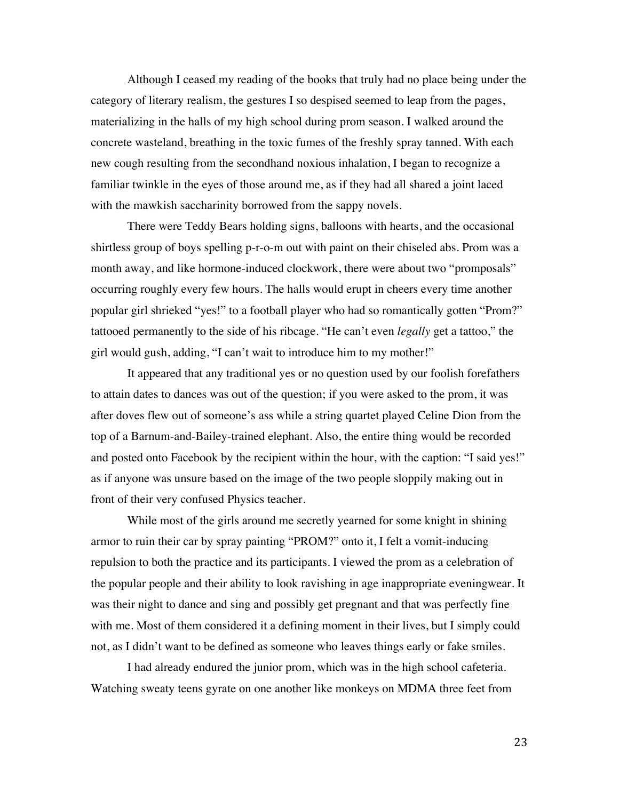Although I ceased my reading of the books that truly had no place being under the category of literary realism, the gestures I so despised seemed to leap from the pages, materializing in the halls of my high school during prom season. I walked around the concrete wasteland, breathing in the toxic fumes of the freshly spray tanned. With each new cough resulting from the secondhand noxious inhalation, I began to recognize a familiar twinkle in the eyes of those around me, as if they had all shared a joint laced with the mawkish saccharinity borrowed from the sappy novels.

There were Teddy Bears holding signs, balloons with hearts, and the occasional shirtless group of boys spelling p-r-o-m out with paint on their chiseled abs. Prom was a month away, and like hormone-induced clockwork, there were about two "promposals" occurring roughly every few hours. The halls would erupt in cheers every time another popular girl shrieked "yes!" to a football player who had so romantically gotten "Prom?" tattooed permanently to the side of his ribcage. "He can't even *legally* get a tattoo," the girl would gush, adding, "I can't wait to introduce him to my mother!"

It appeared that any traditional yes or no question used by our foolish forefathers to attain dates to dances was out of the question; if you were asked to the prom, it was after doves flew out of someone's ass while a string quartet played Celine Dion from the top of a Barnum-and-Bailey-trained elephant. Also, the entire thing would be recorded and posted onto Facebook by the recipient within the hour, with the caption: "I said yes!" as if anyone was unsure based on the image of the two people sloppily making out in front of their very confused Physics teacher.

While most of the girls around me secretly yearned for some knight in shining armor to ruin their car by spray painting "PROM?" onto it, I felt a vomit-inducing repulsion to both the practice and its participants. I viewed the prom as a celebration of the popular people and their ability to look ravishing in age inappropriate eveningwear. It was their night to dance and sing and possibly get pregnant and that was perfectly fine with me. Most of them considered it a defining moment in their lives, but I simply could not, as I didn't want to be defined as someone who leaves things early or fake smiles.

I had already endured the junior prom, which was in the high school cafeteria. Watching sweaty teens gyrate on one another like monkeys on MDMA three feet from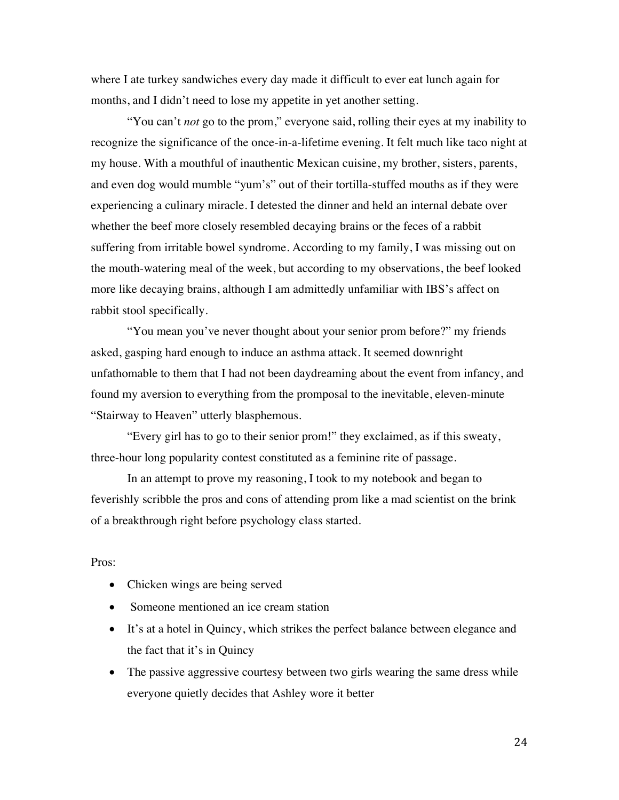where I ate turkey sandwiches every day made it difficult to ever eat lunch again for months, and I didn't need to lose my appetite in yet another setting.

"You can't *not* go to the prom," everyone said, rolling their eyes at my inability to recognize the significance of the once-in-a-lifetime evening. It felt much like taco night at my house. With a mouthful of inauthentic Mexican cuisine, my brother, sisters, parents, and even dog would mumble "yum's" out of their tortilla-stuffed mouths as if they were experiencing a culinary miracle. I detested the dinner and held an internal debate over whether the beef more closely resembled decaying brains or the feces of a rabbit suffering from irritable bowel syndrome. According to my family, I was missing out on the mouth-watering meal of the week, but according to my observations, the beef looked more like decaying brains, although I am admittedly unfamiliar with IBS's affect on rabbit stool specifically.

"You mean you've never thought about your senior prom before?" my friends asked, gasping hard enough to induce an asthma attack. It seemed downright unfathomable to them that I had not been daydreaming about the event from infancy, and found my aversion to everything from the promposal to the inevitable, eleven-minute "Stairway to Heaven" utterly blasphemous.

"Every girl has to go to their senior prom!" they exclaimed, as if this sweaty, three-hour long popularity contest constituted as a feminine rite of passage.

In an attempt to prove my reasoning, I took to my notebook and began to feverishly scribble the pros and cons of attending prom like a mad scientist on the brink of a breakthrough right before psychology class started.

### Pros:

- Chicken wings are being served
- Someone mentioned an ice cream station
- It's at a hotel in Quincy, which strikes the perfect balance between elegance and the fact that it's in Quincy
- The passive aggressive courtesy between two girls wearing the same dress while everyone quietly decides that Ashley wore it better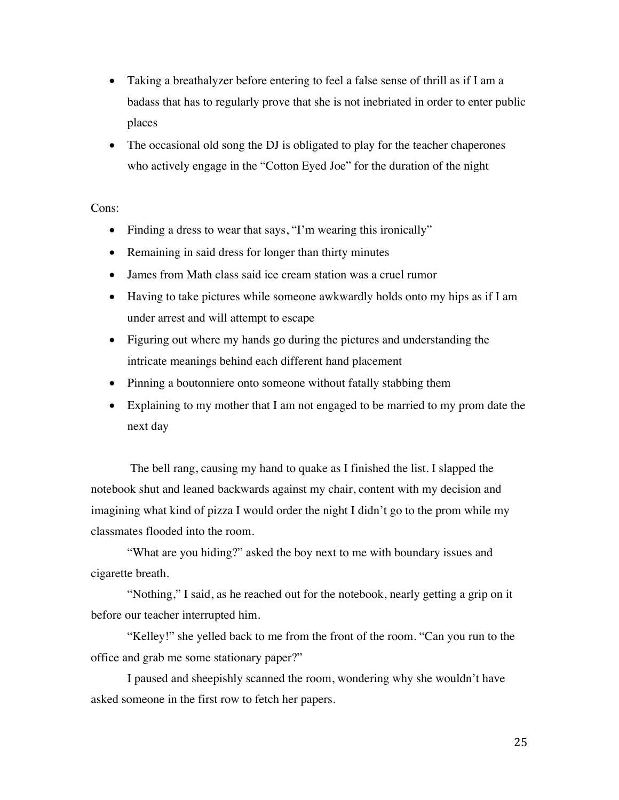- Taking a breathalyzer before entering to feel a false sense of thrill as if I am a badass that has to regularly prove that she is not inebriated in order to enter public places
- The occasional old song the DJ is obligated to play for the teacher chaperones who actively engage in the "Cotton Eyed Joe" for the duration of the night

### Cons:

- Finding a dress to wear that says, "I'm wearing this ironically"
- Remaining in said dress for longer than thirty minutes
- James from Math class said ice cream station was a cruel rumor
- Having to take pictures while someone awkwardly holds onto my hips as if I am under arrest and will attempt to escape
- Figuring out where my hands go during the pictures and understanding the intricate meanings behind each different hand placement
- Pinning a boutonniere onto someone without fatally stabbing them
- Explaining to my mother that I am not engaged to be married to my prom date the next day

The bell rang, causing my hand to quake as I finished the list. I slapped the notebook shut and leaned backwards against my chair, content with my decision and imagining what kind of pizza I would order the night I didn't go to the prom while my classmates flooded into the room.

"What are you hiding?" asked the boy next to me with boundary issues and cigarette breath.

"Nothing," I said, as he reached out for the notebook, nearly getting a grip on it before our teacher interrupted him.

"Kelley!" she yelled back to me from the front of the room. "Can you run to the office and grab me some stationary paper?"

I paused and sheepishly scanned the room, wondering why she wouldn't have asked someone in the first row to fetch her papers.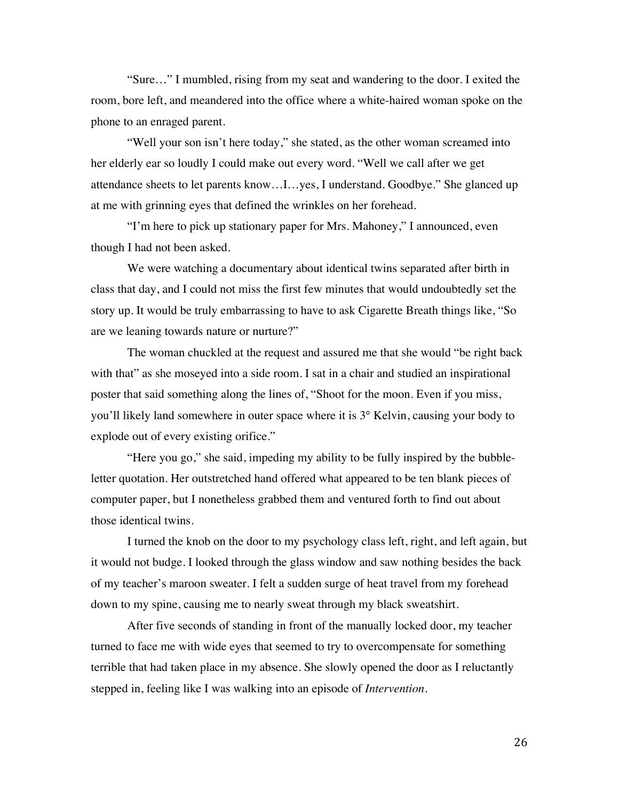"Sure…" I mumbled, rising from my seat and wandering to the door. I exited the room, bore left, and meandered into the office where a white-haired woman spoke on the phone to an enraged parent.

"Well your son isn't here today," she stated, as the other woman screamed into her elderly ear so loudly I could make out every word. "Well we call after we get attendance sheets to let parents know…I…yes, I understand. Goodbye." She glanced up at me with grinning eyes that defined the wrinkles on her forehead.

"I'm here to pick up stationary paper for Mrs. Mahoney," I announced, even though I had not been asked.

We were watching a documentary about identical twins separated after birth in class that day, and I could not miss the first few minutes that would undoubtedly set the story up. It would be truly embarrassing to have to ask Cigarette Breath things like, "So are we leaning towards nature or nurture?"

The woman chuckled at the request and assured me that she would "be right back with that" as she moseyed into a side room. I sat in a chair and studied an inspirational poster that said something along the lines of, "Shoot for the moon. Even if you miss, you'll likely land somewhere in outer space where it is 3° Kelvin, causing your body to explode out of every existing orifice."

"Here you go," she said, impeding my ability to be fully inspired by the bubbleletter quotation. Her outstretched hand offered what appeared to be ten blank pieces of computer paper, but I nonetheless grabbed them and ventured forth to find out about those identical twins.

I turned the knob on the door to my psychology class left, right, and left again, but it would not budge. I looked through the glass window and saw nothing besides the back of my teacher's maroon sweater. I felt a sudden surge of heat travel from my forehead down to my spine, causing me to nearly sweat through my black sweatshirt.

After five seconds of standing in front of the manually locked door, my teacher turned to face me with wide eyes that seemed to try to overcompensate for something terrible that had taken place in my absence. She slowly opened the door as I reluctantly stepped in, feeling like I was walking into an episode of *Intervention.*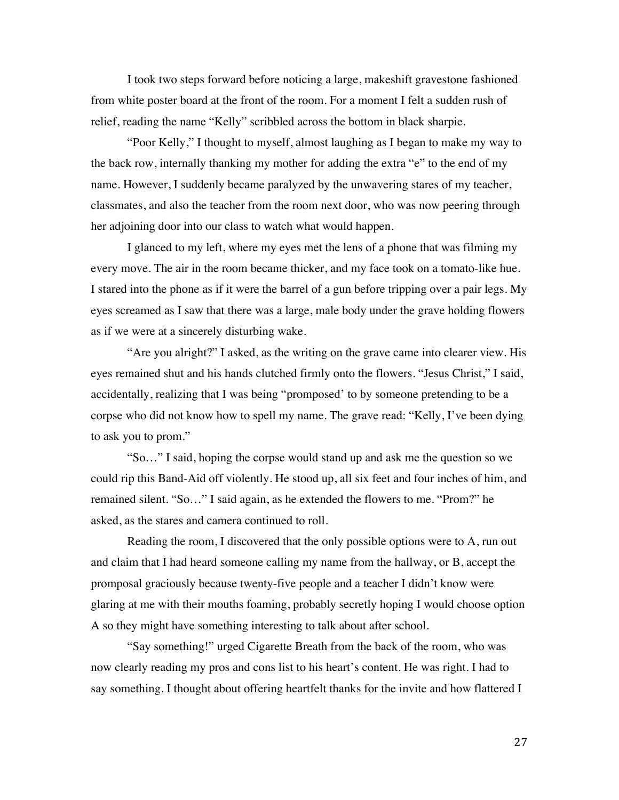I took two steps forward before noticing a large, makeshift gravestone fashioned from white poster board at the front of the room. For a moment I felt a sudden rush of relief, reading the name "Kelly" scribbled across the bottom in black sharpie.

"Poor Kelly," I thought to myself, almost laughing as I began to make my way to the back row, internally thanking my mother for adding the extra "e" to the end of my name. However, I suddenly became paralyzed by the unwavering stares of my teacher, classmates, and also the teacher from the room next door, who was now peering through her adjoining door into our class to watch what would happen.

I glanced to my left, where my eyes met the lens of a phone that was filming my every move. The air in the room became thicker, and my face took on a tomato-like hue. I stared into the phone as if it were the barrel of a gun before tripping over a pair legs. My eyes screamed as I saw that there was a large, male body under the grave holding flowers as if we were at a sincerely disturbing wake.

"Are you alright?" I asked, as the writing on the grave came into clearer view. His eyes remained shut and his hands clutched firmly onto the flowers. "Jesus Christ," I said, accidentally, realizing that I was being "promposed' to by someone pretending to be a corpse who did not know how to spell my name. The grave read: "Kelly, I've been dying to ask you to prom."

"So…" I said, hoping the corpse would stand up and ask me the question so we could rip this Band-Aid off violently. He stood up, all six feet and four inches of him, and remained silent. "So…" I said again, as he extended the flowers to me. "Prom?" he asked, as the stares and camera continued to roll.

Reading the room, I discovered that the only possible options were to A, run out and claim that I had heard someone calling my name from the hallway, or B, accept the promposal graciously because twenty-five people and a teacher I didn't know were glaring at me with their mouths foaming, probably secretly hoping I would choose option A so they might have something interesting to talk about after school.

"Say something!" urged Cigarette Breath from the back of the room, who was now clearly reading my pros and cons list to his heart's content. He was right. I had to say something. I thought about offering heartfelt thanks for the invite and how flattered I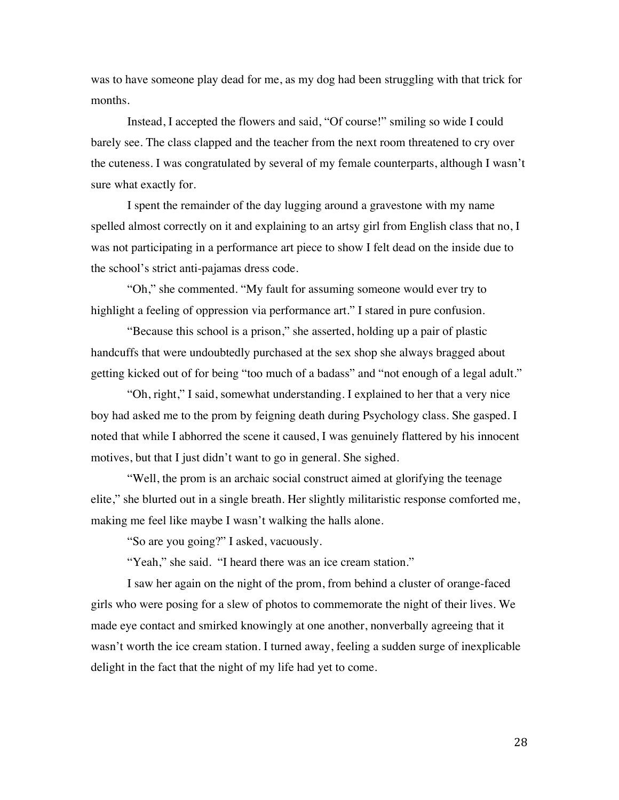was to have someone play dead for me, as my dog had been struggling with that trick for months.

Instead, I accepted the flowers and said, "Of course!" smiling so wide I could barely see. The class clapped and the teacher from the next room threatened to cry over the cuteness. I was congratulated by several of my female counterparts, although I wasn't sure what exactly for.

I spent the remainder of the day lugging around a gravestone with my name spelled almost correctly on it and explaining to an artsy girl from English class that no, I was not participating in a performance art piece to show I felt dead on the inside due to the school's strict anti-pajamas dress code.

"Oh," she commented. "My fault for assuming someone would ever try to highlight a feeling of oppression via performance art." I stared in pure confusion.

"Because this school is a prison," she asserted, holding up a pair of plastic handcuffs that were undoubtedly purchased at the sex shop she always bragged about getting kicked out of for being "too much of a badass" and "not enough of a legal adult."

"Oh, right," I said, somewhat understanding. I explained to her that a very nice boy had asked me to the prom by feigning death during Psychology class. She gasped. I noted that while I abhorred the scene it caused, I was genuinely flattered by his innocent motives, but that I just didn't want to go in general. She sighed.

"Well, the prom is an archaic social construct aimed at glorifying the teenage elite," she blurted out in a single breath. Her slightly militaristic response comforted me, making me feel like maybe I wasn't walking the halls alone.

"So are you going?" I asked, vacuously.

"Yeah," she said. "I heard there was an ice cream station."

I saw her again on the night of the prom, from behind a cluster of orange-faced girls who were posing for a slew of photos to commemorate the night of their lives. We made eye contact and smirked knowingly at one another, nonverbally agreeing that it wasn't worth the ice cream station. I turned away, feeling a sudden surge of inexplicable delight in the fact that the night of my life had yet to come.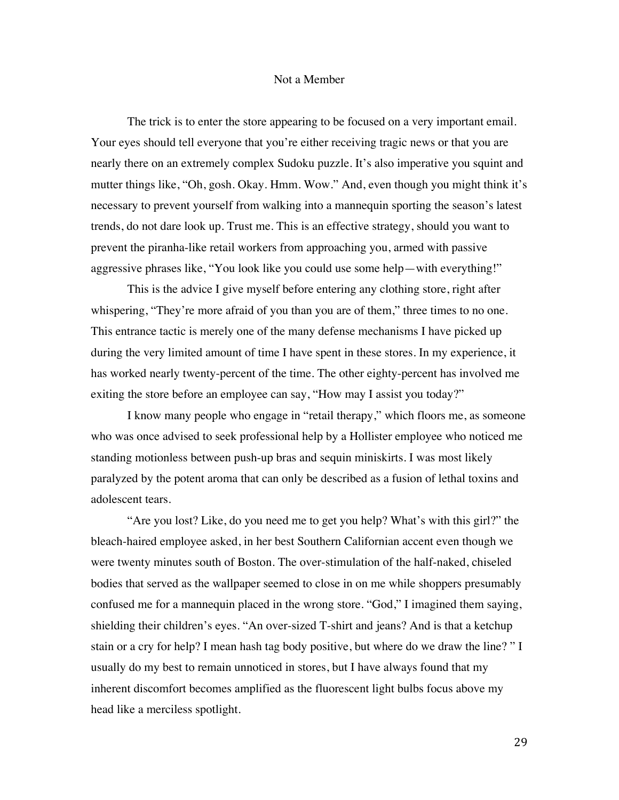### Not a Member

The trick is to enter the store appearing to be focused on a very important email. Your eyes should tell everyone that you're either receiving tragic news or that you are nearly there on an extremely complex Sudoku puzzle. It's also imperative you squint and mutter things like, "Oh, gosh. Okay. Hmm. Wow." And, even though you might think it's necessary to prevent yourself from walking into a mannequin sporting the season's latest trends, do not dare look up. Trust me. This is an effective strategy, should you want to prevent the piranha-like retail workers from approaching you, armed with passive aggressive phrases like, "You look like you could use some help—with everything!"

This is the advice I give myself before entering any clothing store, right after whispering, "They're more afraid of you than you are of them," three times to no one. This entrance tactic is merely one of the many defense mechanisms I have picked up during the very limited amount of time I have spent in these stores. In my experience, it has worked nearly twenty-percent of the time. The other eighty-percent has involved me exiting the store before an employee can say, "How may I assist you today?"

I know many people who engage in "retail therapy," which floors me, as someone who was once advised to seek professional help by a Hollister employee who noticed me standing motionless between push-up bras and sequin miniskirts. I was most likely paralyzed by the potent aroma that can only be described as a fusion of lethal toxins and adolescent tears.

"Are you lost? Like, do you need me to get you help? What's with this girl?" the bleach-haired employee asked, in her best Southern Californian accent even though we were twenty minutes south of Boston. The over-stimulation of the half-naked, chiseled bodies that served as the wallpaper seemed to close in on me while shoppers presumably confused me for a mannequin placed in the wrong store. "God," I imagined them saying, shielding their children's eyes. "An over-sized T-shirt and jeans? And is that a ketchup stain or a cry for help? I mean hash tag body positive, but where do we draw the line? " I usually do my best to remain unnoticed in stores, but I have always found that my inherent discomfort becomes amplified as the fluorescent light bulbs focus above my head like a merciless spotlight.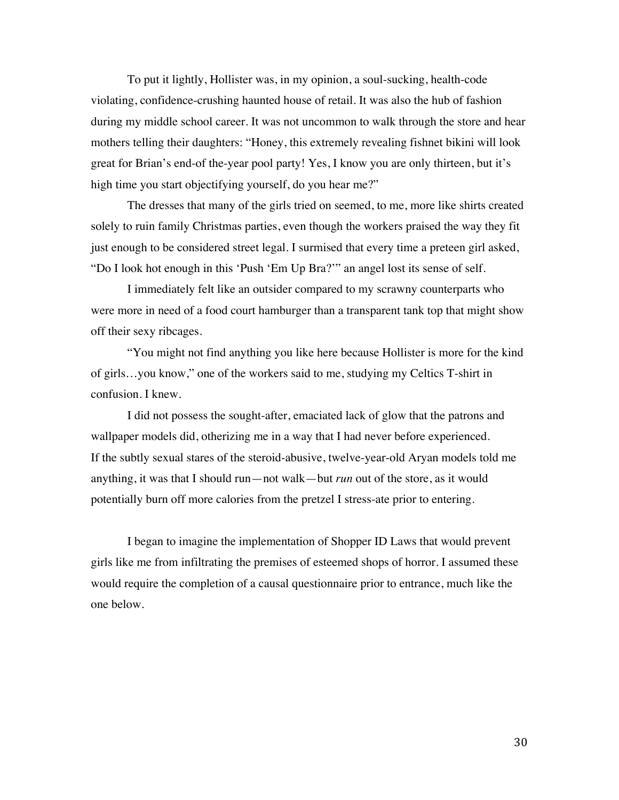To put it lightly, Hollister was, in my opinion, a soul-sucking, health-code violating, confidence-crushing haunted house of retail. It was also the hub of fashion during my middle school career. It was not uncommon to walk through the store and hear mothers telling their daughters: "Honey, this extremely revealing fishnet bikini will look great for Brian's end-of the-year pool party! Yes, I know you are only thirteen, but it's high time you start objectifying yourself, do you hear me?"

The dresses that many of the girls tried on seemed, to me, more like shirts created solely to ruin family Christmas parties, even though the workers praised the way they fit just enough to be considered street legal. I surmised that every time a preteen girl asked, "Do I look hot enough in this 'Push 'Em Up Bra?'" an angel lost its sense of self.

I immediately felt like an outsider compared to my scrawny counterparts who were more in need of a food court hamburger than a transparent tank top that might show off their sexy ribcages.

"You might not find anything you like here because Hollister is more for the kind of girls…you know," one of the workers said to me, studying my Celtics T-shirt in confusion. I knew.

I did not possess the sought-after, emaciated lack of glow that the patrons and wallpaper models did, otherizing me in a way that I had never before experienced. If the subtly sexual stares of the steroid-abusive, twelve-year-old Aryan models told me anything, it was that I should run—not walk—but *run* out of the store, as it would potentially burn off more calories from the pretzel I stress-ate prior to entering.

I began to imagine the implementation of Shopper ID Laws that would prevent girls like me from infiltrating the premises of esteemed shops of horror. I assumed these would require the completion of a causal questionnaire prior to entrance, much like the one below.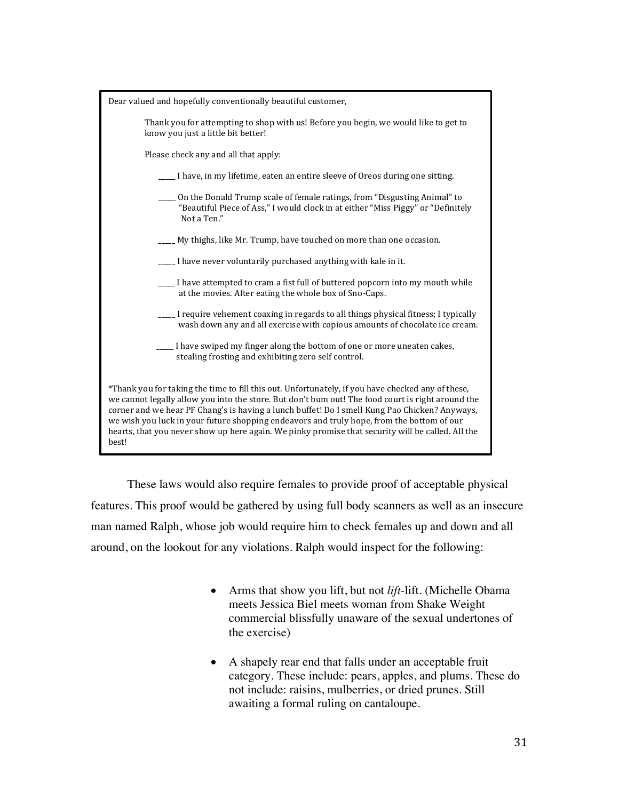| Dear valued and hopefully conventionally beautiful customer,                                                                                                                                                                                                                                                                                                                                                                                                                                                       |
|--------------------------------------------------------------------------------------------------------------------------------------------------------------------------------------------------------------------------------------------------------------------------------------------------------------------------------------------------------------------------------------------------------------------------------------------------------------------------------------------------------------------|
| Thank you for attempting to shop with us! Before you begin, we would like to get to<br>know you just a little bit better!                                                                                                                                                                                                                                                                                                                                                                                          |
| Please check any and all that apply:                                                                                                                                                                                                                                                                                                                                                                                                                                                                               |
| _I have, in my lifetime, eaten an entire sleeve of Oreos during one sitting.                                                                                                                                                                                                                                                                                                                                                                                                                                       |
| On the Donald Trump scale of female ratings, from "Disgusting Animal" to<br>"Beautiful Piece of Ass," I would clock in at either "Miss Piggy" or "Definitely<br>Not a Ten."                                                                                                                                                                                                                                                                                                                                        |
| _My thighs, like Mr. Trump, have touched on more than one occasion.                                                                                                                                                                                                                                                                                                                                                                                                                                                |
| ___I have never voluntarily purchased anything with kale in it.                                                                                                                                                                                                                                                                                                                                                                                                                                                    |
| I have attempted to cram a fist full of buttered popcorn into my mouth while<br>at the movies. After eating the whole box of Sno-Caps.                                                                                                                                                                                                                                                                                                                                                                             |
| I require vehement coaxing in regards to all things physical fitness; I typically<br>wash down any and all exercise with copious amounts of chocolate ice cream.                                                                                                                                                                                                                                                                                                                                                   |
| I have swiped my finger along the bottom of one or more uneaten cakes,<br>stealing frosting and exhibiting zero self control.                                                                                                                                                                                                                                                                                                                                                                                      |
| *Thank you for taking the time to fill this out. Unfortunately, if you have checked any of these,<br>we cannot legally allow you into the store. But don't bum out! The food court is right around the<br>corner and we hear PF Chang's is having a lunch buffet! Do I smell Kung Pao Chicken? Anyways,<br>we wish you luck in your future shopping endeavors and truly hope, from the bottom of our<br>hearts, that you never show up here again. We pinky promise that security will be called. All the<br>best! |

These laws would also require females to provide proof of acceptable physical features. This proof would be gathered by using full body scanners as well as an insecure man named Ralph, whose job would require him to check females up and down and all around, on the lookout for any violations. Ralph would inspect for the following:

- Arms that show you lift, but not *lift-*lift. (Michelle Obama meets Jessica Biel meets woman from Shake Weight commercial blissfully unaware of the sexual undertones of the exercise)
- A shapely rear end that falls under an acceptable fruit category. These include: pears, apples, and plums. These do not include: raisins, mulberries, or dried prunes. Still awaiting a formal ruling on cantaloupe.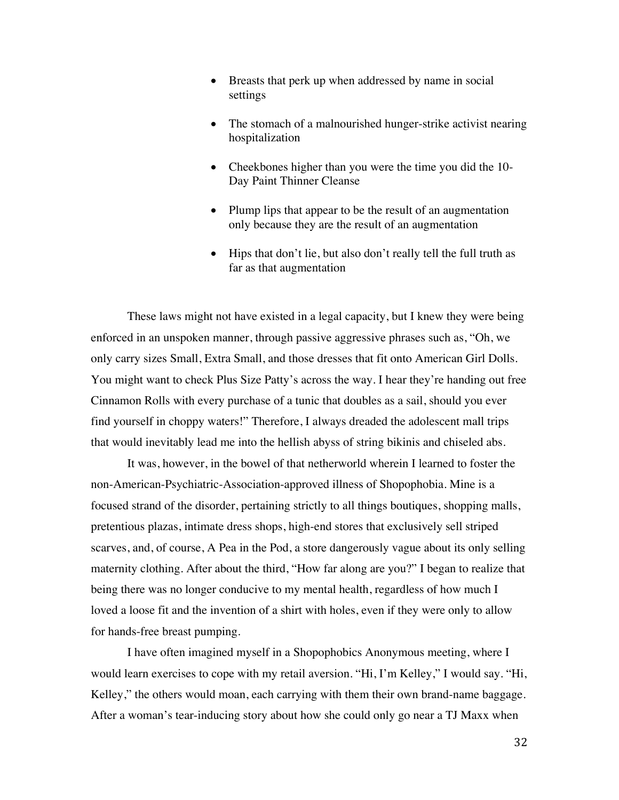- Breasts that perk up when addressed by name in social settings
- The stomach of a malnourished hunger-strike activist nearing hospitalization
- Cheekbones higher than you were the time you did the 10-Day Paint Thinner Cleanse
- Plump lips that appear to be the result of an augmentation only because they are the result of an augmentation
- Hips that don't lie, but also don't really tell the full truth as far as that augmentation

These laws might not have existed in a legal capacity, but I knew they were being enforced in an unspoken manner, through passive aggressive phrases such as, "Oh, we only carry sizes Small, Extra Small, and those dresses that fit onto American Girl Dolls. You might want to check Plus Size Patty's across the way. I hear they're handing out free Cinnamon Rolls with every purchase of a tunic that doubles as a sail, should you ever find yourself in choppy waters!" Therefore, I always dreaded the adolescent mall trips that would inevitably lead me into the hellish abyss of string bikinis and chiseled abs.

It was, however, in the bowel of that netherworld wherein I learned to foster the non-American-Psychiatric-Association-approved illness of Shopophobia. Mine is a focused strand of the disorder, pertaining strictly to all things boutiques, shopping malls, pretentious plazas, intimate dress shops, high-end stores that exclusively sell striped scarves, and, of course, A Pea in the Pod, a store dangerously vague about its only selling maternity clothing. After about the third, "How far along are you?" I began to realize that being there was no longer conducive to my mental health, regardless of how much I loved a loose fit and the invention of a shirt with holes, even if they were only to allow for hands-free breast pumping.

I have often imagined myself in a Shopophobics Anonymous meeting, where I would learn exercises to cope with my retail aversion. "Hi, I'm Kelley," I would say. "Hi, Kelley," the others would moan, each carrying with them their own brand-name baggage. After a woman's tear-inducing story about how she could only go near a TJ Maxx when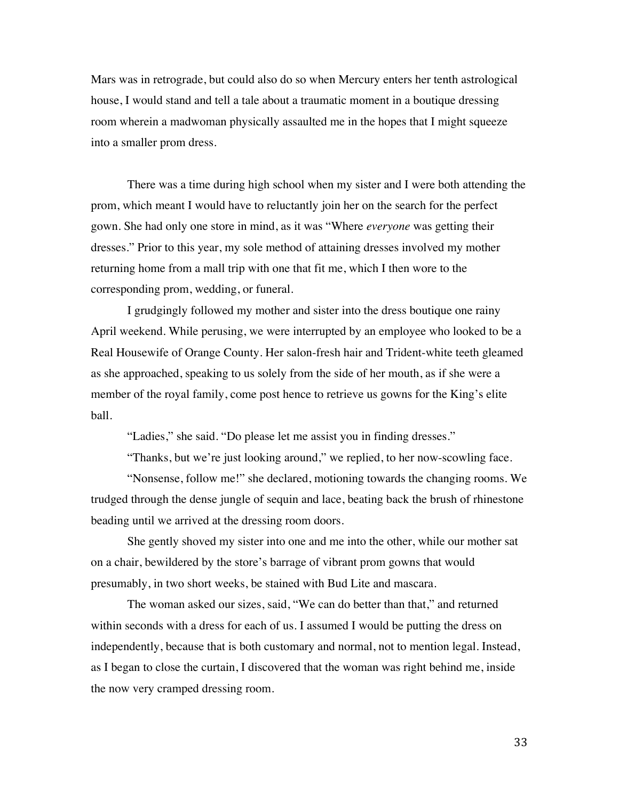Mars was in retrograde, but could also do so when Mercury enters her tenth astrological house, I would stand and tell a tale about a traumatic moment in a boutique dressing room wherein a madwoman physically assaulted me in the hopes that I might squeeze into a smaller prom dress.

There was a time during high school when my sister and I were both attending the prom, which meant I would have to reluctantly join her on the search for the perfect gown. She had only one store in mind, as it was "Where *everyone* was getting their dresses." Prior to this year, my sole method of attaining dresses involved my mother returning home from a mall trip with one that fit me, which I then wore to the corresponding prom, wedding, or funeral.

I grudgingly followed my mother and sister into the dress boutique one rainy April weekend. While perusing, we were interrupted by an employee who looked to be a Real Housewife of Orange County. Her salon-fresh hair and Trident-white teeth gleamed as she approached, speaking to us solely from the side of her mouth, as if she were a member of the royal family, come post hence to retrieve us gowns for the King's elite ball.

"Ladies," she said. "Do please let me assist you in finding dresses."

"Thanks, but we're just looking around," we replied, to her now-scowling face.

"Nonsense, follow me!" she declared, motioning towards the changing rooms. We trudged through the dense jungle of sequin and lace, beating back the brush of rhinestone beading until we arrived at the dressing room doors.

She gently shoved my sister into one and me into the other, while our mother sat on a chair, bewildered by the store's barrage of vibrant prom gowns that would presumably, in two short weeks, be stained with Bud Lite and mascara.

The woman asked our sizes, said, "We can do better than that," and returned within seconds with a dress for each of us. I assumed I would be putting the dress on independently, because that is both customary and normal, not to mention legal. Instead, as I began to close the curtain, I discovered that the woman was right behind me, inside the now very cramped dressing room.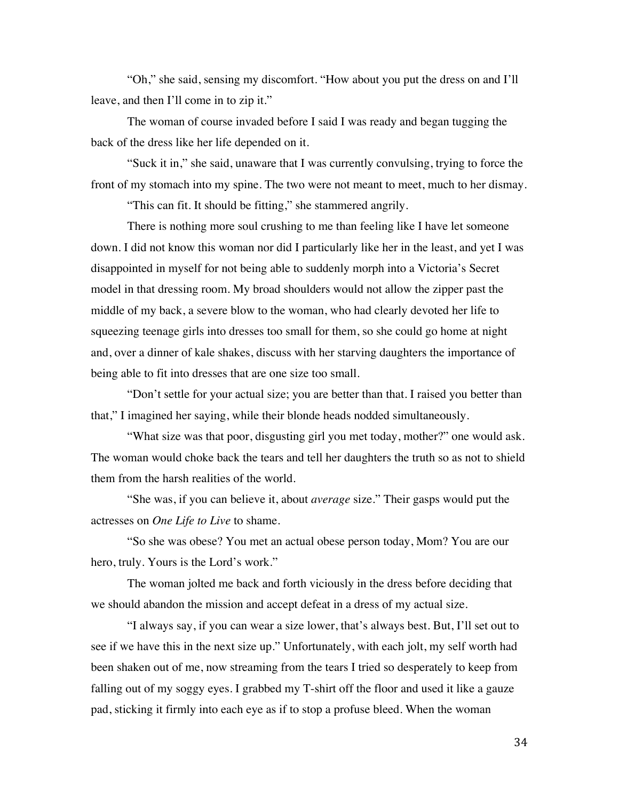"Oh," she said, sensing my discomfort. "How about you put the dress on and I'll leave, and then I'll come in to zip it."

The woman of course invaded before I said I was ready and began tugging the back of the dress like her life depended on it.

"Suck it in," she said, unaware that I was currently convulsing, trying to force the front of my stomach into my spine. The two were not meant to meet, much to her dismay.

"This can fit. It should be fitting," she stammered angrily.

There is nothing more soul crushing to me than feeling like I have let someone down. I did not know this woman nor did I particularly like her in the least, and yet I was disappointed in myself for not being able to suddenly morph into a Victoria's Secret model in that dressing room. My broad shoulders would not allow the zipper past the middle of my back, a severe blow to the woman, who had clearly devoted her life to squeezing teenage girls into dresses too small for them, so she could go home at night and, over a dinner of kale shakes, discuss with her starving daughters the importance of being able to fit into dresses that are one size too small.

"Don't settle for your actual size; you are better than that. I raised you better than that," I imagined her saying, while their blonde heads nodded simultaneously.

"What size was that poor, disgusting girl you met today, mother?" one would ask. The woman would choke back the tears and tell her daughters the truth so as not to shield them from the harsh realities of the world.

"She was, if you can believe it, about *average* size." Their gasps would put the actresses on *One Life to Live* to shame.

"So she was obese? You met an actual obese person today, Mom? You are our hero, truly. Yours is the Lord's work."

The woman jolted me back and forth viciously in the dress before deciding that we should abandon the mission and accept defeat in a dress of my actual size.

"I always say, if you can wear a size lower, that's always best. But, I'll set out to see if we have this in the next size up." Unfortunately, with each jolt, my self worth had been shaken out of me, now streaming from the tears I tried so desperately to keep from falling out of my soggy eyes. I grabbed my T-shirt off the floor and used it like a gauze pad, sticking it firmly into each eye as if to stop a profuse bleed. When the woman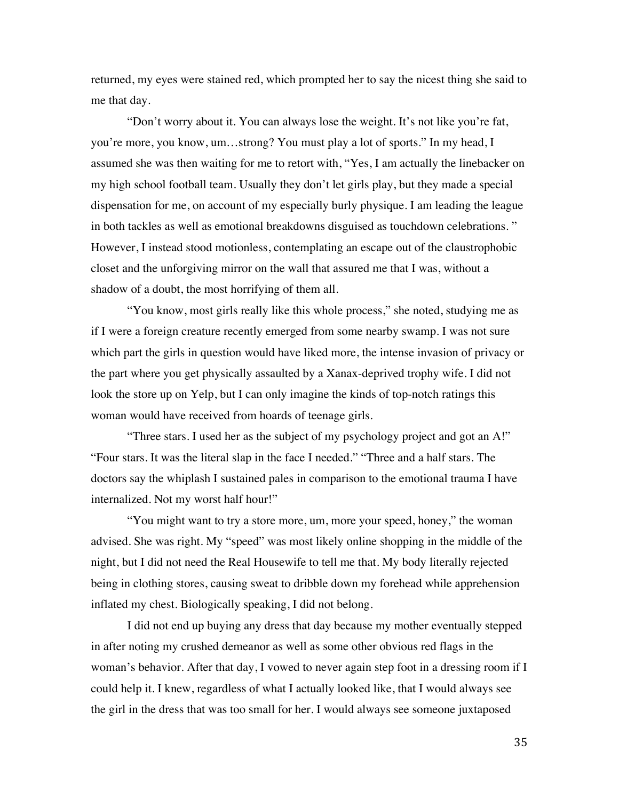returned, my eyes were stained red, which prompted her to say the nicest thing she said to me that day.

"Don't worry about it. You can always lose the weight. It's not like you're fat, you're more, you know, um…strong? You must play a lot of sports." In my head, I assumed she was then waiting for me to retort with, "Yes, I am actually the linebacker on my high school football team. Usually they don't let girls play, but they made a special dispensation for me, on account of my especially burly physique. I am leading the league in both tackles as well as emotional breakdowns disguised as touchdown celebrations. " However, I instead stood motionless, contemplating an escape out of the claustrophobic closet and the unforgiving mirror on the wall that assured me that I was, without a shadow of a doubt, the most horrifying of them all.

"You know, most girls really like this whole process," she noted, studying me as if I were a foreign creature recently emerged from some nearby swamp. I was not sure which part the girls in question would have liked more, the intense invasion of privacy or the part where you get physically assaulted by a Xanax-deprived trophy wife. I did not look the store up on Yelp, but I can only imagine the kinds of top-notch ratings this woman would have received from hoards of teenage girls.

"Three stars. I used her as the subject of my psychology project and got an A!" "Four stars. It was the literal slap in the face I needed." "Three and a half stars. The doctors say the whiplash I sustained pales in comparison to the emotional trauma I have internalized. Not my worst half hour!"

"You might want to try a store more, um, more your speed, honey," the woman advised. She was right. My "speed" was most likely online shopping in the middle of the night, but I did not need the Real Housewife to tell me that. My body literally rejected being in clothing stores, causing sweat to dribble down my forehead while apprehension inflated my chest. Biologically speaking, I did not belong.

I did not end up buying any dress that day because my mother eventually stepped in after noting my crushed demeanor as well as some other obvious red flags in the woman's behavior. After that day, I vowed to never again step foot in a dressing room if I could help it. I knew, regardless of what I actually looked like, that I would always see the girl in the dress that was too small for her. I would always see someone juxtaposed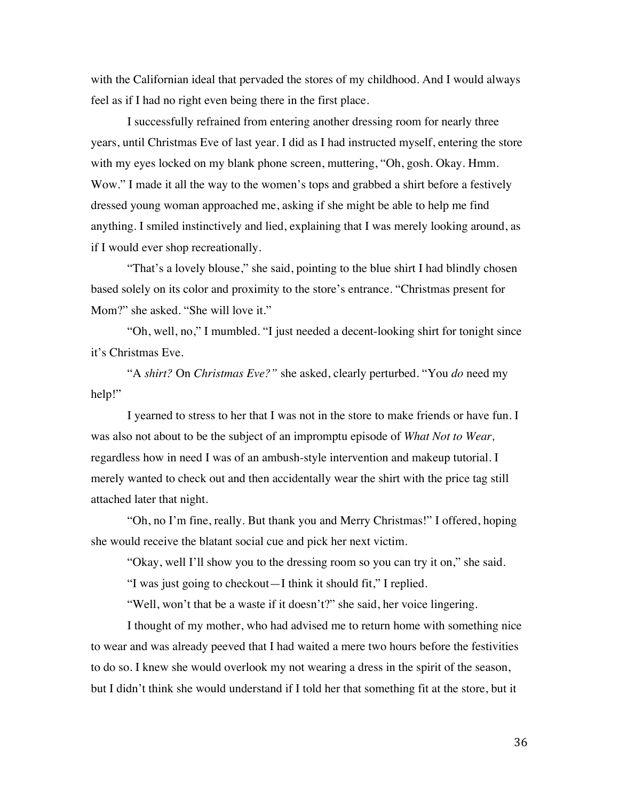with the Californian ideal that pervaded the stores of my childhood. And I would always feel as if I had no right even being there in the first place.

I successfully refrained from entering another dressing room for nearly three years, until Christmas Eve of last year. I did as I had instructed myself, entering the store with my eyes locked on my blank phone screen, muttering, "Oh, gosh. Okay. Hmm. Wow." I made it all the way to the women's tops and grabbed a shirt before a festively dressed young woman approached me, asking if she might be able to help me find anything. I smiled instinctively and lied, explaining that I was merely looking around, as if I would ever shop recreationally.

"That's a lovely blouse," she said, pointing to the blue shirt I had blindly chosen based solely on its color and proximity to the store's entrance. "Christmas present for Mom?" she asked. "She will love it."

"Oh, well, no," I mumbled. "I just needed a decent-looking shirt for tonight since it's Christmas Eve.

"A *shirt?* On *Christmas Eve?"* she asked, clearly perturbed. "You *do* need my help!"

I yearned to stress to her that I was not in the store to make friends or have fun. I was also not about to be the subject of an impromptu episode of *What Not to Wear,*  regardless how in need I was of an ambush-style intervention and makeup tutorial. I merely wanted to check out and then accidentally wear the shirt with the price tag still attached later that night.

"Oh, no I'm fine, really. But thank you and Merry Christmas!" I offered, hoping she would receive the blatant social cue and pick her next victim.

"Okay, well I'll show you to the dressing room so you can try it on," she said.

"I was just going to checkout—I think it should fit," I replied.

"Well, won't that be a waste if it doesn't?" she said, her voice lingering.

I thought of my mother, who had advised me to return home with something nice to wear and was already peeved that I had waited a mere two hours before the festivities to do so. I knew she would overlook my not wearing a dress in the spirit of the season, but I didn't think she would understand if I told her that something fit at the store, but it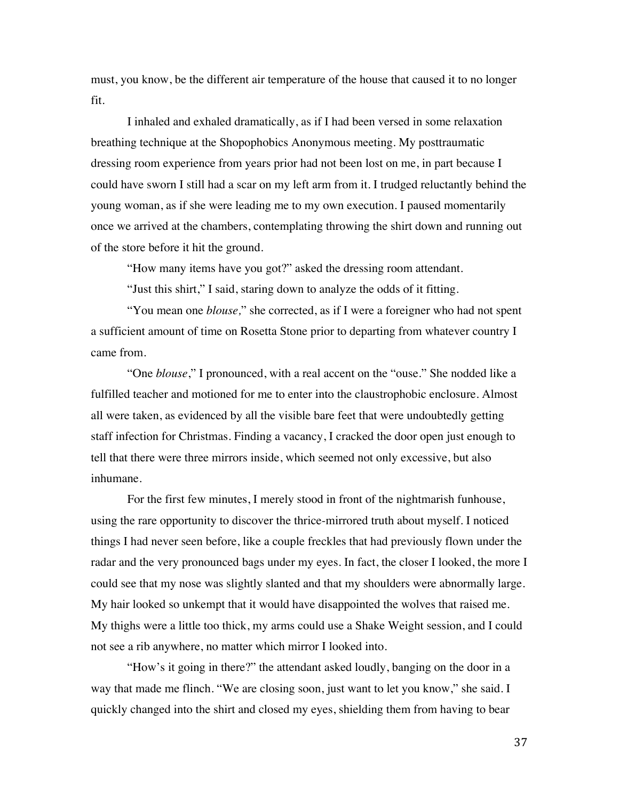must, you know, be the different air temperature of the house that caused it to no longer fit.

I inhaled and exhaled dramatically, as if I had been versed in some relaxation breathing technique at the Shopophobics Anonymous meeting. My posttraumatic dressing room experience from years prior had not been lost on me, in part because I could have sworn I still had a scar on my left arm from it. I trudged reluctantly behind the young woman, as if she were leading me to my own execution. I paused momentarily once we arrived at the chambers, contemplating throwing the shirt down and running out of the store before it hit the ground.

"How many items have you got?" asked the dressing room attendant.

"Just this shirt," I said, staring down to analyze the odds of it fitting.

"You mean one *blouse,*" she corrected, as if I were a foreigner who had not spent a sufficient amount of time on Rosetta Stone prior to departing from whatever country I came from.

"One *blouse*," I pronounced, with a real accent on the "ouse." She nodded like a fulfilled teacher and motioned for me to enter into the claustrophobic enclosure. Almost all were taken, as evidenced by all the visible bare feet that were undoubtedly getting staff infection for Christmas. Finding a vacancy, I cracked the door open just enough to tell that there were three mirrors inside, which seemed not only excessive, but also inhumane.

For the first few minutes, I merely stood in front of the nightmarish funhouse, using the rare opportunity to discover the thrice-mirrored truth about myself. I noticed things I had never seen before, like a couple freckles that had previously flown under the radar and the very pronounced bags under my eyes. In fact, the closer I looked, the more I could see that my nose was slightly slanted and that my shoulders were abnormally large. My hair looked so unkempt that it would have disappointed the wolves that raised me. My thighs were a little too thick, my arms could use a Shake Weight session, and I could not see a rib anywhere, no matter which mirror I looked into.

"How's it going in there?" the attendant asked loudly, banging on the door in a way that made me flinch. "We are closing soon, just want to let you know," she said. I quickly changed into the shirt and closed my eyes, shielding them from having to bear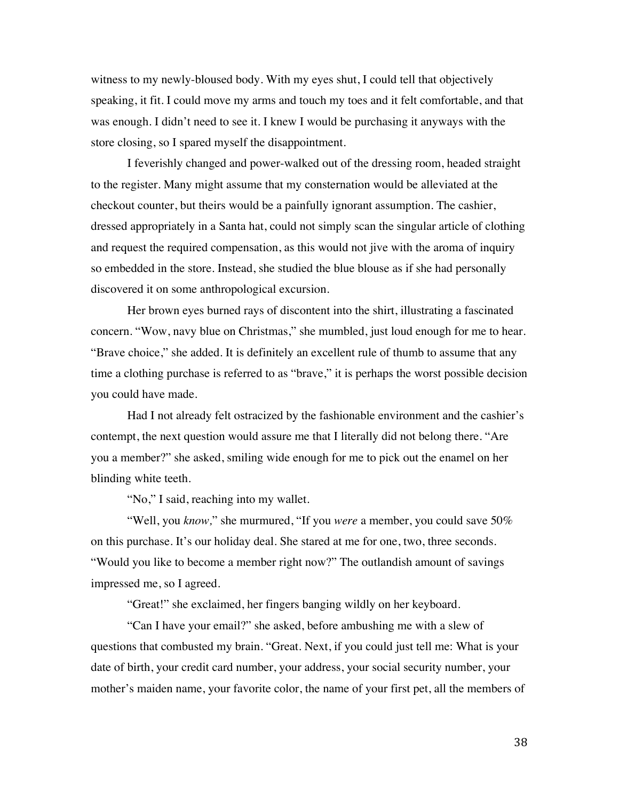witness to my newly-bloused body. With my eyes shut, I could tell that objectively speaking, it fit. I could move my arms and touch my toes and it felt comfortable, and that was enough. I didn't need to see it. I knew I would be purchasing it anyways with the store closing, so I spared myself the disappointment.

I feverishly changed and power-walked out of the dressing room, headed straight to the register. Many might assume that my consternation would be alleviated at the checkout counter, but theirs would be a painfully ignorant assumption. The cashier, dressed appropriately in a Santa hat, could not simply scan the singular article of clothing and request the required compensation, as this would not jive with the aroma of inquiry so embedded in the store. Instead, she studied the blue blouse as if she had personally discovered it on some anthropological excursion.

Her brown eyes burned rays of discontent into the shirt, illustrating a fascinated concern. "Wow, navy blue on Christmas," she mumbled, just loud enough for me to hear. "Brave choice," she added. It is definitely an excellent rule of thumb to assume that any time a clothing purchase is referred to as "brave," it is perhaps the worst possible decision you could have made.

Had I not already felt ostracized by the fashionable environment and the cashier's contempt, the next question would assure me that I literally did not belong there. "Are you a member?" she asked, smiling wide enough for me to pick out the enamel on her blinding white teeth.

"No," I said, reaching into my wallet.

"Well, you *know,*" she murmured, "If you *were* a member, you could save 50% on this purchase. It's our holiday deal. She stared at me for one, two, three seconds. "Would you like to become a member right now?" The outlandish amount of savings impressed me, so I agreed.

"Great!" she exclaimed, her fingers banging wildly on her keyboard.

"Can I have your email?" she asked, before ambushing me with a slew of questions that combusted my brain. "Great. Next, if you could just tell me: What is your date of birth, your credit card number, your address, your social security number, your mother's maiden name, your favorite color, the name of your first pet, all the members of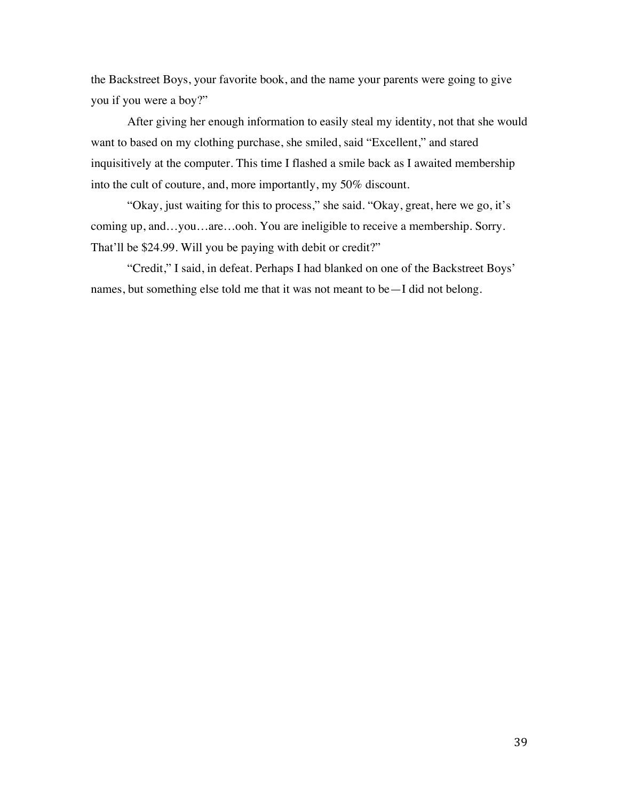the Backstreet Boys, your favorite book, and the name your parents were going to give you if you were a boy?"

After giving her enough information to easily steal my identity, not that she would want to based on my clothing purchase, she smiled, said "Excellent," and stared inquisitively at the computer. This time I flashed a smile back as I awaited membership into the cult of couture, and, more importantly, my 50% discount.

"Okay, just waiting for this to process," she said. "Okay, great, here we go, it's coming up, and…you…are…ooh. You are ineligible to receive a membership. Sorry. That'll be \$24.99. Will you be paying with debit or credit?"

"Credit," I said, in defeat. Perhaps I had blanked on one of the Backstreet Boys' names, but something else told me that it was not meant to be—I did not belong.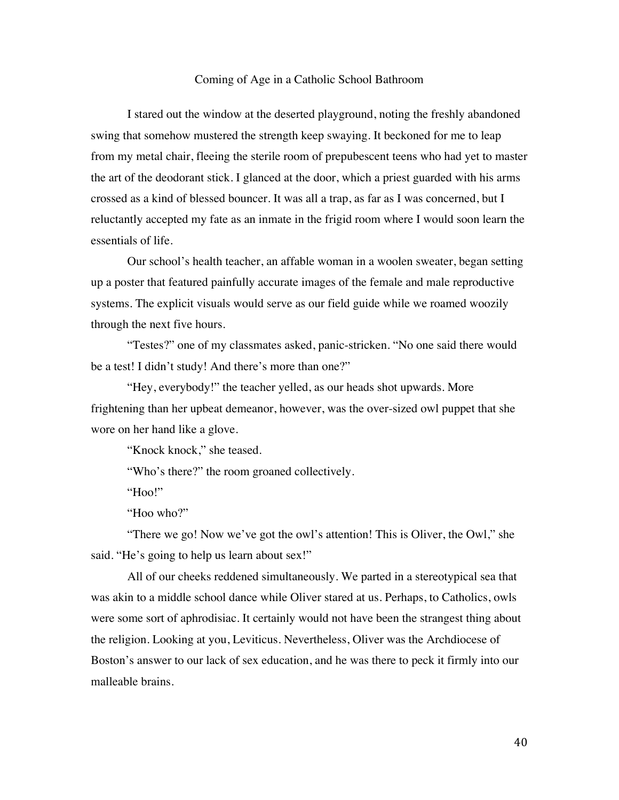## Coming of Age in a Catholic School Bathroom

I stared out the window at the deserted playground, noting the freshly abandoned swing that somehow mustered the strength keep swaying. It beckoned for me to leap from my metal chair, fleeing the sterile room of prepubescent teens who had yet to master the art of the deodorant stick. I glanced at the door, which a priest guarded with his arms crossed as a kind of blessed bouncer. It was all a trap, as far as I was concerned, but I reluctantly accepted my fate as an inmate in the frigid room where I would soon learn the essentials of life.

Our school's health teacher, an affable woman in a woolen sweater, began setting up a poster that featured painfully accurate images of the female and male reproductive systems. The explicit visuals would serve as our field guide while we roamed woozily through the next five hours.

"Testes?" one of my classmates asked, panic-stricken. "No one said there would be a test! I didn't study! And there's more than one?"

"Hey, everybody!" the teacher yelled, as our heads shot upwards. More frightening than her upbeat demeanor, however, was the over-sized owl puppet that she wore on her hand like a glove.

"Knock knock," she teased.

"Who's there?" the room groaned collectively.

"Hoo!"

"Hoo who?"

"There we go! Now we've got the owl's attention! This is Oliver, the Owl," she said. "He's going to help us learn about sex!"

All of our cheeks reddened simultaneously. We parted in a stereotypical sea that was akin to a middle school dance while Oliver stared at us. Perhaps, to Catholics, owls were some sort of aphrodisiac. It certainly would not have been the strangest thing about the religion. Looking at you, Leviticus. Nevertheless, Oliver was the Archdiocese of Boston's answer to our lack of sex education, and he was there to peck it firmly into our malleable brains.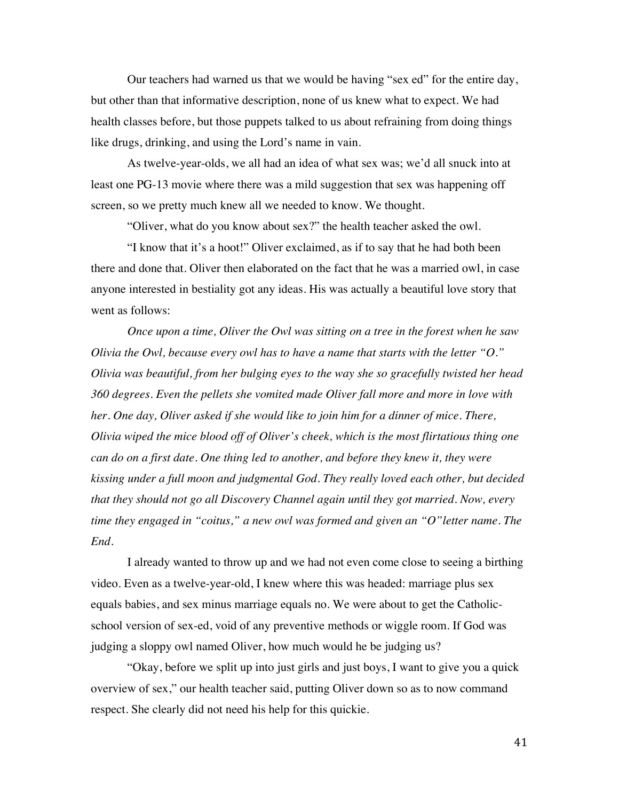Our teachers had warned us that we would be having "sex ed" for the entire day, but other than that informative description, none of us knew what to expect. We had health classes before, but those puppets talked to us about refraining from doing things like drugs, drinking, and using the Lord's name in vain.

As twelve-year-olds, we all had an idea of what sex was; we'd all snuck into at least one PG-13 movie where there was a mild suggestion that sex was happening off screen, so we pretty much knew all we needed to know. We thought.

"Oliver, what do you know about sex?" the health teacher asked the owl.

"I know that it's a hoot!" Oliver exclaimed, as if to say that he had both been there and done that. Oliver then elaborated on the fact that he was a married owl, in case anyone interested in bestiality got any ideas. His was actually a beautiful love story that went as follows:

*Once upon a time, Oliver the Owl was sitting on a tree in the forest when he saw Olivia the Owl, because every owl has to have a name that starts with the letter "O." Olivia was beautiful, from her bulging eyes to the way she so gracefully twisted her head 360 degrees. Even the pellets she vomited made Oliver fall more and more in love with her. One day, Oliver asked if she would like to join him for a dinner of mice. There, Olivia wiped the mice blood off of Oliver's cheek, which is the most flirtatious thing one can do on a first date. One thing led to another, and before they knew it, they were kissing under a full moon and judgmental God. They really loved each other, but decided that they should not go all Discovery Channel again until they got married. Now, every time they engaged in "coitus," a new owl was formed and given an "O"letter name. The End.* 

I already wanted to throw up and we had not even come close to seeing a birthing video. Even as a twelve-year-old, I knew where this was headed: marriage plus sex equals babies, and sex minus marriage equals no. We were about to get the Catholicschool version of sex-ed, void of any preventive methods or wiggle room. If God was judging a sloppy owl named Oliver, how much would he be judging us?

"Okay, before we split up into just girls and just boys, I want to give you a quick overview of sex," our health teacher said, putting Oliver down so as to now command respect. She clearly did not need his help for this quickie.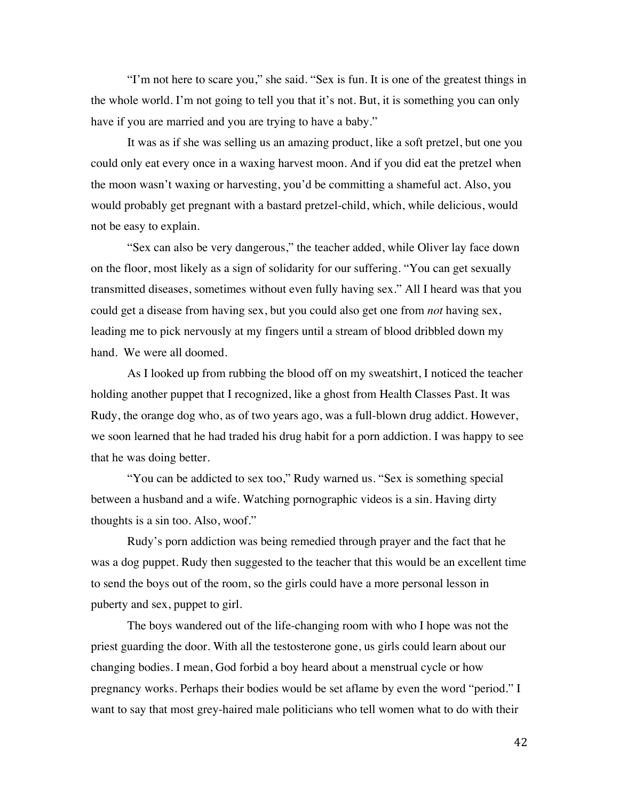"I'm not here to scare you," she said. "Sex is fun. It is one of the greatest things in the whole world. I'm not going to tell you that it's not. But, it is something you can only have if you are married and you are trying to have a baby."

It was as if she was selling us an amazing product, like a soft pretzel, but one you could only eat every once in a waxing harvest moon. And if you did eat the pretzel when the moon wasn't waxing or harvesting, you'd be committing a shameful act. Also, you would probably get pregnant with a bastard pretzel-child, which, while delicious, would not be easy to explain.

"Sex can also be very dangerous," the teacher added, while Oliver lay face down on the floor, most likely as a sign of solidarity for our suffering. "You can get sexually transmitted diseases, sometimes without even fully having sex." All I heard was that you could get a disease from having sex, but you could also get one from *not* having sex, leading me to pick nervously at my fingers until a stream of blood dribbled down my hand. We were all doomed.

As I looked up from rubbing the blood off on my sweatshirt, I noticed the teacher holding another puppet that I recognized, like a ghost from Health Classes Past. It was Rudy, the orange dog who, as of two years ago, was a full-blown drug addict. However, we soon learned that he had traded his drug habit for a porn addiction. I was happy to see that he was doing better.

"You can be addicted to sex too," Rudy warned us. "Sex is something special between a husband and a wife. Watching pornographic videos is a sin. Having dirty thoughts is a sin too. Also, woof."

Rudy's porn addiction was being remedied through prayer and the fact that he was a dog puppet. Rudy then suggested to the teacher that this would be an excellent time to send the boys out of the room, so the girls could have a more personal lesson in puberty and sex, puppet to girl.

The boys wandered out of the life-changing room with who I hope was not the priest guarding the door. With all the testosterone gone, us girls could learn about our changing bodies. I mean, God forbid a boy heard about a menstrual cycle or how pregnancy works. Perhaps their bodies would be set aflame by even the word "period." I want to say that most grey-haired male politicians who tell women what to do with their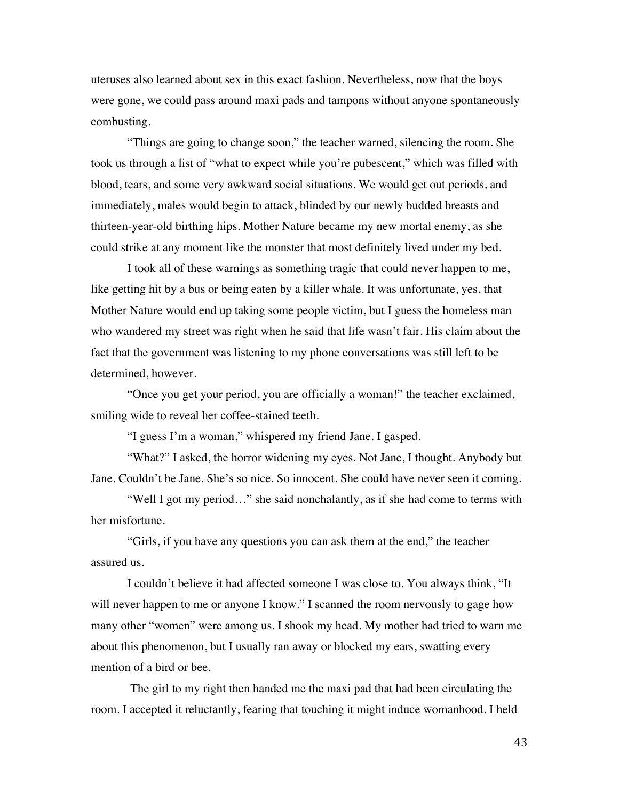uteruses also learned about sex in this exact fashion. Nevertheless, now that the boys were gone, we could pass around maxi pads and tampons without anyone spontaneously combusting.

"Things are going to change soon," the teacher warned, silencing the room. She took us through a list of "what to expect while you're pubescent," which was filled with blood, tears, and some very awkward social situations. We would get out periods, and immediately, males would begin to attack, blinded by our newly budded breasts and thirteen-year-old birthing hips. Mother Nature became my new mortal enemy, as she could strike at any moment like the monster that most definitely lived under my bed.

I took all of these warnings as something tragic that could never happen to me, like getting hit by a bus or being eaten by a killer whale. It was unfortunate, yes, that Mother Nature would end up taking some people victim, but I guess the homeless man who wandered my street was right when he said that life wasn't fair. His claim about the fact that the government was listening to my phone conversations was still left to be determined, however.

"Once you get your period, you are officially a woman!" the teacher exclaimed, smiling wide to reveal her coffee-stained teeth.

"I guess I'm a woman," whispered my friend Jane. I gasped.

"What?" I asked, the horror widening my eyes. Not Jane, I thought. Anybody but Jane. Couldn't be Jane. She's so nice. So innocent. She could have never seen it coming.

"Well I got my period…" she said nonchalantly, as if she had come to terms with her misfortune.

"Girls, if you have any questions you can ask them at the end," the teacher assured us.

I couldn't believe it had affected someone I was close to. You always think, "It will never happen to me or anyone I know." I scanned the room nervously to gage how many other "women" were among us. I shook my head. My mother had tried to warn me about this phenomenon, but I usually ran away or blocked my ears, swatting every mention of a bird or bee.

The girl to my right then handed me the maxi pad that had been circulating the room. I accepted it reluctantly, fearing that touching it might induce womanhood. I held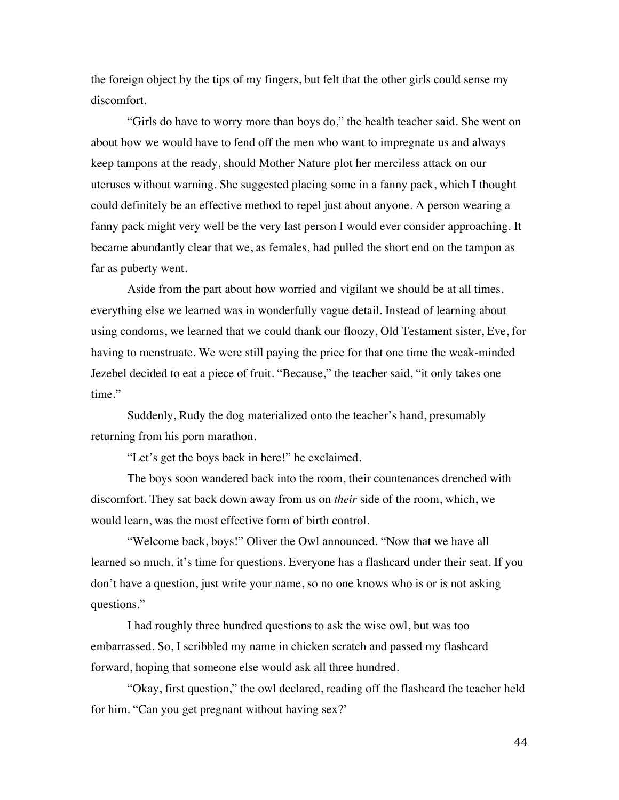the foreign object by the tips of my fingers, but felt that the other girls could sense my discomfort.

"Girls do have to worry more than boys do," the health teacher said. She went on about how we would have to fend off the men who want to impregnate us and always keep tampons at the ready, should Mother Nature plot her merciless attack on our uteruses without warning. She suggested placing some in a fanny pack, which I thought could definitely be an effective method to repel just about anyone. A person wearing a fanny pack might very well be the very last person I would ever consider approaching. It became abundantly clear that we, as females, had pulled the short end on the tampon as far as puberty went.

Aside from the part about how worried and vigilant we should be at all times, everything else we learned was in wonderfully vague detail. Instead of learning about using condoms, we learned that we could thank our floozy, Old Testament sister, Eve, for having to menstruate. We were still paying the price for that one time the weak-minded Jezebel decided to eat a piece of fruit. "Because," the teacher said, "it only takes one time."

Suddenly, Rudy the dog materialized onto the teacher's hand, presumably returning from his porn marathon.

"Let's get the boys back in here!" he exclaimed.

The boys soon wandered back into the room, their countenances drenched with discomfort. They sat back down away from us on *their* side of the room, which, we would learn, was the most effective form of birth control.

"Welcome back, boys!" Oliver the Owl announced. "Now that we have all learned so much, it's time for questions. Everyone has a flashcard under their seat. If you don't have a question, just write your name, so no one knows who is or is not asking questions."

I had roughly three hundred questions to ask the wise owl, but was too embarrassed. So, I scribbled my name in chicken scratch and passed my flashcard forward, hoping that someone else would ask all three hundred.

"Okay, first question," the owl declared, reading off the flashcard the teacher held for him. "Can you get pregnant without having sex?'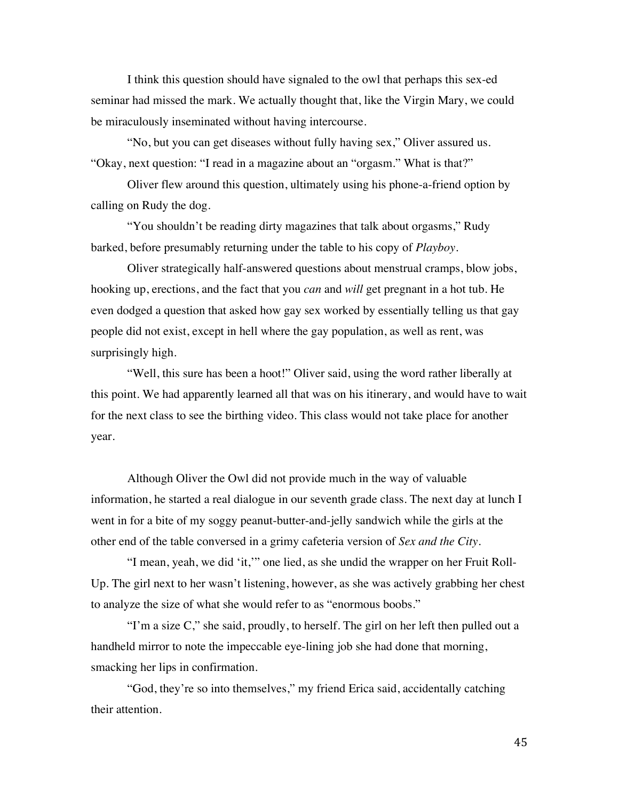I think this question should have signaled to the owl that perhaps this sex-ed seminar had missed the mark. We actually thought that, like the Virgin Mary, we could be miraculously inseminated without having intercourse.

"No, but you can get diseases without fully having sex," Oliver assured us. "Okay, next question: "I read in a magazine about an "orgasm." What is that?"

Oliver flew around this question, ultimately using his phone-a-friend option by calling on Rudy the dog.

"You shouldn't be reading dirty magazines that talk about orgasms," Rudy barked, before presumably returning under the table to his copy of *Playboy.* 

Oliver strategically half-answered questions about menstrual cramps, blow jobs, hooking up, erections, and the fact that you *can* and *will* get pregnant in a hot tub. He even dodged a question that asked how gay sex worked by essentially telling us that gay people did not exist, except in hell where the gay population, as well as rent, was surprisingly high.

"Well, this sure has been a hoot!" Oliver said, using the word rather liberally at this point. We had apparently learned all that was on his itinerary, and would have to wait for the next class to see the birthing video. This class would not take place for another year.

Although Oliver the Owl did not provide much in the way of valuable information, he started a real dialogue in our seventh grade class. The next day at lunch I went in for a bite of my soggy peanut-butter-and-jelly sandwich while the girls at the other end of the table conversed in a grimy cafeteria version of *Sex and the City.* 

"I mean, yeah, we did 'it,'" one lied, as she undid the wrapper on her Fruit Roll-Up. The girl next to her wasn't listening, however, as she was actively grabbing her chest to analyze the size of what she would refer to as "enormous boobs."

"I'm a size C," she said, proudly, to herself. The girl on her left then pulled out a handheld mirror to note the impeccable eye-lining job she had done that morning, smacking her lips in confirmation.

"God, they're so into themselves," my friend Erica said, accidentally catching their attention.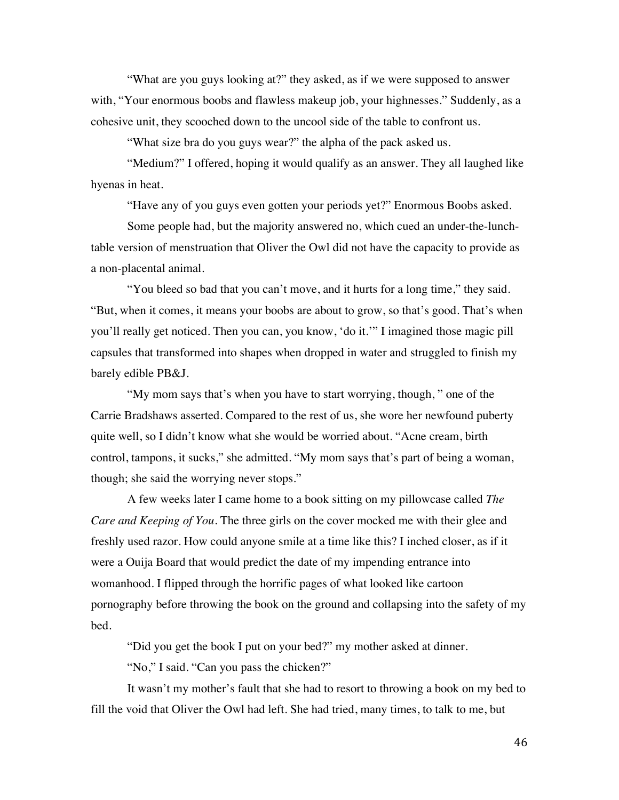"What are you guys looking at?" they asked, as if we were supposed to answer with, "Your enormous boobs and flawless makeup job, your highnesses." Suddenly, as a cohesive unit, they scooched down to the uncool side of the table to confront us.

"What size bra do you guys wear?" the alpha of the pack asked us.

"Medium?" I offered, hoping it would qualify as an answer. They all laughed like hyenas in heat.

"Have any of you guys even gotten your periods yet?" Enormous Boobs asked.

Some people had, but the majority answered no, which cued an under-the-lunchtable version of menstruation that Oliver the Owl did not have the capacity to provide as a non-placental animal.

"You bleed so bad that you can't move, and it hurts for a long time," they said. "But, when it comes, it means your boobs are about to grow, so that's good. That's when you'll really get noticed. Then you can, you know, 'do it.'" I imagined those magic pill capsules that transformed into shapes when dropped in water and struggled to finish my barely edible PB&J.

"My mom says that's when you have to start worrying, though, " one of the Carrie Bradshaws asserted. Compared to the rest of us, she wore her newfound puberty quite well, so I didn't know what she would be worried about. "Acne cream, birth control, tampons, it sucks," she admitted. "My mom says that's part of being a woman, though; she said the worrying never stops."

A few weeks later I came home to a book sitting on my pillowcase called *The Care and Keeping of You*. The three girls on the cover mocked me with their glee and freshly used razor. How could anyone smile at a time like this? I inched closer, as if it were a Ouija Board that would predict the date of my impending entrance into womanhood. I flipped through the horrific pages of what looked like cartoon pornography before throwing the book on the ground and collapsing into the safety of my bed.

"Did you get the book I put on your bed?" my mother asked at dinner.

"No," I said. "Can you pass the chicken?"

It wasn't my mother's fault that she had to resort to throwing a book on my bed to fill the void that Oliver the Owl had left. She had tried, many times, to talk to me, but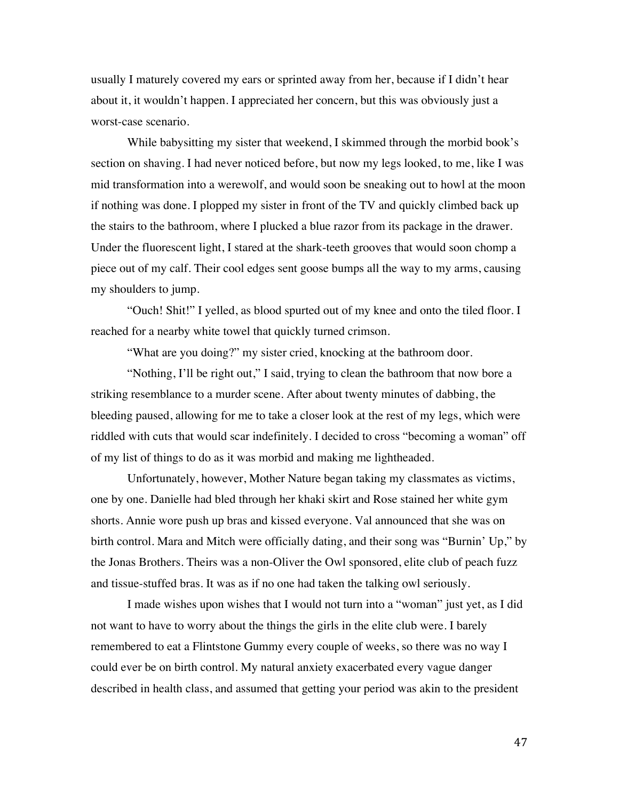usually I maturely covered my ears or sprinted away from her, because if I didn't hear about it, it wouldn't happen. I appreciated her concern, but this was obviously just a worst-case scenario.

While babysitting my sister that weekend, I skimmed through the morbid book's section on shaving. I had never noticed before, but now my legs looked, to me, like I was mid transformation into a werewolf, and would soon be sneaking out to howl at the moon if nothing was done. I plopped my sister in front of the TV and quickly climbed back up the stairs to the bathroom, where I plucked a blue razor from its package in the drawer. Under the fluorescent light, I stared at the shark-teeth grooves that would soon chomp a piece out of my calf. Their cool edges sent goose bumps all the way to my arms, causing my shoulders to jump.

"Ouch! Shit!" I yelled, as blood spurted out of my knee and onto the tiled floor. I reached for a nearby white towel that quickly turned crimson.

"What are you doing?" my sister cried, knocking at the bathroom door.

"Nothing, I'll be right out," I said, trying to clean the bathroom that now bore a striking resemblance to a murder scene. After about twenty minutes of dabbing, the bleeding paused, allowing for me to take a closer look at the rest of my legs, which were riddled with cuts that would scar indefinitely. I decided to cross "becoming a woman" off of my list of things to do as it was morbid and making me lightheaded.

Unfortunately, however, Mother Nature began taking my classmates as victims, one by one. Danielle had bled through her khaki skirt and Rose stained her white gym shorts. Annie wore push up bras and kissed everyone. Val announced that she was on birth control. Mara and Mitch were officially dating, and their song was "Burnin' Up," by the Jonas Brothers. Theirs was a non-Oliver the Owl sponsored, elite club of peach fuzz and tissue-stuffed bras. It was as if no one had taken the talking owl seriously.

I made wishes upon wishes that I would not turn into a "woman" just yet, as I did not want to have to worry about the things the girls in the elite club were. I barely remembered to eat a Flintstone Gummy every couple of weeks, so there was no way I could ever be on birth control. My natural anxiety exacerbated every vague danger described in health class, and assumed that getting your period was akin to the president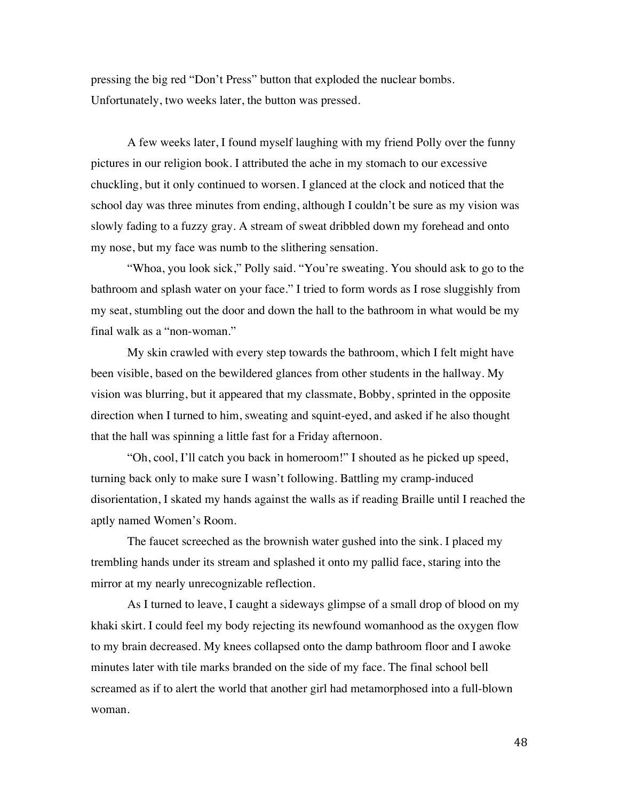pressing the big red "Don't Press" button that exploded the nuclear bombs. Unfortunately, two weeks later, the button was pressed.

A few weeks later, I found myself laughing with my friend Polly over the funny pictures in our religion book. I attributed the ache in my stomach to our excessive chuckling, but it only continued to worsen. I glanced at the clock and noticed that the school day was three minutes from ending, although I couldn't be sure as my vision was slowly fading to a fuzzy gray. A stream of sweat dribbled down my forehead and onto my nose, but my face was numb to the slithering sensation.

"Whoa, you look sick," Polly said. "You're sweating. You should ask to go to the bathroom and splash water on your face." I tried to form words as I rose sluggishly from my seat, stumbling out the door and down the hall to the bathroom in what would be my final walk as a "non-woman."

My skin crawled with every step towards the bathroom, which I felt might have been visible, based on the bewildered glances from other students in the hallway. My vision was blurring, but it appeared that my classmate, Bobby, sprinted in the opposite direction when I turned to him, sweating and squint-eyed, and asked if he also thought that the hall was spinning a little fast for a Friday afternoon.

"Oh, cool, I'll catch you back in homeroom!" I shouted as he picked up speed, turning back only to make sure I wasn't following. Battling my cramp-induced disorientation, I skated my hands against the walls as if reading Braille until I reached the aptly named Women's Room.

The faucet screeched as the brownish water gushed into the sink. I placed my trembling hands under its stream and splashed it onto my pallid face, staring into the mirror at my nearly unrecognizable reflection.

As I turned to leave, I caught a sideways glimpse of a small drop of blood on my khaki skirt. I could feel my body rejecting its newfound womanhood as the oxygen flow to my brain decreased. My knees collapsed onto the damp bathroom floor and I awoke minutes later with tile marks branded on the side of my face. The final school bell screamed as if to alert the world that another girl had metamorphosed into a full-blown woman.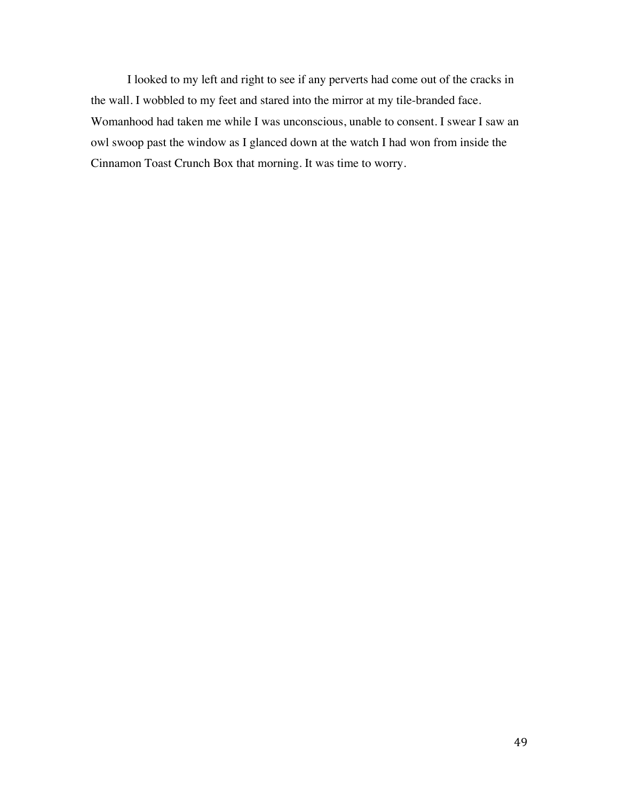I looked to my left and right to see if any perverts had come out of the cracks in the wall. I wobbled to my feet and stared into the mirror at my tile-branded face. Womanhood had taken me while I was unconscious, unable to consent. I swear I saw an owl swoop past the window as I glanced down at the watch I had won from inside the Cinnamon Toast Crunch Box that morning. It was time to worry.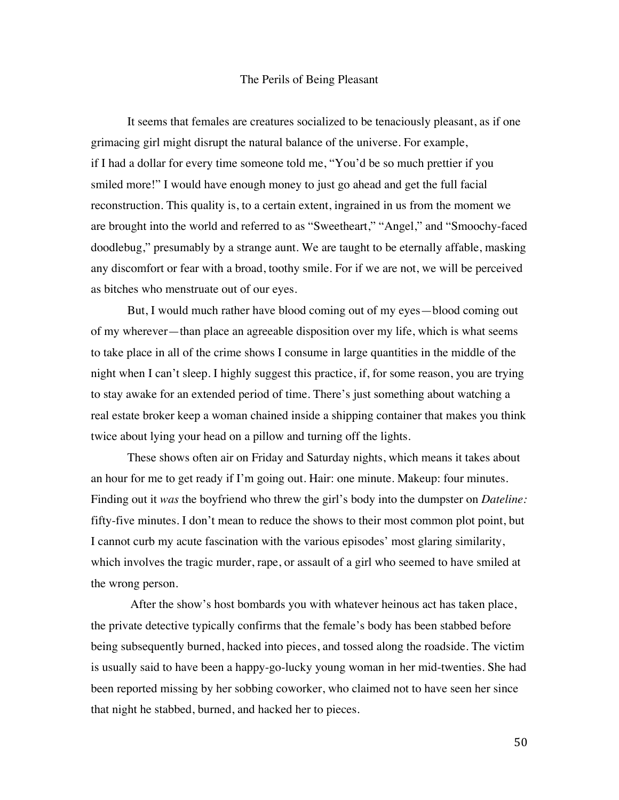## The Perils of Being Pleasant

It seems that females are creatures socialized to be tenaciously pleasant, as if one grimacing girl might disrupt the natural balance of the universe. For example, if I had a dollar for every time someone told me, "You'd be so much prettier if you smiled more!" I would have enough money to just go ahead and get the full facial reconstruction. This quality is, to a certain extent, ingrained in us from the moment we are brought into the world and referred to as "Sweetheart," "Angel," and "Smoochy-faced doodlebug," presumably by a strange aunt. We are taught to be eternally affable, masking any discomfort or fear with a broad, toothy smile. For if we are not, we will be perceived as bitches who menstruate out of our eyes.

But, I would much rather have blood coming out of my eyes—blood coming out of my wherever—than place an agreeable disposition over my life, which is what seems to take place in all of the crime shows I consume in large quantities in the middle of the night when I can't sleep. I highly suggest this practice, if, for some reason, you are trying to stay awake for an extended period of time. There's just something about watching a real estate broker keep a woman chained inside a shipping container that makes you think twice about lying your head on a pillow and turning off the lights.

These shows often air on Friday and Saturday nights, which means it takes about an hour for me to get ready if I'm going out. Hair: one minute. Makeup: four minutes. Finding out it *was* the boyfriend who threw the girl's body into the dumpster on *Dateline:*  fifty-five minutes. I don't mean to reduce the shows to their most common plot point, but I cannot curb my acute fascination with the various episodes' most glaring similarity, which involves the tragic murder, rape, or assault of a girl who seemed to have smiled at the wrong person.

After the show's host bombards you with whatever heinous act has taken place, the private detective typically confirms that the female's body has been stabbed before being subsequently burned, hacked into pieces, and tossed along the roadside. The victim is usually said to have been a happy-go-lucky young woman in her mid-twenties. She had been reported missing by her sobbing coworker, who claimed not to have seen her since that night he stabbed, burned, and hacked her to pieces.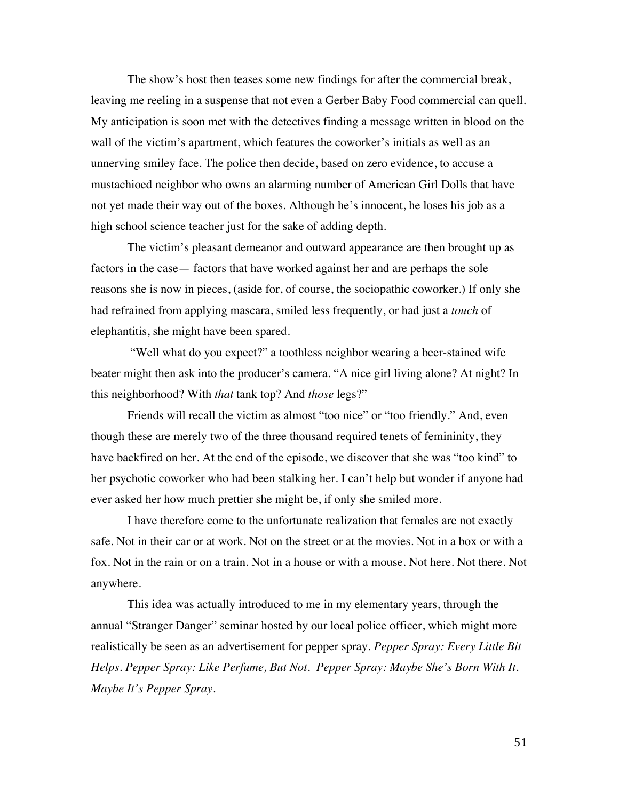The show's host then teases some new findings for after the commercial break, leaving me reeling in a suspense that not even a Gerber Baby Food commercial can quell. My anticipation is soon met with the detectives finding a message written in blood on the wall of the victim's apartment, which features the coworker's initials as well as an unnerving smiley face. The police then decide, based on zero evidence, to accuse a mustachioed neighbor who owns an alarming number of American Girl Dolls that have not yet made their way out of the boxes. Although he's innocent, he loses his job as a high school science teacher just for the sake of adding depth.

The victim's pleasant demeanor and outward appearance are then brought up as factors in the case— factors that have worked against her and are perhaps the sole reasons she is now in pieces, (aside for, of course, the sociopathic coworker.) If only she had refrained from applying mascara, smiled less frequently, or had just a *touch* of elephantitis, she might have been spared.

"Well what do you expect?" a toothless neighbor wearing a beer-stained wife beater might then ask into the producer's camera. "A nice girl living alone? At night? In this neighborhood? With *that* tank top? And *those* legs?"

Friends will recall the victim as almost "too nice" or "too friendly." And, even though these are merely two of the three thousand required tenets of femininity, they have backfired on her. At the end of the episode, we discover that she was "too kind" to her psychotic coworker who had been stalking her. I can't help but wonder if anyone had ever asked her how much prettier she might be, if only she smiled more.

I have therefore come to the unfortunate realization that females are not exactly safe. Not in their car or at work. Not on the street or at the movies. Not in a box or with a fox. Not in the rain or on a train. Not in a house or with a mouse. Not here. Not there. Not anywhere.

This idea was actually introduced to me in my elementary years, through the annual "Stranger Danger" seminar hosted by our local police officer, which might more realistically be seen as an advertisement for pepper spray. *Pepper Spray: Every Little Bit Helps. Pepper Spray: Like Perfume, But Not. Pepper Spray: Maybe She's Born With It. Maybe It's Pepper Spray.*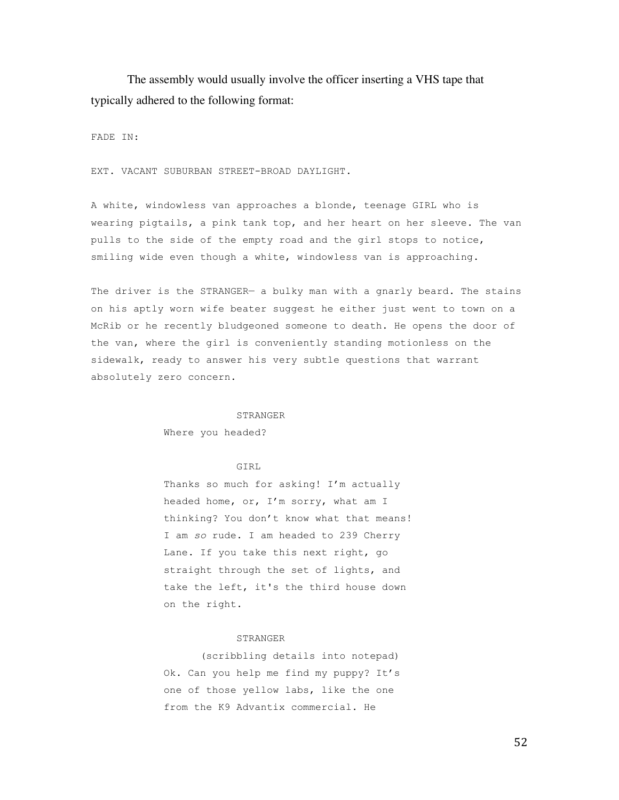The assembly would usually involve the officer inserting a VHS tape that typically adhered to the following format:

FADE IN:

EXT. VACANT SUBURBAN STREET-BROAD DAYLIGHT.

A white, windowless van approaches a blonde, teenage GIRL who is wearing pigtails, a pink tank top, and her heart on her sleeve. The van pulls to the side of the empty road and the girl stops to notice, smiling wide even though a white, windowless van is approaching.

The driver is the STRANGER— a bulky man with a gnarly beard. The stains on his aptly worn wife beater suggest he either just went to town on a McRib or he recently bludgeoned someone to death. He opens the door of the van, where the girl is conveniently standing motionless on the sidewalk, ready to answer his very subtle questions that warrant absolutely zero concern.

#### STRANGER

Where you headed?

### GIRL

Thanks so much for asking! I'm actually headed home, or, I'm sorry, what am I thinking? You don't know what that means! I am *so* rude. I am headed to 239 Cherry Lane. If you take this next right, go straight through the set of lights, and take the left, it's the third house down on the right.

### STRANGER

 (scribbling details into notepad) Ok. Can you help me find my puppy? It's one of those yellow labs, like the one from the K9 Advantix commercial. He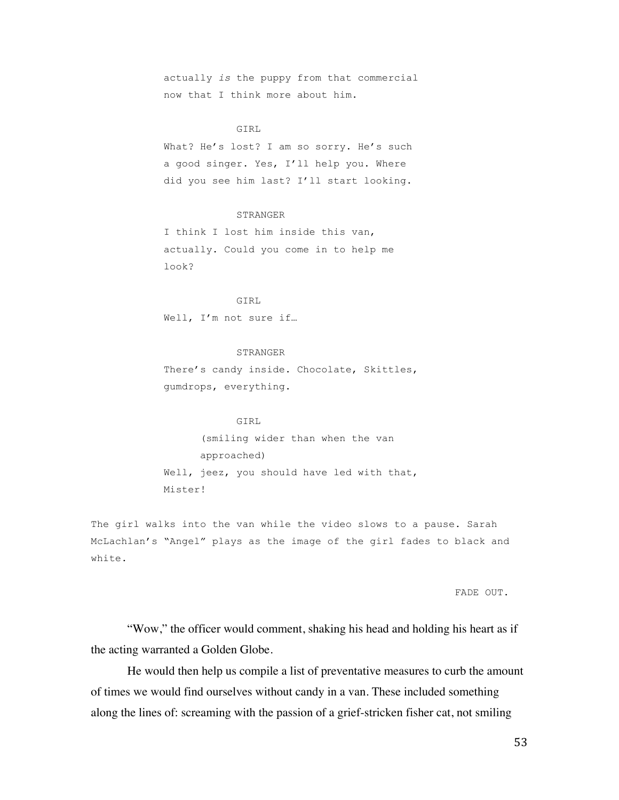actually *is* the puppy from that commercial now that I think more about him.

### GIRL

What? He's lost? I am so sorry. He's such a good singer. Yes, I'll help you. Where did you see him last? I'll start looking.

### STRANGER

I think I lost him inside this van, actually. Could you come in to help me look?

 GIRL Well, I'm not sure if...

### STRANGER

There's candy inside. Chocolate, Skittles, gumdrops, everything.

#### GIRL

(smiling wider than when the van approached) Well, jeez, you should have led with that, Mister!

The girl walks into the van while the video slows to a pause. Sarah McLachlan's "Angel" plays as the image of the girl fades to black and white.

FADE OUT.

"Wow," the officer would comment, shaking his head and holding his heart as if the acting warranted a Golden Globe.

He would then help us compile a list of preventative measures to curb the amount of times we would find ourselves without candy in a van. These included something along the lines of: screaming with the passion of a grief-stricken fisher cat, not smiling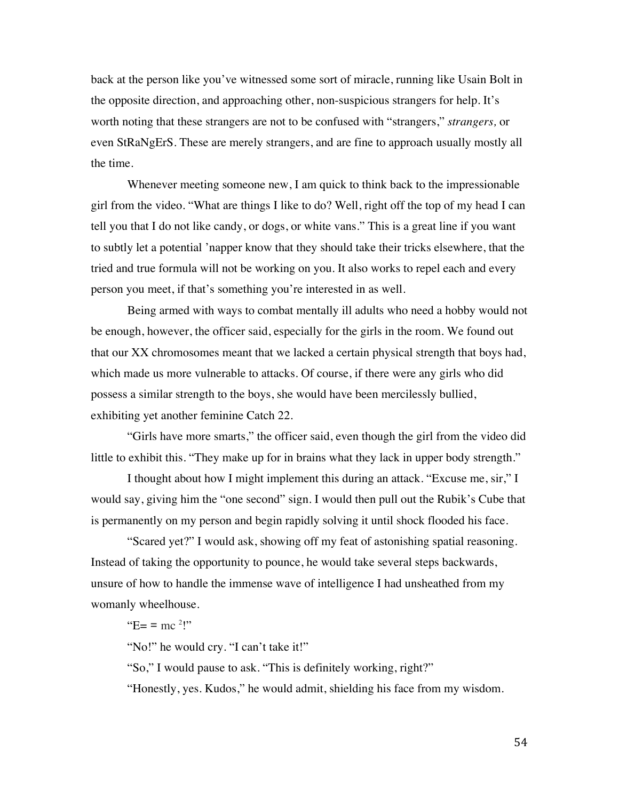back at the person like you've witnessed some sort of miracle, running like Usain Bolt in the opposite direction, and approaching other, non-suspicious strangers for help. It's worth noting that these strangers are not to be confused with "strangers," *strangers,* or even StRaNgErS*.* These are merely strangers, and are fine to approach usually mostly all the time.

Whenever meeting someone new, I am quick to think back to the impressionable girl from the video. "What are things I like to do? Well, right off the top of my head I can tell you that I do not like candy, or dogs, or white vans." This is a great line if you want to subtly let a potential 'napper know that they should take their tricks elsewhere, that the tried and true formula will not be working on you. It also works to repel each and every person you meet, if that's something you're interested in as well.

Being armed with ways to combat mentally ill adults who need a hobby would not be enough, however, the officer said, especially for the girls in the room. We found out that our XX chromosomes meant that we lacked a certain physical strength that boys had, which made us more vulnerable to attacks. Of course, if there were any girls who did possess a similar strength to the boys, she would have been mercilessly bullied, exhibiting yet another feminine Catch 22.

"Girls have more smarts," the officer said, even though the girl from the video did little to exhibit this. "They make up for in brains what they lack in upper body strength."

I thought about how I might implement this during an attack. "Excuse me, sir," I would say, giving him the "one second" sign. I would then pull out the Rubik's Cube that is permanently on my person and begin rapidly solving it until shock flooded his face.

"Scared yet?" I would ask, showing off my feat of astonishing spatial reasoning. Instead of taking the opportunity to pounce, he would take several steps backwards, unsure of how to handle the immense wave of intelligence I had unsheathed from my womanly wheelhouse.

"E= = mc <sup>2</sup>!"

"No!" he would cry. "I can't take it!"

"So," I would pause to ask. "This is definitely working, right?" "Honestly, yes. Kudos," he would admit, shielding his face from my wisdom.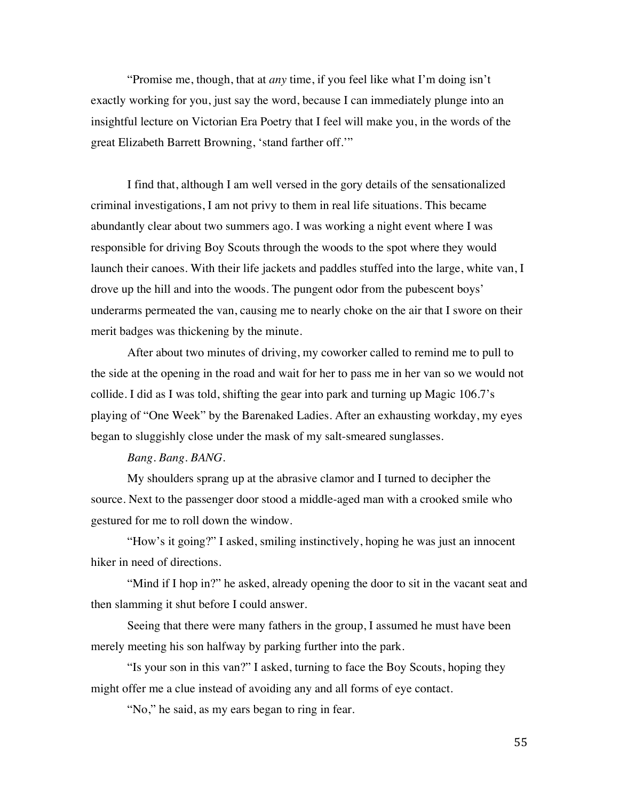"Promise me, though, that at *any* time, if you feel like what I'm doing isn't exactly working for you, just say the word, because I can immediately plunge into an insightful lecture on Victorian Era Poetry that I feel will make you, in the words of the great Elizabeth Barrett Browning, 'stand farther off.'"

I find that, although I am well versed in the gory details of the sensationalized criminal investigations, I am not privy to them in real life situations. This became abundantly clear about two summers ago. I was working a night event where I was responsible for driving Boy Scouts through the woods to the spot where they would launch their canoes. With their life jackets and paddles stuffed into the large, white van, I drove up the hill and into the woods. The pungent odor from the pubescent boys' underarms permeated the van, causing me to nearly choke on the air that I swore on their merit badges was thickening by the minute.

After about two minutes of driving, my coworker called to remind me to pull to the side at the opening in the road and wait for her to pass me in her van so we would not collide. I did as I was told, shifting the gear into park and turning up Magic 106.7's playing of "One Week" by the Barenaked Ladies. After an exhausting workday, my eyes began to sluggishly close under the mask of my salt-smeared sunglasses.

# *Bang. Bang. BANG.*

My shoulders sprang up at the abrasive clamor and I turned to decipher the source. Next to the passenger door stood a middle-aged man with a crooked smile who gestured for me to roll down the window.

"How's it going?" I asked, smiling instinctively, hoping he was just an innocent hiker in need of directions.

"Mind if I hop in?" he asked, already opening the door to sit in the vacant seat and then slamming it shut before I could answer.

Seeing that there were many fathers in the group, I assumed he must have been merely meeting his son halfway by parking further into the park.

"Is your son in this van?" I asked, turning to face the Boy Scouts, hoping they might offer me a clue instead of avoiding any and all forms of eye contact.

"No," he said, as my ears began to ring in fear.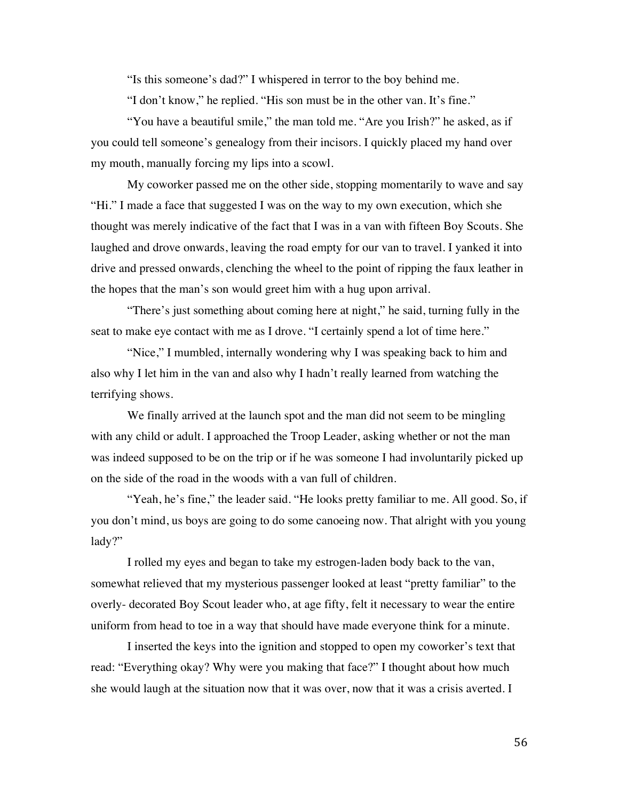"Is this someone's dad?" I whispered in terror to the boy behind me.

"I don't know," he replied. "His son must be in the other van. It's fine."

"You have a beautiful smile," the man told me. "Are you Irish?" he asked, as if you could tell someone's genealogy from their incisors. I quickly placed my hand over my mouth, manually forcing my lips into a scowl.

My coworker passed me on the other side, stopping momentarily to wave and say "Hi." I made a face that suggested I was on the way to my own execution, which she thought was merely indicative of the fact that I was in a van with fifteen Boy Scouts. She laughed and drove onwards, leaving the road empty for our van to travel. I yanked it into drive and pressed onwards, clenching the wheel to the point of ripping the faux leather in the hopes that the man's son would greet him with a hug upon arrival.

"There's just something about coming here at night," he said, turning fully in the seat to make eye contact with me as I drove. "I certainly spend a lot of time here."

"Nice," I mumbled, internally wondering why I was speaking back to him and also why I let him in the van and also why I hadn't really learned from watching the terrifying shows.

We finally arrived at the launch spot and the man did not seem to be mingling with any child or adult. I approached the Troop Leader, asking whether or not the man was indeed supposed to be on the trip or if he was someone I had involuntarily picked up on the side of the road in the woods with a van full of children.

"Yeah, he's fine," the leader said. "He looks pretty familiar to me. All good. So, if you don't mind, us boys are going to do some canoeing now. That alright with you young lady?"

I rolled my eyes and began to take my estrogen-laden body back to the van, somewhat relieved that my mysterious passenger looked at least "pretty familiar" to the overly- decorated Boy Scout leader who, at age fifty, felt it necessary to wear the entire uniform from head to toe in a way that should have made everyone think for a minute.

I inserted the keys into the ignition and stopped to open my coworker's text that read: "Everything okay? Why were you making that face?" I thought about how much she would laugh at the situation now that it was over, now that it was a crisis averted. I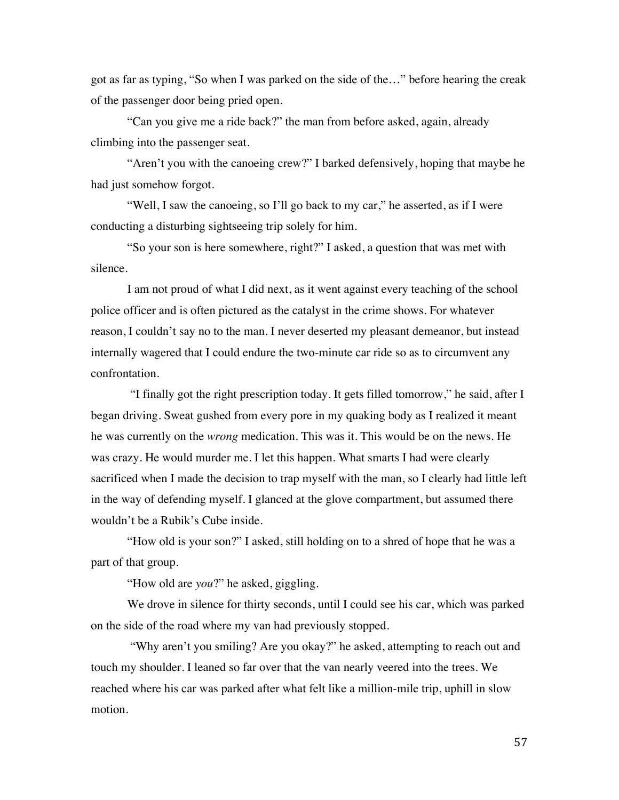got as far as typing, "So when I was parked on the side of the…" before hearing the creak of the passenger door being pried open.

"Can you give me a ride back?" the man from before asked, again, already climbing into the passenger seat.

"Aren't you with the canoeing crew?" I barked defensively, hoping that maybe he had just somehow forgot.

"Well, I saw the canoeing, so I'll go back to my car," he asserted, as if I were conducting a disturbing sightseeing trip solely for him.

"So your son is here somewhere, right?" I asked, a question that was met with silence.

I am not proud of what I did next, as it went against every teaching of the school police officer and is often pictured as the catalyst in the crime shows. For whatever reason, I couldn't say no to the man. I never deserted my pleasant demeanor, but instead internally wagered that I could endure the two-minute car ride so as to circumvent any confrontation.

"I finally got the right prescription today. It gets filled tomorrow," he said, after I began driving. Sweat gushed from every pore in my quaking body as I realized it meant he was currently on the *wrong* medication. This was it. This would be on the news. He was crazy. He would murder me. I let this happen. What smarts I had were clearly sacrificed when I made the decision to trap myself with the man, so I clearly had little left in the way of defending myself. I glanced at the glove compartment, but assumed there wouldn't be a Rubik's Cube inside.

"How old is your son?" I asked, still holding on to a shred of hope that he was a part of that group.

"How old are *you*?" he asked, giggling.

We drove in silence for thirty seconds, until I could see his car, which was parked on the side of the road where my van had previously stopped.

"Why aren't you smiling? Are you okay?" he asked, attempting to reach out and touch my shoulder. I leaned so far over that the van nearly veered into the trees. We reached where his car was parked after what felt like a million-mile trip, uphill in slow motion.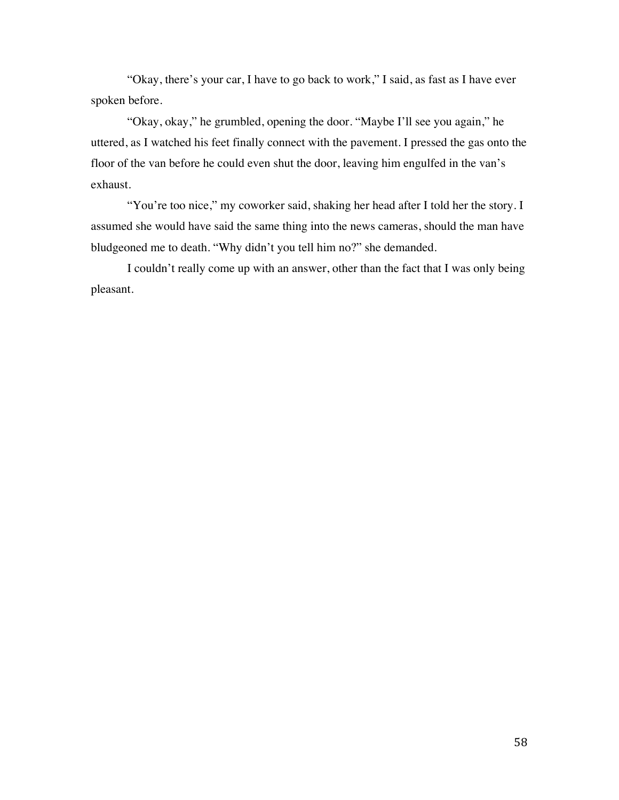"Okay, there's your car, I have to go back to work," I said, as fast as I have ever spoken before.

"Okay, okay," he grumbled, opening the door. "Maybe I'll see you again," he uttered, as I watched his feet finally connect with the pavement. I pressed the gas onto the floor of the van before he could even shut the door, leaving him engulfed in the van's exhaust.

"You're too nice," my coworker said, shaking her head after I told her the story. I assumed she would have said the same thing into the news cameras, should the man have bludgeoned me to death. "Why didn't you tell him no?" she demanded.

I couldn't really come up with an answer, other than the fact that I was only being pleasant.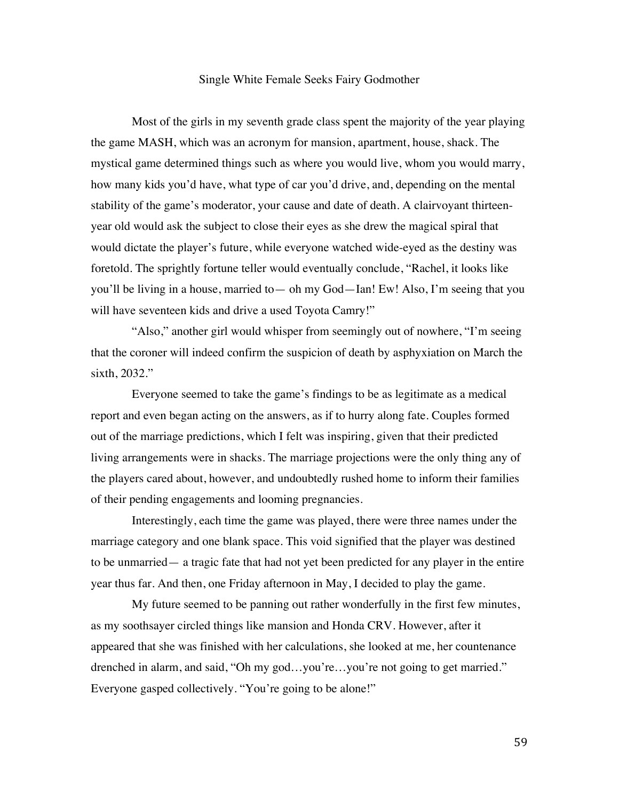# Single White Female Seeks Fairy Godmother

Most of the girls in my seventh grade class spent the majority of the year playing the game MASH, which was an acronym for mansion, apartment, house, shack. The mystical game determined things such as where you would live, whom you would marry, how many kids you'd have, what type of car you'd drive, and, depending on the mental stability of the game's moderator, your cause and date of death. A clairvoyant thirteenyear old would ask the subject to close their eyes as she drew the magical spiral that would dictate the player's future, while everyone watched wide-eyed as the destiny was foretold. The sprightly fortune teller would eventually conclude, "Rachel, it looks like you'll be living in a house, married to— oh my God—Ian! Ew! Also, I'm seeing that you will have seventeen kids and drive a used Toyota Camry!"

"Also," another girl would whisper from seemingly out of nowhere, "I'm seeing that the coroner will indeed confirm the suspicion of death by asphyxiation on March the sixth, 2032."

Everyone seemed to take the game's findings to be as legitimate as a medical report and even began acting on the answers, as if to hurry along fate. Couples formed out of the marriage predictions, which I felt was inspiring, given that their predicted living arrangements were in shacks. The marriage projections were the only thing any of the players cared about, however, and undoubtedly rushed home to inform their families of their pending engagements and looming pregnancies.

Interestingly, each time the game was played, there were three names under the marriage category and one blank space. This void signified that the player was destined to be unmarried— a tragic fate that had not yet been predicted for any player in the entire year thus far. And then, one Friday afternoon in May, I decided to play the game.

My future seemed to be panning out rather wonderfully in the first few minutes, as my soothsayer circled things like mansion and Honda CRV. However, after it appeared that she was finished with her calculations, she looked at me, her countenance drenched in alarm, and said, "Oh my god…you're…you're not going to get married." Everyone gasped collectively. "You're going to be alone!"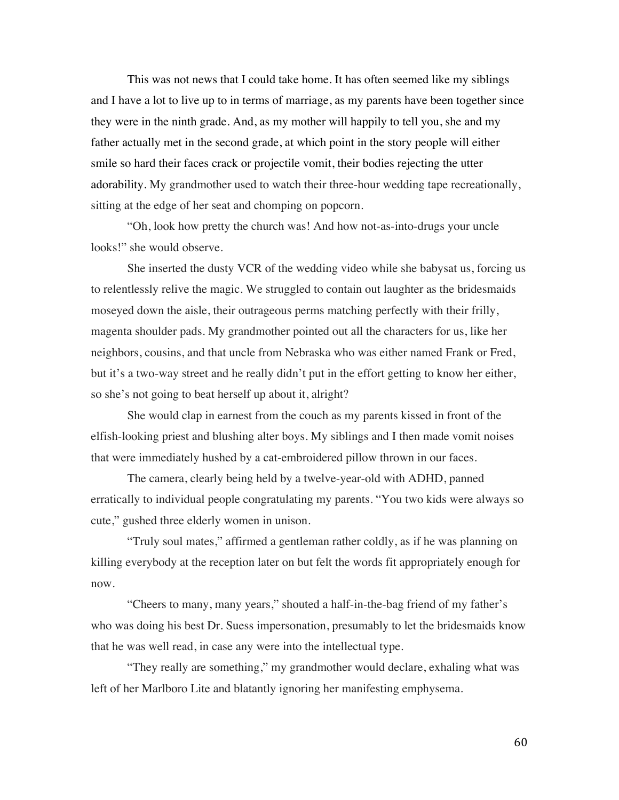This was not news that I could take home. It has often seemed like my siblings and I have a lot to live up to in terms of marriage, as my parents have been together since they were in the ninth grade. And, as my mother will happily to tell you, she and my father actually met in the second grade, at which point in the story people will either smile so hard their faces crack or projectile vomit, their bodies rejecting the utter adorability. My grandmother used to watch their three-hour wedding tape recreationally, sitting at the edge of her seat and chomping on popcorn.

"Oh, look how pretty the church was! And how not-as-into-drugs your uncle looks!" she would observe.

She inserted the dusty VCR of the wedding video while she babysat us, forcing us to relentlessly relive the magic. We struggled to contain out laughter as the bridesmaids moseyed down the aisle, their outrageous perms matching perfectly with their frilly, magenta shoulder pads. My grandmother pointed out all the characters for us, like her neighbors, cousins, and that uncle from Nebraska who was either named Frank or Fred, but it's a two-way street and he really didn't put in the effort getting to know her either, so she's not going to beat herself up about it, alright?

She would clap in earnest from the couch as my parents kissed in front of the elfish-looking priest and blushing alter boys. My siblings and I then made vomit noises that were immediately hushed by a cat-embroidered pillow thrown in our faces.

The camera, clearly being held by a twelve-year-old with ADHD, panned erratically to individual people congratulating my parents. "You two kids were always so cute," gushed three elderly women in unison.

"Truly soul mates," affirmed a gentleman rather coldly, as if he was planning on killing everybody at the reception later on but felt the words fit appropriately enough for now.

"Cheers to many, many years," shouted a half-in-the-bag friend of my father's who was doing his best Dr. Suess impersonation, presumably to let the bridesmaids know that he was well read, in case any were into the intellectual type.

"They really are something," my grandmother would declare, exhaling what was left of her Marlboro Lite and blatantly ignoring her manifesting emphysema.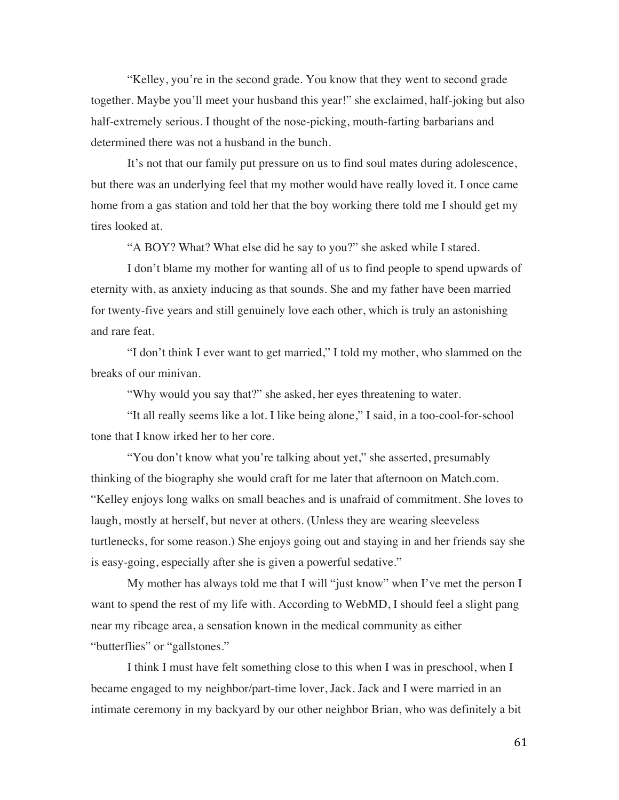"Kelley, you're in the second grade. You know that they went to second grade together. Maybe you'll meet your husband this year!" she exclaimed, half-joking but also half-extremely serious. I thought of the nose-picking, mouth-farting barbarians and determined there was not a husband in the bunch.

It's not that our family put pressure on us to find soul mates during adolescence, but there was an underlying feel that my mother would have really loved it. I once came home from a gas station and told her that the boy working there told me I should get my tires looked at.

"A BOY? What? What else did he say to you?" she asked while I stared.

I don't blame my mother for wanting all of us to find people to spend upwards of eternity with, as anxiety inducing as that sounds. She and my father have been married for twenty-five years and still genuinely love each other, which is truly an astonishing and rare feat.

"I don't think I ever want to get married," I told my mother, who slammed on the breaks of our minivan.

"Why would you say that?" she asked, her eyes threatening to water.

"It all really seems like a lot. I like being alone," I said, in a too-cool-for-school tone that I know irked her to her core.

"You don't know what you're talking about yet," she asserted, presumably thinking of the biography she would craft for me later that afternoon on Match.com. "Kelley enjoys long walks on small beaches and is unafraid of commitment. She loves to laugh, mostly at herself, but never at others. (Unless they are wearing sleeveless turtlenecks, for some reason.) She enjoys going out and staying in and her friends say she is easy-going, especially after she is given a powerful sedative."

My mother has always told me that I will "just know" when I've met the person I want to spend the rest of my life with. According to WebMD, I should feel a slight pang near my ribcage area, a sensation known in the medical community as either "butterflies" or "gallstones."

I think I must have felt something close to this when I was in preschool, when I became engaged to my neighbor/part-time lover, Jack. Jack and I were married in an intimate ceremony in my backyard by our other neighbor Brian, who was definitely a bit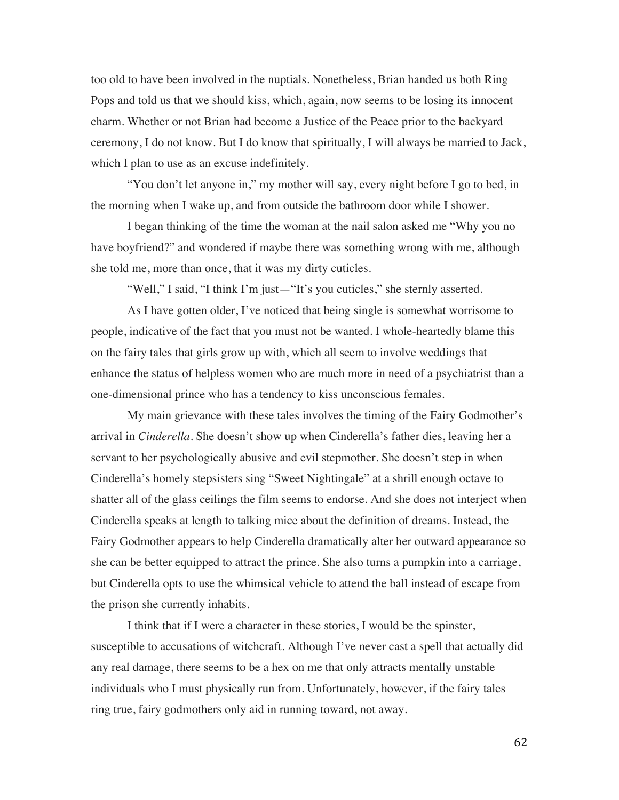too old to have been involved in the nuptials. Nonetheless, Brian handed us both Ring Pops and told us that we should kiss, which, again, now seems to be losing its innocent charm. Whether or not Brian had become a Justice of the Peace prior to the backyard ceremony, I do not know. But I do know that spiritually, I will always be married to Jack, which I plan to use as an excuse indefinitely.

"You don't let anyone in," my mother will say, every night before I go to bed, in the morning when I wake up, and from outside the bathroom door while I shower.

I began thinking of the time the woman at the nail salon asked me "Why you no have boyfriend?" and wondered if maybe there was something wrong with me, although she told me, more than once, that it was my dirty cuticles.

"Well," I said, "I think I'm just—"It's you cuticles," she sternly asserted.

As I have gotten older, I've noticed that being single is somewhat worrisome to people, indicative of the fact that you must not be wanted. I whole-heartedly blame this on the fairy tales that girls grow up with, which all seem to involve weddings that enhance the status of helpless women who are much more in need of a psychiatrist than a one-dimensional prince who has a tendency to kiss unconscious females.

My main grievance with these tales involves the timing of the Fairy Godmother's arrival in *Cinderella.* She doesn't show up when Cinderella's father dies, leaving her a servant to her psychologically abusive and evil stepmother. She doesn't step in when Cinderella's homely stepsisters sing "Sweet Nightingale" at a shrill enough octave to shatter all of the glass ceilings the film seems to endorse. And she does not interject when Cinderella speaks at length to talking mice about the definition of dreams. Instead, the Fairy Godmother appears to help Cinderella dramatically alter her outward appearance so she can be better equipped to attract the prince. She also turns a pumpkin into a carriage, but Cinderella opts to use the whimsical vehicle to attend the ball instead of escape from the prison she currently inhabits.

I think that if I were a character in these stories, I would be the spinster, susceptible to accusations of witchcraft. Although I've never cast a spell that actually did any real damage, there seems to be a hex on me that only attracts mentally unstable individuals who I must physically run from. Unfortunately, however, if the fairy tales ring true, fairy godmothers only aid in running toward, not away.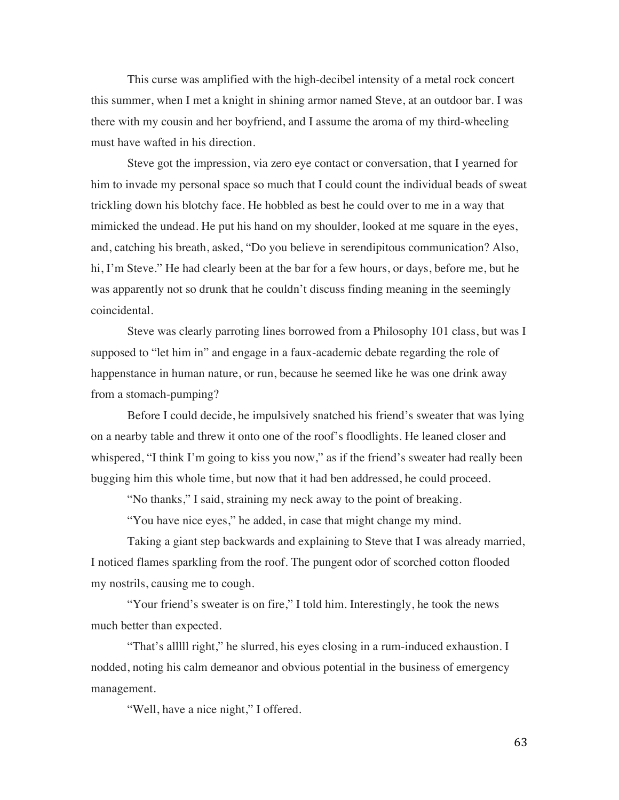This curse was amplified with the high-decibel intensity of a metal rock concert this summer, when I met a knight in shining armor named Steve, at an outdoor bar. I was there with my cousin and her boyfriend, and I assume the aroma of my third-wheeling must have wafted in his direction.

Steve got the impression, via zero eye contact or conversation, that I yearned for him to invade my personal space so much that I could count the individual beads of sweat trickling down his blotchy face. He hobbled as best he could over to me in a way that mimicked the undead. He put his hand on my shoulder, looked at me square in the eyes, and, catching his breath, asked, "Do you believe in serendipitous communication? Also, hi, I'm Steve." He had clearly been at the bar for a few hours, or days, before me, but he was apparently not so drunk that he couldn't discuss finding meaning in the seemingly coincidental.

Steve was clearly parroting lines borrowed from a Philosophy 101 class, but was I supposed to "let him in" and engage in a faux-academic debate regarding the role of happenstance in human nature, or run, because he seemed like he was one drink away from a stomach-pumping?

Before I could decide, he impulsively snatched his friend's sweater that was lying on a nearby table and threw it onto one of the roof's floodlights. He leaned closer and whispered, "I think I'm going to kiss you now," as if the friend's sweater had really been bugging him this whole time, but now that it had ben addressed, he could proceed.

"No thanks," I said, straining my neck away to the point of breaking.

"You have nice eyes," he added, in case that might change my mind.

Taking a giant step backwards and explaining to Steve that I was already married, I noticed flames sparkling from the roof. The pungent odor of scorched cotton flooded my nostrils, causing me to cough.

"Your friend's sweater is on fire," I told him. Interestingly, he took the news much better than expected.

"That's alllll right," he slurred, his eyes closing in a rum-induced exhaustion. I nodded, noting his calm demeanor and obvious potential in the business of emergency management.

"Well, have a nice night," I offered.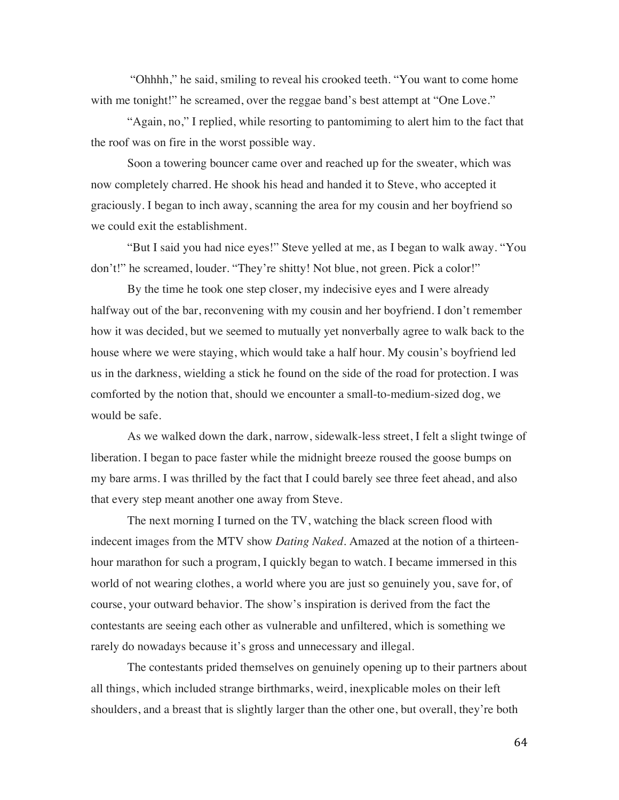"Ohhhh," he said, smiling to reveal his crooked teeth. "You want to come home with me tonight!" he screamed, over the reggae band's best attempt at "One Love."

"Again, no," I replied, while resorting to pantomiming to alert him to the fact that the roof was on fire in the worst possible way.

Soon a towering bouncer came over and reached up for the sweater, which was now completely charred. He shook his head and handed it to Steve, who accepted it graciously. I began to inch away, scanning the area for my cousin and her boyfriend so we could exit the establishment.

"But I said you had nice eyes!" Steve yelled at me, as I began to walk away. "You don't!" he screamed, louder. "They're shitty! Not blue, not green. Pick a color!"

By the time he took one step closer, my indecisive eyes and I were already halfway out of the bar, reconvening with my cousin and her boyfriend. I don't remember how it was decided, but we seemed to mutually yet nonverbally agree to walk back to the house where we were staying, which would take a half hour. My cousin's boyfriend led us in the darkness, wielding a stick he found on the side of the road for protection. I was comforted by the notion that, should we encounter a small-to-medium-sized dog, we would be safe.

As we walked down the dark, narrow, sidewalk-less street, I felt a slight twinge of liberation. I began to pace faster while the midnight breeze roused the goose bumps on my bare arms. I was thrilled by the fact that I could barely see three feet ahead, and also that every step meant another one away from Steve.

The next morning I turned on the TV, watching the black screen flood with indecent images from the MTV show *Dating Naked.* Amazed at the notion of a thirteenhour marathon for such a program, I quickly began to watch. I became immersed in this world of not wearing clothes, a world where you are just so genuinely you, save for, of course, your outward behavior. The show's inspiration is derived from the fact the contestants are seeing each other as vulnerable and unfiltered, which is something we rarely do nowadays because it's gross and unnecessary and illegal.

The contestants prided themselves on genuinely opening up to their partners about all things, which included strange birthmarks, weird, inexplicable moles on their left shoulders, and a breast that is slightly larger than the other one, but overall, they're both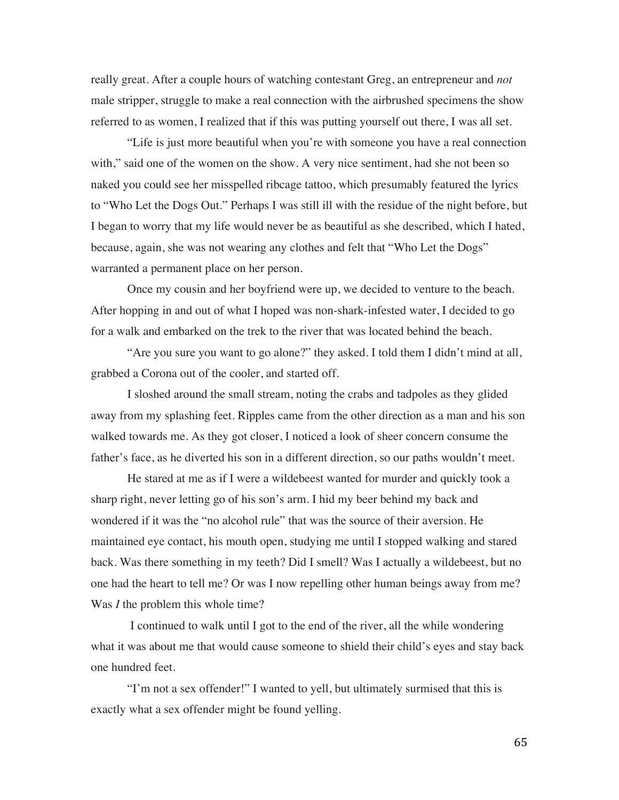really great. After a couple hours of watching contestant Greg, an entrepreneur and *not*  male stripper, struggle to make a real connection with the airbrushed specimens the show referred to as women, I realized that if this was putting yourself out there, I was all set.

"Life is just more beautiful when you're with someone you have a real connection with," said one of the women on the show. A very nice sentiment, had she not been so naked you could see her misspelled ribcage tattoo, which presumably featured the lyrics to "Who Let the Dogs Out." Perhaps I was still ill with the residue of the night before, but I began to worry that my life would never be as beautiful as she described, which I hated, because, again, she was not wearing any clothes and felt that "Who Let the Dogs" warranted a permanent place on her person.

Once my cousin and her boyfriend were up, we decided to venture to the beach. After hopping in and out of what I hoped was non-shark-infested water, I decided to go for a walk and embarked on the trek to the river that was located behind the beach.

"Are you sure you want to go alone?" they asked. I told them I didn't mind at all, grabbed a Corona out of the cooler, and started off.

I sloshed around the small stream, noting the crabs and tadpoles as they glided away from my splashing feet. Ripples came from the other direction as a man and his son walked towards me. As they got closer, I noticed a look of sheer concern consume the father's face, as he diverted his son in a different direction, so our paths wouldn't meet.

He stared at me as if I were a wildebeest wanted for murder and quickly took a sharp right, never letting go of his son's arm. I hid my beer behind my back and wondered if it was the "no alcohol rule" that was the source of their aversion. He maintained eye contact, his mouth open, studying me until I stopped walking and stared back. Was there something in my teeth? Did I smell? Was I actually a wildebeest, but no one had the heart to tell me? Or was I now repelling other human beings away from me? Was *I* the problem this whole time?

I continued to walk until I got to the end of the river, all the while wondering what it was about me that would cause someone to shield their child's eyes and stay back one hundred feet.

"I'm not a sex offender!" I wanted to yell, but ultimately surmised that this is exactly what a sex offender might be found yelling.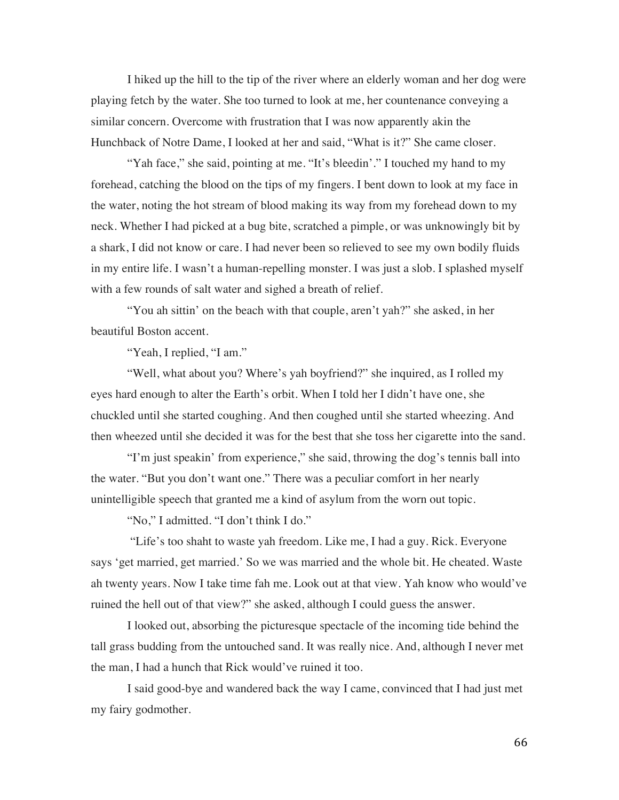I hiked up the hill to the tip of the river where an elderly woman and her dog were playing fetch by the water. She too turned to look at me, her countenance conveying a similar concern. Overcome with frustration that I was now apparently akin the Hunchback of Notre Dame, I looked at her and said, "What is it?" She came closer.

"Yah face," she said, pointing at me. "It's bleedin'." I touched my hand to my forehead, catching the blood on the tips of my fingers. I bent down to look at my face in the water, noting the hot stream of blood making its way from my forehead down to my neck. Whether I had picked at a bug bite, scratched a pimple, or was unknowingly bit by a shark, I did not know or care. I had never been so relieved to see my own bodily fluids in my entire life. I wasn't a human-repelling monster. I was just a slob. I splashed myself with a few rounds of salt water and sighed a breath of relief.

"You ah sittin' on the beach with that couple, aren't yah?" she asked, in her beautiful Boston accent.

"Yeah, I replied, "I am."

"Well, what about you? Where's yah boyfriend?" she inquired, as I rolled my eyes hard enough to alter the Earth's orbit. When I told her I didn't have one, she chuckled until she started coughing. And then coughed until she started wheezing. And then wheezed until she decided it was for the best that she toss her cigarette into the sand.

"I'm just speakin' from experience," she said, throwing the dog's tennis ball into the water. "But you don't want one." There was a peculiar comfort in her nearly unintelligible speech that granted me a kind of asylum from the worn out topic.

"No," I admitted. "I don't think I do."

"Life's too shaht to waste yah freedom. Like me, I had a guy. Rick. Everyone says 'get married, get married.' So we was married and the whole bit. He cheated. Waste ah twenty years. Now I take time fah me. Look out at that view. Yah know who would've ruined the hell out of that view?" she asked, although I could guess the answer.

I looked out, absorbing the picturesque spectacle of the incoming tide behind the tall grass budding from the untouched sand. It was really nice. And, although I never met the man, I had a hunch that Rick would've ruined it too.

I said good-bye and wandered back the way I came, convinced that I had just met my fairy godmother.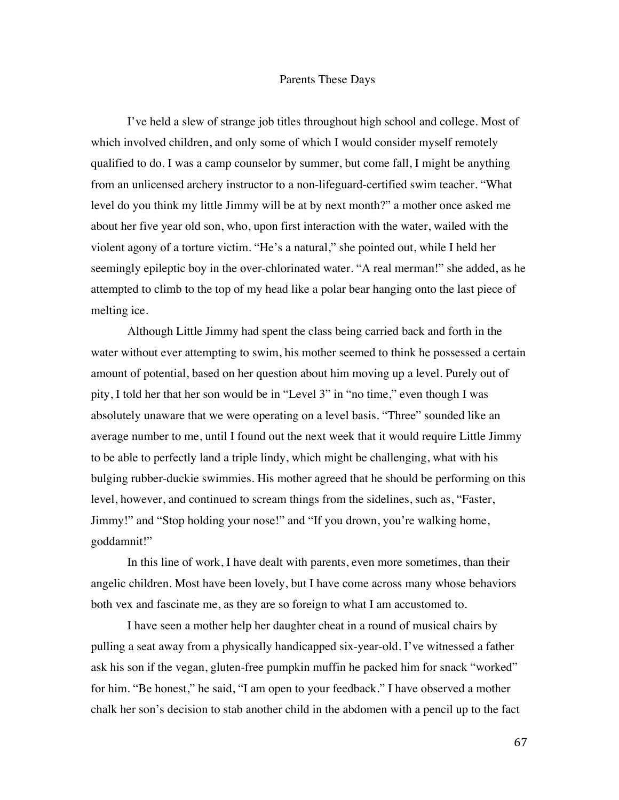## Parents These Days

I've held a slew of strange job titles throughout high school and college. Most of which involved children, and only some of which I would consider myself remotely qualified to do. I was a camp counselor by summer, but come fall, I might be anything from an unlicensed archery instructor to a non-lifeguard-certified swim teacher. "What level do you think my little Jimmy will be at by next month?" a mother once asked me about her five year old son, who, upon first interaction with the water, wailed with the violent agony of a torture victim. "He's a natural," she pointed out, while I held her seemingly epileptic boy in the over-chlorinated water. "A real merman!" she added, as he attempted to climb to the top of my head like a polar bear hanging onto the last piece of melting ice.

Although Little Jimmy had spent the class being carried back and forth in the water without ever attempting to swim, his mother seemed to think he possessed a certain amount of potential, based on her question about him moving up a level. Purely out of pity, I told her that her son would be in "Level 3" in "no time," even though I was absolutely unaware that we were operating on a level basis. "Three" sounded like an average number to me, until I found out the next week that it would require Little Jimmy to be able to perfectly land a triple lindy, which might be challenging, what with his bulging rubber-duckie swimmies. His mother agreed that he should be performing on this level, however, and continued to scream things from the sidelines, such as, "Faster, Jimmy!" and "Stop holding your nose!" and "If you drown, you're walking home, goddamnit!"

In this line of work, I have dealt with parents, even more sometimes, than their angelic children. Most have been lovely, but I have come across many whose behaviors both vex and fascinate me, as they are so foreign to what I am accustomed to.

I have seen a mother help her daughter cheat in a round of musical chairs by pulling a seat away from a physically handicapped six-year-old. I've witnessed a father ask his son if the vegan, gluten-free pumpkin muffin he packed him for snack "worked" for him. "Be honest," he said, "I am open to your feedback." I have observed a mother chalk her son's decision to stab another child in the abdomen with a pencil up to the fact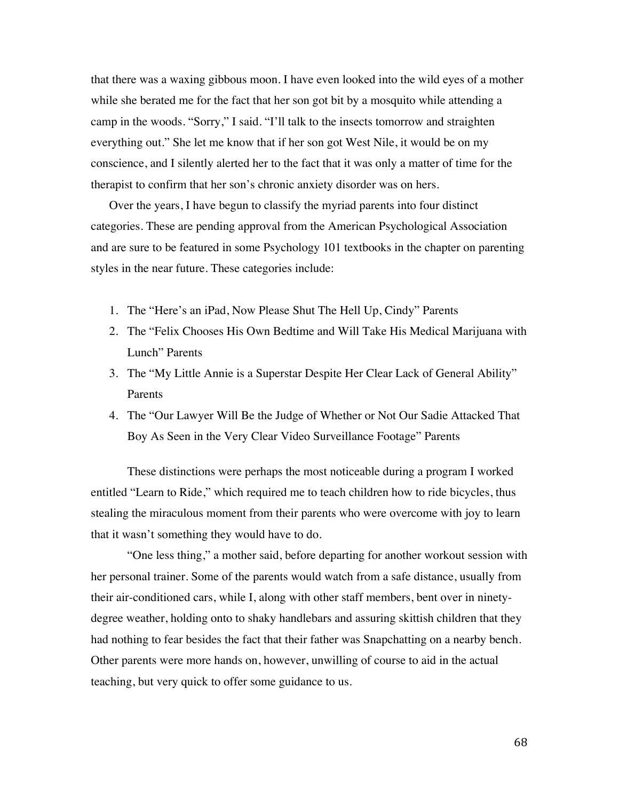that there was a waxing gibbous moon. I have even looked into the wild eyes of a mother while she berated me for the fact that her son got bit by a mosquito while attending a camp in the woods. "Sorry," I said. "I'll talk to the insects tomorrow and straighten everything out." She let me know that if her son got West Nile, it would be on my conscience, and I silently alerted her to the fact that it was only a matter of time for the therapist to confirm that her son's chronic anxiety disorder was on hers.

Over the years, I have begun to classify the myriad parents into four distinct categories. These are pending approval from the American Psychological Association and are sure to be featured in some Psychology 101 textbooks in the chapter on parenting styles in the near future. These categories include:

- 1. The "Here's an iPad, Now Please Shut The Hell Up, Cindy" Parents
- 2. The "Felix Chooses His Own Bedtime and Will Take His Medical Marijuana with Lunch" Parents
- 3. The "My Little Annie is a Superstar Despite Her Clear Lack of General Ability" Parents
- 4. The "Our Lawyer Will Be the Judge of Whether or Not Our Sadie Attacked That Boy As Seen in the Very Clear Video Surveillance Footage" Parents

These distinctions were perhaps the most noticeable during a program I worked entitled "Learn to Ride," which required me to teach children how to ride bicycles, thus stealing the miraculous moment from their parents who were overcome with joy to learn that it wasn't something they would have to do.

"One less thing," a mother said, before departing for another workout session with her personal trainer. Some of the parents would watch from a safe distance, usually from their air-conditioned cars, while I, along with other staff members, bent over in ninetydegree weather, holding onto to shaky handlebars and assuring skittish children that they had nothing to fear besides the fact that their father was Snapchatting on a nearby bench. Other parents were more hands on, however, unwilling of course to aid in the actual teaching, but very quick to offer some guidance to us.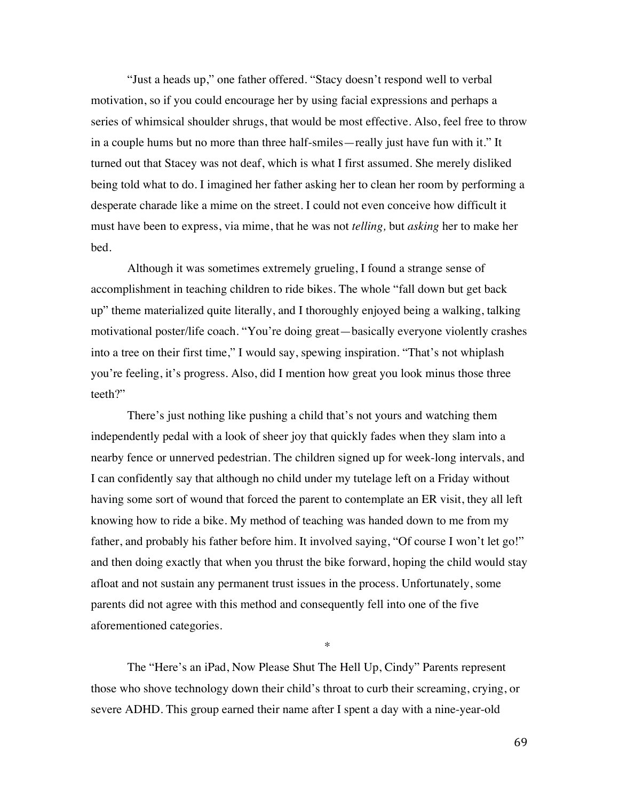"Just a heads up," one father offered. "Stacy doesn't respond well to verbal motivation, so if you could encourage her by using facial expressions and perhaps a series of whimsical shoulder shrugs, that would be most effective. Also, feel free to throw in a couple hums but no more than three half-smiles—really just have fun with it." It turned out that Stacey was not deaf, which is what I first assumed. She merely disliked being told what to do. I imagined her father asking her to clean her room by performing a desperate charade like a mime on the street. I could not even conceive how difficult it must have been to express, via mime, that he was not *telling,* but *asking* her to make her bed.

Although it was sometimes extremely grueling, I found a strange sense of accomplishment in teaching children to ride bikes. The whole "fall down but get back up" theme materialized quite literally, and I thoroughly enjoyed being a walking, talking motivational poster/life coach. "You're doing great—basically everyone violently crashes into a tree on their first time," I would say, spewing inspiration. "That's not whiplash you're feeling, it's progress. Also, did I mention how great you look minus those three teeth?"

There's just nothing like pushing a child that's not yours and watching them independently pedal with a look of sheer joy that quickly fades when they slam into a nearby fence or unnerved pedestrian. The children signed up for week-long intervals, and I can confidently say that although no child under my tutelage left on a Friday without having some sort of wound that forced the parent to contemplate an ER visit, they all left knowing how to ride a bike. My method of teaching was handed down to me from my father, and probably his father before him. It involved saying, "Of course I won't let go!" and then doing exactly that when you thrust the bike forward, hoping the child would stay afloat and not sustain any permanent trust issues in the process. Unfortunately, some parents did not agree with this method and consequently fell into one of the five aforementioned categories.

The "Here's an iPad, Now Please Shut The Hell Up, Cindy" Parents represent those who shove technology down their child's throat to curb their screaming, crying, or severe ADHD. This group earned their name after I spent a day with a nine-year-old

\*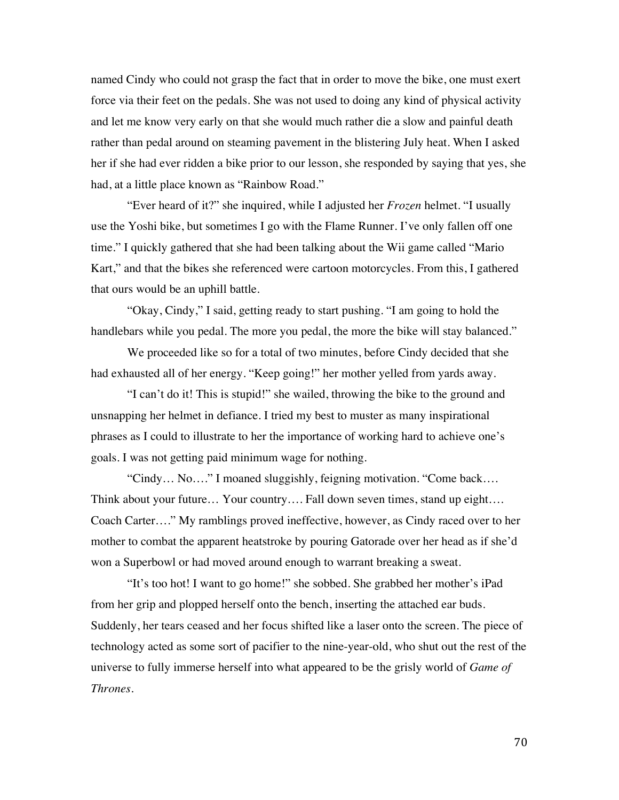named Cindy who could not grasp the fact that in order to move the bike, one must exert force via their feet on the pedals. She was not used to doing any kind of physical activity and let me know very early on that she would much rather die a slow and painful death rather than pedal around on steaming pavement in the blistering July heat. When I asked her if she had ever ridden a bike prior to our lesson, she responded by saying that yes, she had, at a little place known as "Rainbow Road."

"Ever heard of it?" she inquired, while I adjusted her *Frozen* helmet. "I usually use the Yoshi bike, but sometimes I go with the Flame Runner. I've only fallen off one time." I quickly gathered that she had been talking about the Wii game called "Mario Kart," and that the bikes she referenced were cartoon motorcycles. From this, I gathered that ours would be an uphill battle.

"Okay, Cindy," I said, getting ready to start pushing. "I am going to hold the handlebars while you pedal. The more you pedal, the more the bike will stay balanced."

We proceeded like so for a total of two minutes, before Cindy decided that she had exhausted all of her energy. "Keep going!" her mother yelled from yards away.

"I can't do it! This is stupid!" she wailed, throwing the bike to the ground and unsnapping her helmet in defiance. I tried my best to muster as many inspirational phrases as I could to illustrate to her the importance of working hard to achieve one's goals. I was not getting paid minimum wage for nothing.

"Cindy… No…." I moaned sluggishly, feigning motivation. "Come back…. Think about your future… Your country…. Fall down seven times, stand up eight…. Coach Carter…." My ramblings proved ineffective, however, as Cindy raced over to her mother to combat the apparent heatstroke by pouring Gatorade over her head as if she'd won a Superbowl or had moved around enough to warrant breaking a sweat.

"It's too hot! I want to go home!" she sobbed. She grabbed her mother's iPad from her grip and plopped herself onto the bench, inserting the attached ear buds. Suddenly, her tears ceased and her focus shifted like a laser onto the screen. The piece of technology acted as some sort of pacifier to the nine-year-old, who shut out the rest of the universe to fully immerse herself into what appeared to be the grisly world of *Game of Thrones.*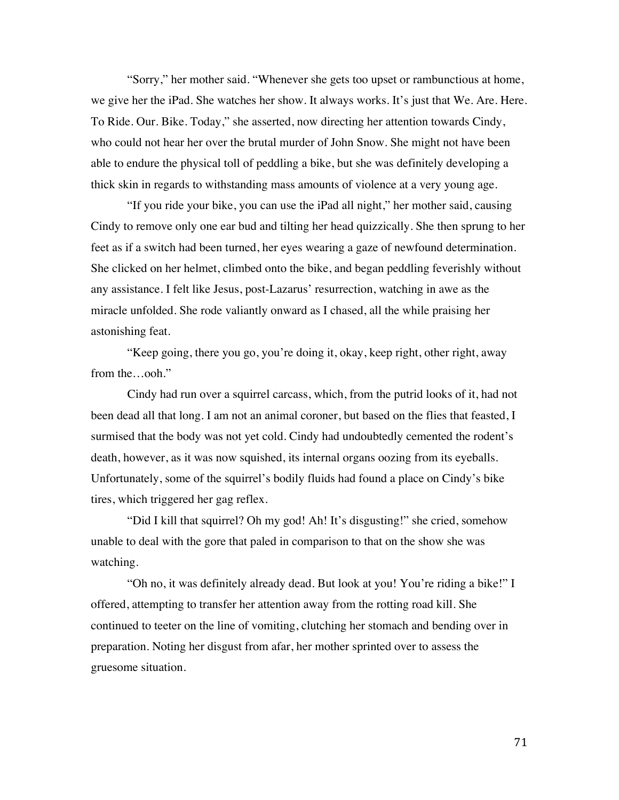"Sorry," her mother said. "Whenever she gets too upset or rambunctious at home, we give her the iPad. She watches her show. It always works. It's just that We. Are. Here. To Ride. Our. Bike. Today," she asserted, now directing her attention towards Cindy, who could not hear her over the brutal murder of John Snow. She might not have been able to endure the physical toll of peddling a bike, but she was definitely developing a thick skin in regards to withstanding mass amounts of violence at a very young age.

"If you ride your bike, you can use the iPad all night," her mother said, causing Cindy to remove only one ear bud and tilting her head quizzically. She then sprung to her feet as if a switch had been turned, her eyes wearing a gaze of newfound determination. She clicked on her helmet, climbed onto the bike, and began peddling feverishly without any assistance. I felt like Jesus, post-Lazarus' resurrection, watching in awe as the miracle unfolded. She rode valiantly onward as I chased, all the while praising her astonishing feat.

"Keep going, there you go, you're doing it, okay, keep right, other right, away from the…ooh."

Cindy had run over a squirrel carcass, which, from the putrid looks of it, had not been dead all that long. I am not an animal coroner, but based on the flies that feasted, I surmised that the body was not yet cold. Cindy had undoubtedly cemented the rodent's death, however, as it was now squished, its internal organs oozing from its eyeballs. Unfortunately, some of the squirrel's bodily fluids had found a place on Cindy's bike tires, which triggered her gag reflex.

"Did I kill that squirrel? Oh my god! Ah! It's disgusting!" she cried, somehow unable to deal with the gore that paled in comparison to that on the show she was watching.

"Oh no, it was definitely already dead. But look at you! You're riding a bike!" I offered, attempting to transfer her attention away from the rotting road kill. She continued to teeter on the line of vomiting, clutching her stomach and bending over in preparation. Noting her disgust from afar, her mother sprinted over to assess the gruesome situation.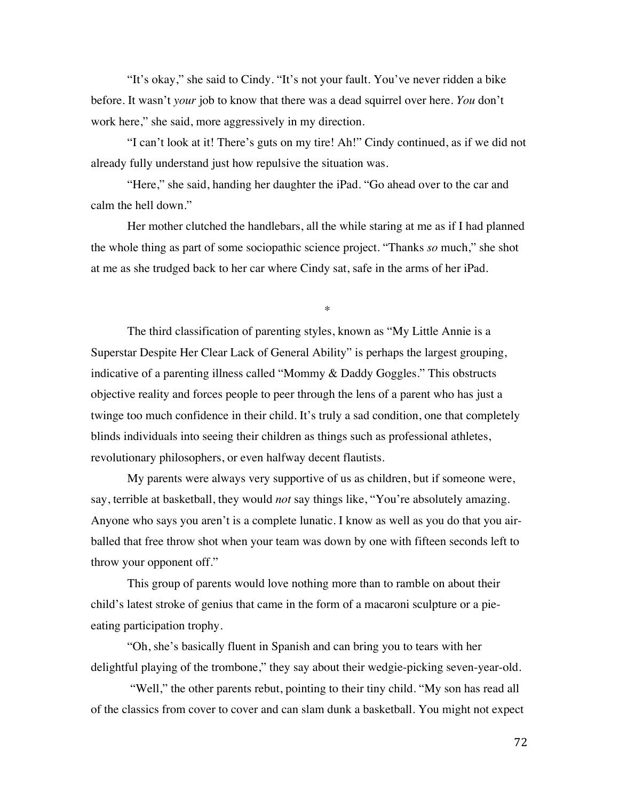"It's okay," she said to Cindy. "It's not your fault. You've never ridden a bike before. It wasn't *your* job to know that there was a dead squirrel over here. *You* don't work here," she said, more aggressively in my direction.

"I can't look at it! There's guts on my tire! Ah!" Cindy continued, as if we did not already fully understand just how repulsive the situation was.

"Here," she said, handing her daughter the iPad. "Go ahead over to the car and calm the hell down."

Her mother clutched the handlebars, all the while staring at me as if I had planned the whole thing as part of some sociopathic science project. "Thanks *so* much," she shot at me as she trudged back to her car where Cindy sat, safe in the arms of her iPad.

\*

The third classification of parenting styles, known as "My Little Annie is a Superstar Despite Her Clear Lack of General Ability" is perhaps the largest grouping, indicative of a parenting illness called "Mommy & Daddy Goggles." This obstructs objective reality and forces people to peer through the lens of a parent who has just a twinge too much confidence in their child. It's truly a sad condition, one that completely blinds individuals into seeing their children as things such as professional athletes, revolutionary philosophers, or even halfway decent flautists.

My parents were always very supportive of us as children, but if someone were, say, terrible at basketball, they would *not* say things like, "You're absolutely amazing. Anyone who says you aren't is a complete lunatic. I know as well as you do that you airballed that free throw shot when your team was down by one with fifteen seconds left to throw your opponent off."

This group of parents would love nothing more than to ramble on about their child's latest stroke of genius that came in the form of a macaroni sculpture or a pieeating participation trophy.

"Oh, she's basically fluent in Spanish and can bring you to tears with her delightful playing of the trombone," they say about their wedgie-picking seven-year-old.

"Well," the other parents rebut, pointing to their tiny child. "My son has read all of the classics from cover to cover and can slam dunk a basketball. You might not expect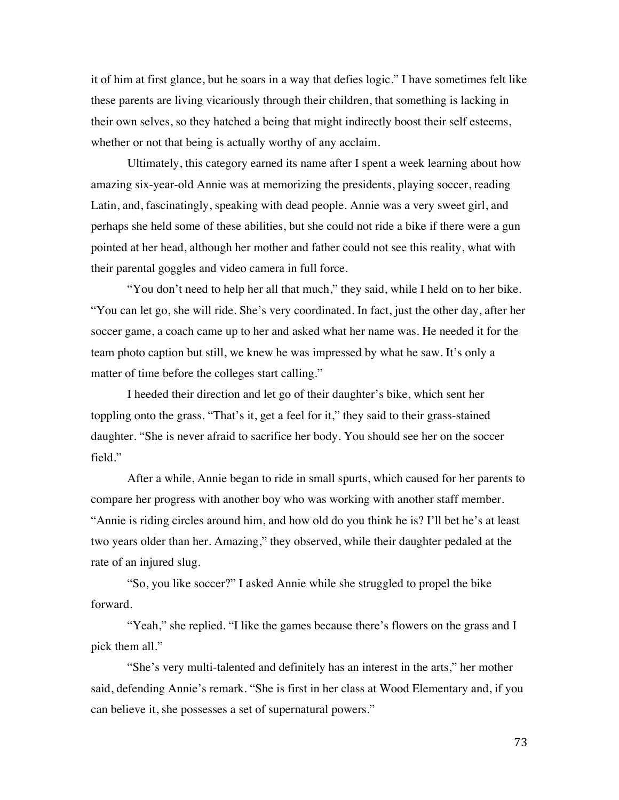it of him at first glance, but he soars in a way that defies logic." I have sometimes felt like these parents are living vicariously through their children, that something is lacking in their own selves, so they hatched a being that might indirectly boost their self esteems, whether or not that being is actually worthy of any acclaim.

Ultimately, this category earned its name after I spent a week learning about how amazing six-year-old Annie was at memorizing the presidents, playing soccer, reading Latin, and, fascinatingly, speaking with dead people. Annie was a very sweet girl, and perhaps she held some of these abilities, but she could not ride a bike if there were a gun pointed at her head, although her mother and father could not see this reality, what with their parental goggles and video camera in full force.

"You don't need to help her all that much," they said, while I held on to her bike. "You can let go, she will ride. She's very coordinated. In fact, just the other day, after her soccer game, a coach came up to her and asked what her name was. He needed it for the team photo caption but still, we knew he was impressed by what he saw. It's only a matter of time before the colleges start calling."

I heeded their direction and let go of their daughter's bike, which sent her toppling onto the grass. "That's it, get a feel for it," they said to their grass-stained daughter. "She is never afraid to sacrifice her body. You should see her on the soccer field."

After a while, Annie began to ride in small spurts, which caused for her parents to compare her progress with another boy who was working with another staff member. "Annie is riding circles around him, and how old do you think he is? I'll bet he's at least two years older than her. Amazing," they observed, while their daughter pedaled at the rate of an injured slug.

"So, you like soccer?" I asked Annie while she struggled to propel the bike forward.

"Yeah," she replied. "I like the games because there's flowers on the grass and I pick them all."

"She's very multi-talented and definitely has an interest in the arts," her mother said, defending Annie's remark. "She is first in her class at Wood Elementary and, if you can believe it, she possesses a set of supernatural powers."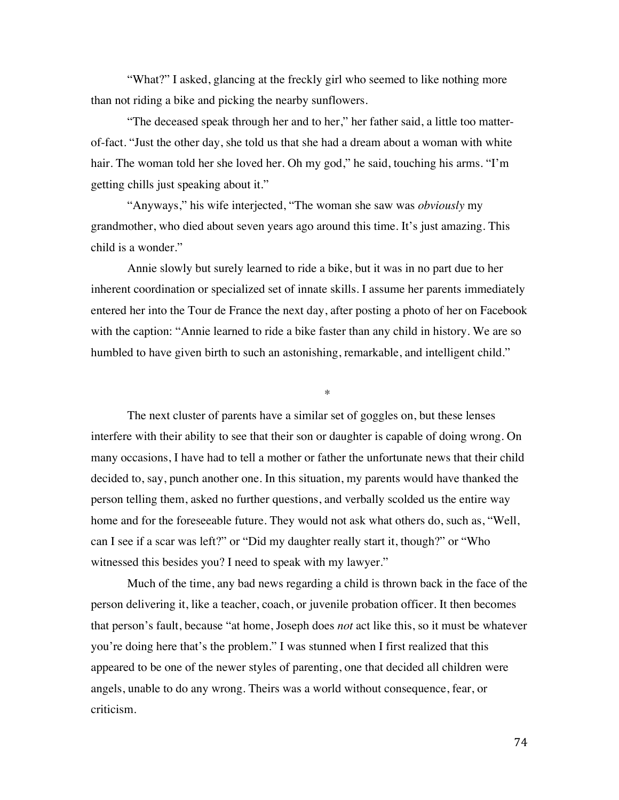"What?" I asked, glancing at the freckly girl who seemed to like nothing more than not riding a bike and picking the nearby sunflowers.

"The deceased speak through her and to her," her father said, a little too matterof-fact. "Just the other day, she told us that she had a dream about a woman with white hair. The woman told her she loved her. Oh my god," he said, touching his arms. "I'm getting chills just speaking about it."

"Anyways," his wife interjected, "The woman she saw was *obviously* my grandmother, who died about seven years ago around this time. It's just amazing. This child is a wonder."

Annie slowly but surely learned to ride a bike, but it was in no part due to her inherent coordination or specialized set of innate skills. I assume her parents immediately entered her into the Tour de France the next day, after posting a photo of her on Facebook with the caption: "Annie learned to ride a bike faster than any child in history. We are so humbled to have given birth to such an astonishing, remarkable, and intelligent child."

\*

The next cluster of parents have a similar set of goggles on, but these lenses interfere with their ability to see that their son or daughter is capable of doing wrong. On many occasions, I have had to tell a mother or father the unfortunate news that their child decided to, say, punch another one. In this situation, my parents would have thanked the person telling them, asked no further questions, and verbally scolded us the entire way home and for the foreseeable future. They would not ask what others do, such as, "Well, can I see if a scar was left?" or "Did my daughter really start it, though?" or "Who witnessed this besides you? I need to speak with my lawyer."

Much of the time, any bad news regarding a child is thrown back in the face of the person delivering it, like a teacher, coach, or juvenile probation officer. It then becomes that person's fault, because "at home, Joseph does *not* act like this, so it must be whatever you're doing here that's the problem." I was stunned when I first realized that this appeared to be one of the newer styles of parenting, one that decided all children were angels, unable to do any wrong. Theirs was a world without consequence, fear, or criticism.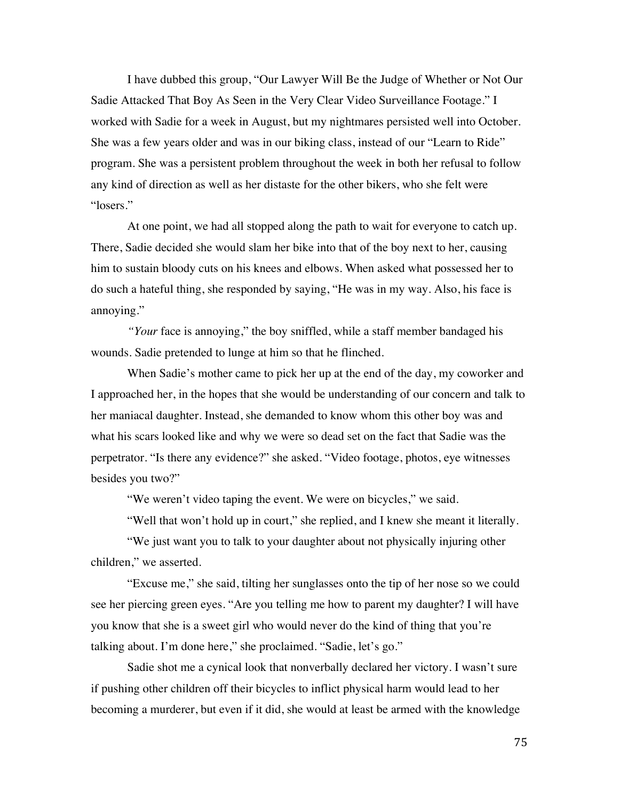I have dubbed this group, "Our Lawyer Will Be the Judge of Whether or Not Our Sadie Attacked That Boy As Seen in the Very Clear Video Surveillance Footage." I worked with Sadie for a week in August, but my nightmares persisted well into October. She was a few years older and was in our biking class, instead of our "Learn to Ride" program. She was a persistent problem throughout the week in both her refusal to follow any kind of direction as well as her distaste for the other bikers, who she felt were "losers."

At one point, we had all stopped along the path to wait for everyone to catch up. There, Sadie decided she would slam her bike into that of the boy next to her, causing him to sustain bloody cuts on his knees and elbows. When asked what possessed her to do such a hateful thing, she responded by saying, "He was in my way. Also, his face is annoying."

*"Your* face is annoying," the boy sniffled, while a staff member bandaged his wounds. Sadie pretended to lunge at him so that he flinched.

When Sadie's mother came to pick her up at the end of the day, my coworker and I approached her, in the hopes that she would be understanding of our concern and talk to her maniacal daughter. Instead, she demanded to know whom this other boy was and what his scars looked like and why we were so dead set on the fact that Sadie was the perpetrator. "Is there any evidence?" she asked. "Video footage, photos, eye witnesses besides you two?"

"We weren't video taping the event. We were on bicycles," we said.

"Well that won't hold up in court," she replied, and I knew she meant it literally.

"We just want you to talk to your daughter about not physically injuring other children," we asserted.

"Excuse me," she said, tilting her sunglasses onto the tip of her nose so we could see her piercing green eyes. "Are you telling me how to parent my daughter? I will have you know that she is a sweet girl who would never do the kind of thing that you're talking about. I'm done here," she proclaimed. "Sadie, let's go."

Sadie shot me a cynical look that nonverbally declared her victory. I wasn't sure if pushing other children off their bicycles to inflict physical harm would lead to her becoming a murderer, but even if it did, she would at least be armed with the knowledge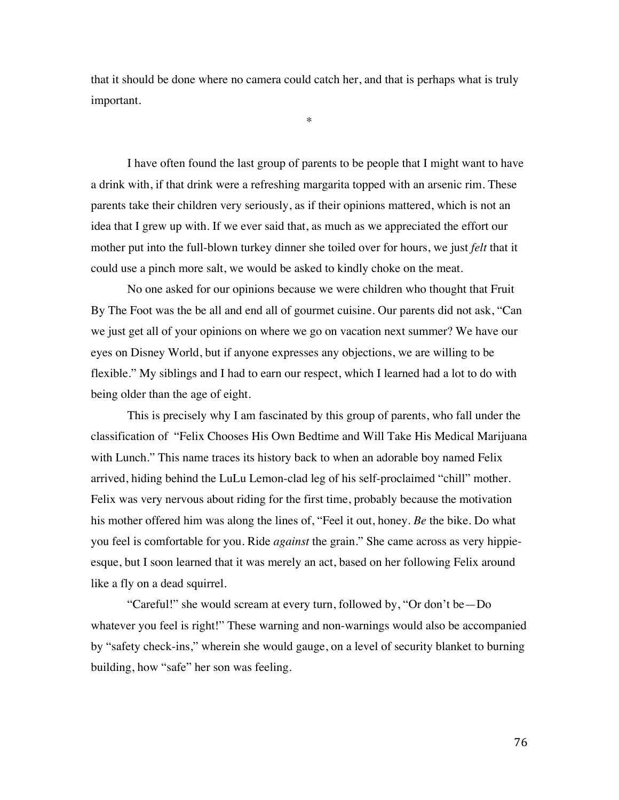that it should be done where no camera could catch her, and that is perhaps what is truly important.

\*

I have often found the last group of parents to be people that I might want to have a drink with, if that drink were a refreshing margarita topped with an arsenic rim. These parents take their children very seriously, as if their opinions mattered, which is not an idea that I grew up with. If we ever said that, as much as we appreciated the effort our mother put into the full-blown turkey dinner she toiled over for hours, we just *felt* that it could use a pinch more salt, we would be asked to kindly choke on the meat.

No one asked for our opinions because we were children who thought that Fruit By The Foot was the be all and end all of gourmet cuisine. Our parents did not ask, "Can we just get all of your opinions on where we go on vacation next summer? We have our eyes on Disney World, but if anyone expresses any objections, we are willing to be flexible." My siblings and I had to earn our respect, which I learned had a lot to do with being older than the age of eight.

This is precisely why I am fascinated by this group of parents, who fall under the classification of "Felix Chooses His Own Bedtime and Will Take His Medical Marijuana with Lunch." This name traces its history back to when an adorable boy named Felix arrived, hiding behind the LuLu Lemon-clad leg of his self-proclaimed "chill" mother. Felix was very nervous about riding for the first time, probably because the motivation his mother offered him was along the lines of, "Feel it out, honey. *Be* the bike. Do what you feel is comfortable for you. Ride *against* the grain." She came across as very hippieesque, but I soon learned that it was merely an act, based on her following Felix around like a fly on a dead squirrel.

"Careful!" she would scream at every turn, followed by, "Or don't be—Do whatever you feel is right!" These warning and non-warnings would also be accompanied by "safety check-ins," wherein she would gauge, on a level of security blanket to burning building, how "safe" her son was feeling.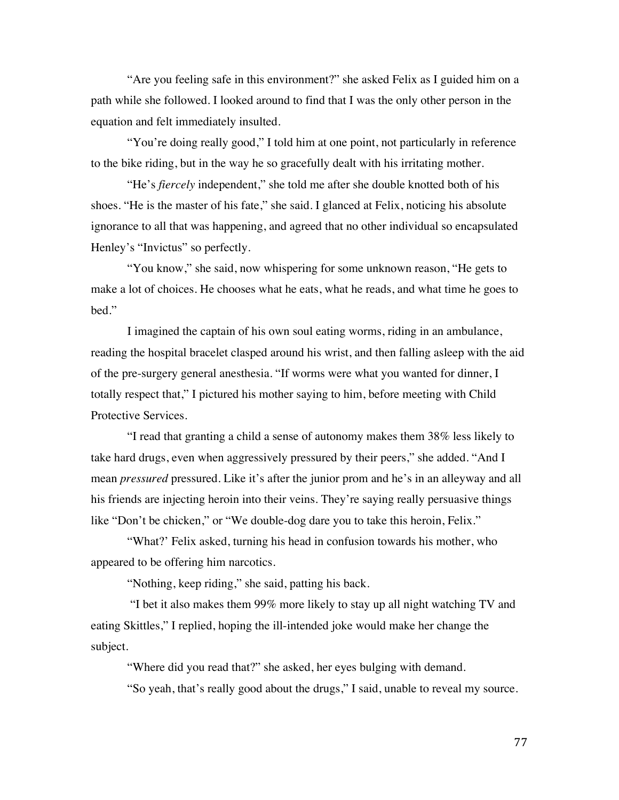"Are you feeling safe in this environment?" she asked Felix as I guided him on a path while she followed. I looked around to find that I was the only other person in the equation and felt immediately insulted.

"You're doing really good," I told him at one point, not particularly in reference to the bike riding, but in the way he so gracefully dealt with his irritating mother.

"He's *fiercely* independent," she told me after she double knotted both of his shoes. "He is the master of his fate," she said. I glanced at Felix, noticing his absolute ignorance to all that was happening, and agreed that no other individual so encapsulated Henley's "Invictus" so perfectly.

"You know," she said, now whispering for some unknown reason, "He gets to make a lot of choices. He chooses what he eats, what he reads, and what time he goes to bed."

I imagined the captain of his own soul eating worms, riding in an ambulance, reading the hospital bracelet clasped around his wrist, and then falling asleep with the aid of the pre-surgery general anesthesia. "If worms were what you wanted for dinner, I totally respect that," I pictured his mother saying to him, before meeting with Child Protective Services.

"I read that granting a child a sense of autonomy makes them 38% less likely to take hard drugs, even when aggressively pressured by their peers," she added. "And I mean *pressured* pressured. Like it's after the junior prom and he's in an alleyway and all his friends are injecting heroin into their veins. They're saying really persuasive things like "Don't be chicken," or "We double-dog dare you to take this heroin, Felix."

"What?' Felix asked, turning his head in confusion towards his mother, who appeared to be offering him narcotics.

"Nothing, keep riding," she said, patting his back.

"I bet it also makes them 99% more likely to stay up all night watching TV and eating Skittles," I replied, hoping the ill-intended joke would make her change the subject.

"Where did you read that?" she asked, her eyes bulging with demand. "So yeah, that's really good about the drugs," I said, unable to reveal my source.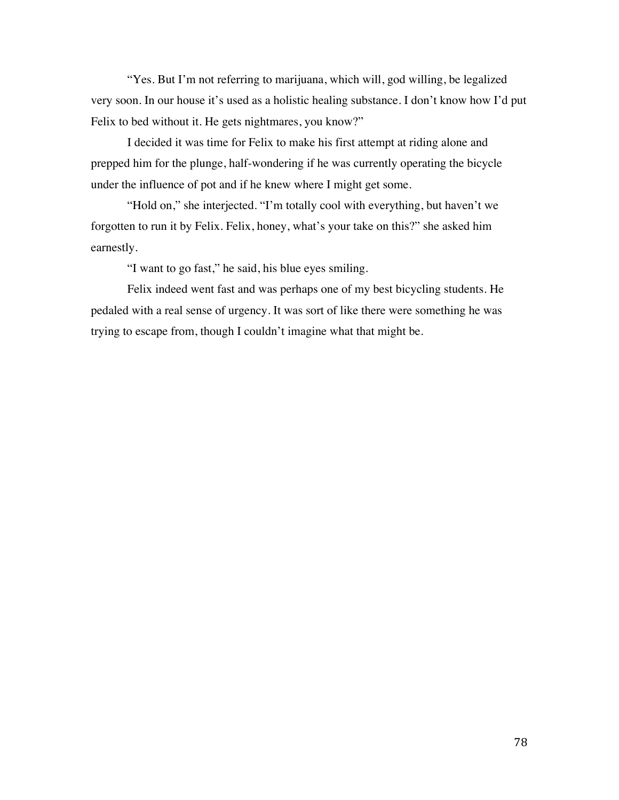"Yes. But I'm not referring to marijuana, which will, god willing, be legalized very soon. In our house it's used as a holistic healing substance. I don't know how I'd put Felix to bed without it. He gets nightmares, you know?"

I decided it was time for Felix to make his first attempt at riding alone and prepped him for the plunge, half-wondering if he was currently operating the bicycle under the influence of pot and if he knew where I might get some.

"Hold on," she interjected. "I'm totally cool with everything, but haven't we forgotten to run it by Felix. Felix, honey, what's your take on this?" she asked him earnestly.

"I want to go fast," he said, his blue eyes smiling.

Felix indeed went fast and was perhaps one of my best bicycling students. He pedaled with a real sense of urgency. It was sort of like there were something he was trying to escape from, though I couldn't imagine what that might be.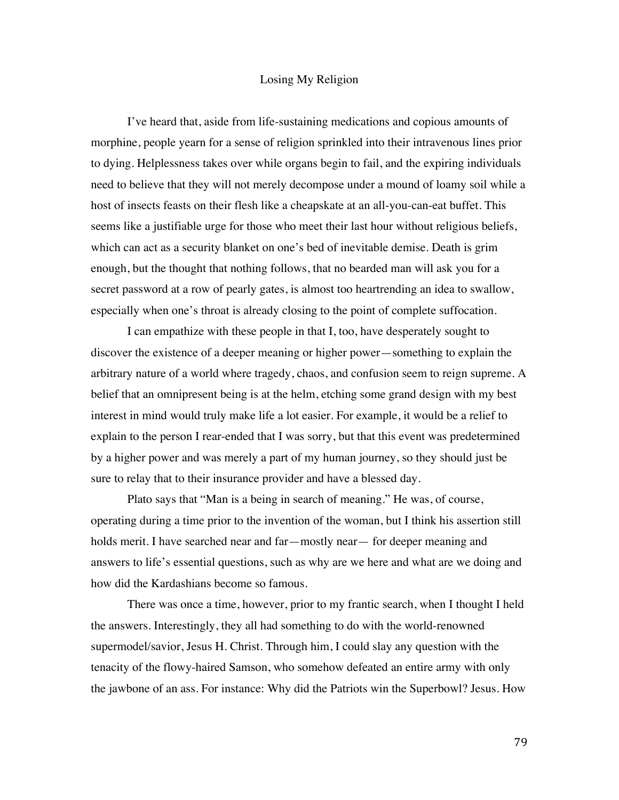## Losing My Religion

I've heard that, aside from life-sustaining medications and copious amounts of morphine, people yearn for a sense of religion sprinkled into their intravenous lines prior to dying. Helplessness takes over while organs begin to fail, and the expiring individuals need to believe that they will not merely decompose under a mound of loamy soil while a host of insects feasts on their flesh like a cheapskate at an all-you-can-eat buffet. This seems like a justifiable urge for those who meet their last hour without religious beliefs, which can act as a security blanket on one's bed of inevitable demise. Death is grim enough, but the thought that nothing follows, that no bearded man will ask you for a secret password at a row of pearly gates, is almost too heartrending an idea to swallow, especially when one's throat is already closing to the point of complete suffocation.

I can empathize with these people in that I, too, have desperately sought to discover the existence of a deeper meaning or higher power—something to explain the arbitrary nature of a world where tragedy, chaos, and confusion seem to reign supreme. A belief that an omnipresent being is at the helm, etching some grand design with my best interest in mind would truly make life a lot easier. For example, it would be a relief to explain to the person I rear-ended that I was sorry, but that this event was predetermined by a higher power and was merely a part of my human journey, so they should just be sure to relay that to their insurance provider and have a blessed day.

Plato says that "Man is a being in search of meaning." He was, of course, operating during a time prior to the invention of the woman, but I think his assertion still holds merit. I have searched near and far—mostly near— for deeper meaning and answers to life's essential questions, such as why are we here and what are we doing and how did the Kardashians become so famous.

There was once a time, however, prior to my frantic search, when I thought I held the answers. Interestingly, they all had something to do with the world-renowned supermodel/savior, Jesus H. Christ. Through him, I could slay any question with the tenacity of the flowy-haired Samson, who somehow defeated an entire army with only the jawbone of an ass. For instance: Why did the Patriots win the Superbowl? Jesus. How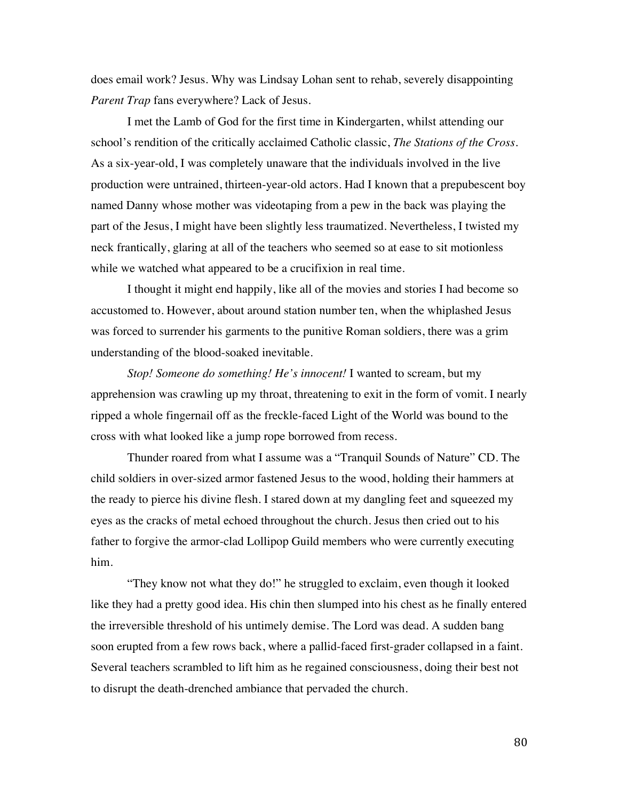does email work? Jesus. Why was Lindsay Lohan sent to rehab, severely disappointing *Parent Trap* fans everywhere? Lack of Jesus.

I met the Lamb of God for the first time in Kindergarten, whilst attending our school's rendition of the critically acclaimed Catholic classic, *The Stations of the Cross.*  As a six-year-old, I was completely unaware that the individuals involved in the live production were untrained, thirteen-year-old actors. Had I known that a prepubescent boy named Danny whose mother was videotaping from a pew in the back was playing the part of the Jesus, I might have been slightly less traumatized. Nevertheless, I twisted my neck frantically, glaring at all of the teachers who seemed so at ease to sit motionless while we watched what appeared to be a crucifixion in real time.

I thought it might end happily, like all of the movies and stories I had become so accustomed to. However, about around station number ten, when the whiplashed Jesus was forced to surrender his garments to the punitive Roman soldiers, there was a grim understanding of the blood-soaked inevitable.

*Stop! Someone do something! He's innocent!* I wanted to scream, but my apprehension was crawling up my throat, threatening to exit in the form of vomit. I nearly ripped a whole fingernail off as the freckle-faced Light of the World was bound to the cross with what looked like a jump rope borrowed from recess.

Thunder roared from what I assume was a "Tranquil Sounds of Nature" CD. The child soldiers in over-sized armor fastened Jesus to the wood, holding their hammers at the ready to pierce his divine flesh. I stared down at my dangling feet and squeezed my eyes as the cracks of metal echoed throughout the church. Jesus then cried out to his father to forgive the armor-clad Lollipop Guild members who were currently executing him.

"They know not what they do!" he struggled to exclaim, even though it looked like they had a pretty good idea. His chin then slumped into his chest as he finally entered the irreversible threshold of his untimely demise. The Lord was dead. A sudden bang soon erupted from a few rows back, where a pallid-faced first-grader collapsed in a faint. Several teachers scrambled to lift him as he regained consciousness, doing their best not to disrupt the death-drenched ambiance that pervaded the church.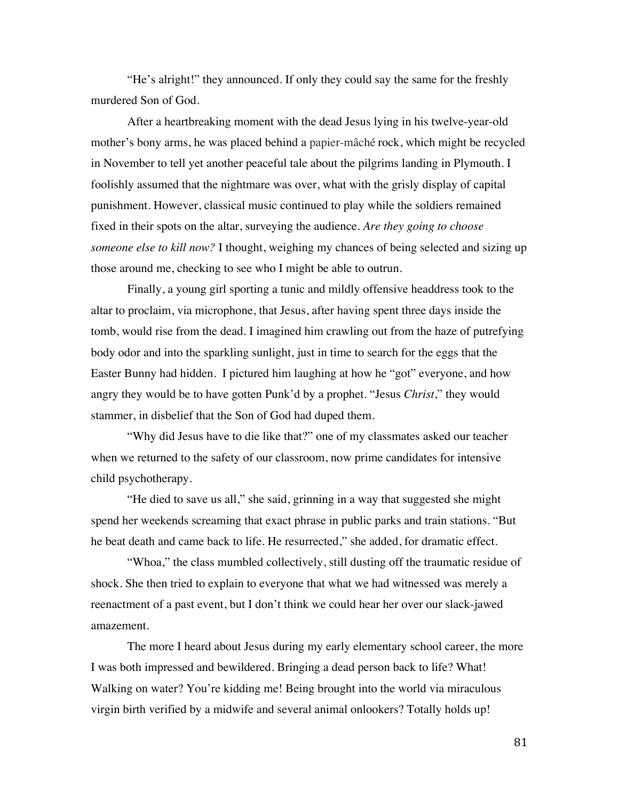"He's alright!" they announced. If only they could say the same for the freshly murdered Son of God.

After a heartbreaking moment with the dead Jesus lying in his twelve-year-old mother's bony arms, he was placed behind a papier-mâché rock, which might be recycled in November to tell yet another peaceful tale about the pilgrims landing in Plymouth. I foolishly assumed that the nightmare was over, what with the grisly display of capital punishment. However, classical music continued to play while the soldiers remained fixed in their spots on the altar, surveying the audience. *Are they going to choose someone else to kill now?* I thought, weighing my chances of being selected and sizing up those around me, checking to see who I might be able to outrun.

Finally, a young girl sporting a tunic and mildly offensive headdress took to the altar to proclaim, via microphone, that Jesus, after having spent three days inside the tomb, would rise from the dead. I imagined him crawling out from the haze of putrefying body odor and into the sparkling sunlight, just in time to search for the eggs that the Easter Bunny had hidden. I pictured him laughing at how he "got" everyone, and how angry they would be to have gotten Punk'd by a prophet. "Jesus *Christ*," they would stammer, in disbelief that the Son of God had duped them.

"Why did Jesus have to die like that?" one of my classmates asked our teacher when we returned to the safety of our classroom, now prime candidates for intensive child psychotherapy.

"He died to save us all," she said, grinning in a way that suggested she might spend her weekends screaming that exact phrase in public parks and train stations. "But he beat death and came back to life. He resurrected," she added, for dramatic effect.

"Whoa," the class mumbled collectively, still dusting off the traumatic residue of shock. She then tried to explain to everyone that what we had witnessed was merely a reenactment of a past event, but I don't think we could hear her over our slack-jawed amazement.

The more I heard about Jesus during my early elementary school career, the more I was both impressed and bewildered. Bringing a dead person back to life? What! Walking on water? You're kidding me! Being brought into the world via miraculous virgin birth verified by a midwife and several animal onlookers? Totally holds up!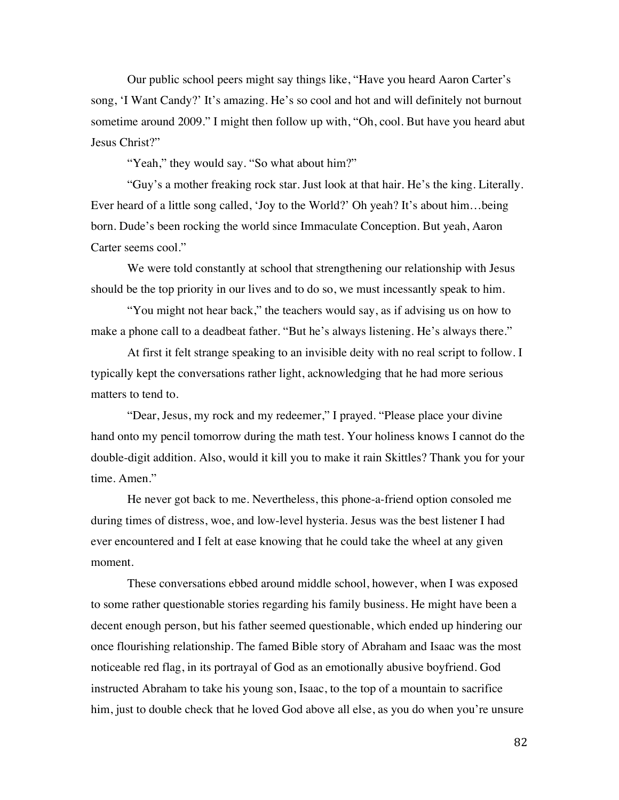Our public school peers might say things like, "Have you heard Aaron Carter's song, 'I Want Candy?' It's amazing. He's so cool and hot and will definitely not burnout sometime around 2009." I might then follow up with, "Oh, cool. But have you heard abut Jesus Christ?"

"Yeah," they would say. "So what about him?"

"Guy's a mother freaking rock star. Just look at that hair. He's the king. Literally. Ever heard of a little song called, 'Joy to the World?' Oh yeah? It's about him…being born. Dude's been rocking the world since Immaculate Conception. But yeah, Aaron Carter seems cool."

We were told constantly at school that strengthening our relationship with Jesus should be the top priority in our lives and to do so, we must incessantly speak to him.

"You might not hear back," the teachers would say, as if advising us on how to make a phone call to a deadbeat father. "But he's always listening. He's always there."

At first it felt strange speaking to an invisible deity with no real script to follow. I typically kept the conversations rather light, acknowledging that he had more serious matters to tend to.

"Dear, Jesus, my rock and my redeemer," I prayed. "Please place your divine hand onto my pencil tomorrow during the math test. Your holiness knows I cannot do the double-digit addition. Also, would it kill you to make it rain Skittles? Thank you for your time. Amen."

He never got back to me. Nevertheless, this phone-a-friend option consoled me during times of distress, woe, and low-level hysteria. Jesus was the best listener I had ever encountered and I felt at ease knowing that he could take the wheel at any given moment.

These conversations ebbed around middle school, however, when I was exposed to some rather questionable stories regarding his family business. He might have been a decent enough person, but his father seemed questionable, which ended up hindering our once flourishing relationship. The famed Bible story of Abraham and Isaac was the most noticeable red flag, in its portrayal of God as an emotionally abusive boyfriend. God instructed Abraham to take his young son, Isaac, to the top of a mountain to sacrifice him, just to double check that he loved God above all else, as you do when you're unsure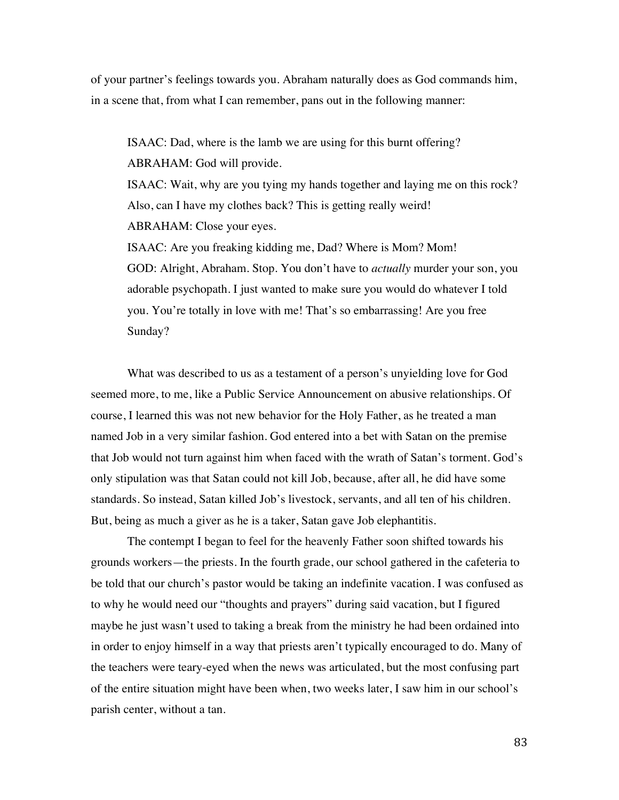of your partner's feelings towards you. Abraham naturally does as God commands him, in a scene that, from what I can remember, pans out in the following manner:

ISAAC: Dad, where is the lamb we are using for this burnt offering? ABRAHAM: God will provide. ISAAC: Wait, why are you tying my hands together and laying me on this rock? Also, can I have my clothes back? This is getting really weird! ABRAHAM: Close your eyes. ISAAC: Are you freaking kidding me, Dad? Where is Mom? Mom! GOD: Alright, Abraham. Stop. You don't have to *actually* murder your son, you adorable psychopath. I just wanted to make sure you would do whatever I told you. You're totally in love with me! That's so embarrassing! Are you free

Sunday?

What was described to us as a testament of a person's unyielding love for God seemed more, to me, like a Public Service Announcement on abusive relationships. Of course, I learned this was not new behavior for the Holy Father, as he treated a man named Job in a very similar fashion. God entered into a bet with Satan on the premise that Job would not turn against him when faced with the wrath of Satan's torment. God's only stipulation was that Satan could not kill Job, because, after all, he did have some standards. So instead, Satan killed Job's livestock, servants, and all ten of his children. But, being as much a giver as he is a taker, Satan gave Job elephantitis.

The contempt I began to feel for the heavenly Father soon shifted towards his grounds workers—the priests. In the fourth grade, our school gathered in the cafeteria to be told that our church's pastor would be taking an indefinite vacation. I was confused as to why he would need our "thoughts and prayers" during said vacation, but I figured maybe he just wasn't used to taking a break from the ministry he had been ordained into in order to enjoy himself in a way that priests aren't typically encouraged to do. Many of the teachers were teary-eyed when the news was articulated, but the most confusing part of the entire situation might have been when, two weeks later, I saw him in our school's parish center, without a tan.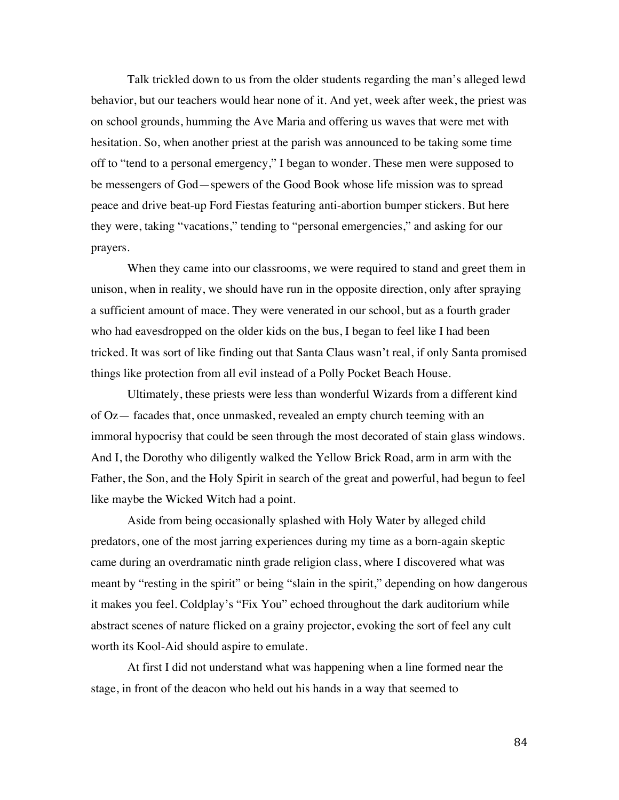Talk trickled down to us from the older students regarding the man's alleged lewd behavior, but our teachers would hear none of it. And yet, week after week, the priest was on school grounds, humming the Ave Maria and offering us waves that were met with hesitation. So, when another priest at the parish was announced to be taking some time off to "tend to a personal emergency," I began to wonder. These men were supposed to be messengers of God—spewers of the Good Book whose life mission was to spread peace and drive beat-up Ford Fiestas featuring anti-abortion bumper stickers. But here they were, taking "vacations," tending to "personal emergencies," and asking for our prayers.

When they came into our classrooms, we were required to stand and greet them in unison, when in reality, we should have run in the opposite direction, only after spraying a sufficient amount of mace. They were venerated in our school, but as a fourth grader who had eavesdropped on the older kids on the bus, I began to feel like I had been tricked. It was sort of like finding out that Santa Claus wasn't real, if only Santa promised things like protection from all evil instead of a Polly Pocket Beach House.

Ultimately, these priests were less than wonderful Wizards from a different kind of Oz— facades that, once unmasked, revealed an empty church teeming with an immoral hypocrisy that could be seen through the most decorated of stain glass windows. And I, the Dorothy who diligently walked the Yellow Brick Road, arm in arm with the Father, the Son, and the Holy Spirit in search of the great and powerful, had begun to feel like maybe the Wicked Witch had a point.

Aside from being occasionally splashed with Holy Water by alleged child predators, one of the most jarring experiences during my time as a born-again skeptic came during an overdramatic ninth grade religion class, where I discovered what was meant by "resting in the spirit" or being "slain in the spirit," depending on how dangerous it makes you feel. Coldplay's "Fix You" echoed throughout the dark auditorium while abstract scenes of nature flicked on a grainy projector, evoking the sort of feel any cult worth its Kool-Aid should aspire to emulate.

At first I did not understand what was happening when a line formed near the stage, in front of the deacon who held out his hands in a way that seemed to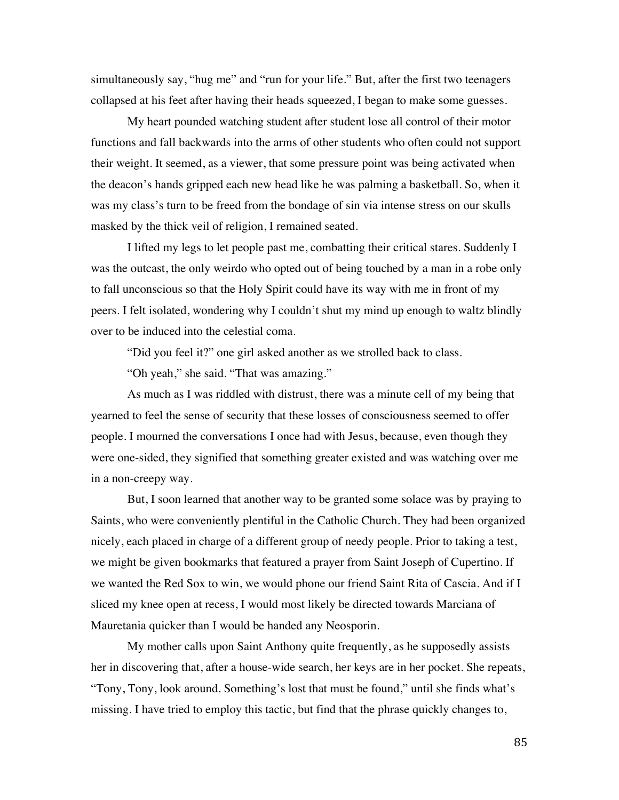simultaneously say, "hug me" and "run for your life." But, after the first two teenagers collapsed at his feet after having their heads squeezed, I began to make some guesses.

My heart pounded watching student after student lose all control of their motor functions and fall backwards into the arms of other students who often could not support their weight. It seemed, as a viewer, that some pressure point was being activated when the deacon's hands gripped each new head like he was palming a basketball. So, when it was my class's turn to be freed from the bondage of sin via intense stress on our skulls masked by the thick veil of religion, I remained seated.

I lifted my legs to let people past me, combatting their critical stares. Suddenly I was the outcast, the only weirdo who opted out of being touched by a man in a robe only to fall unconscious so that the Holy Spirit could have its way with me in front of my peers. I felt isolated, wondering why I couldn't shut my mind up enough to waltz blindly over to be induced into the celestial coma.

"Did you feel it?" one girl asked another as we strolled back to class.

"Oh yeah," she said. "That was amazing."

As much as I was riddled with distrust, there was a minute cell of my being that yearned to feel the sense of security that these losses of consciousness seemed to offer people. I mourned the conversations I once had with Jesus, because, even though they were one-sided, they signified that something greater existed and was watching over me in a non-creepy way.

But, I soon learned that another way to be granted some solace was by praying to Saints, who were conveniently plentiful in the Catholic Church. They had been organized nicely, each placed in charge of a different group of needy people. Prior to taking a test, we might be given bookmarks that featured a prayer from Saint Joseph of Cupertino. If we wanted the Red Sox to win, we would phone our friend Saint Rita of Cascia. And if I sliced my knee open at recess, I would most likely be directed towards Marciana of Mauretania quicker than I would be handed any Neosporin.

My mother calls upon Saint Anthony quite frequently, as he supposedly assists her in discovering that, after a house-wide search, her keys are in her pocket. She repeats, "Tony, Tony, look around. Something's lost that must be found," until she finds what's missing. I have tried to employ this tactic, but find that the phrase quickly changes to,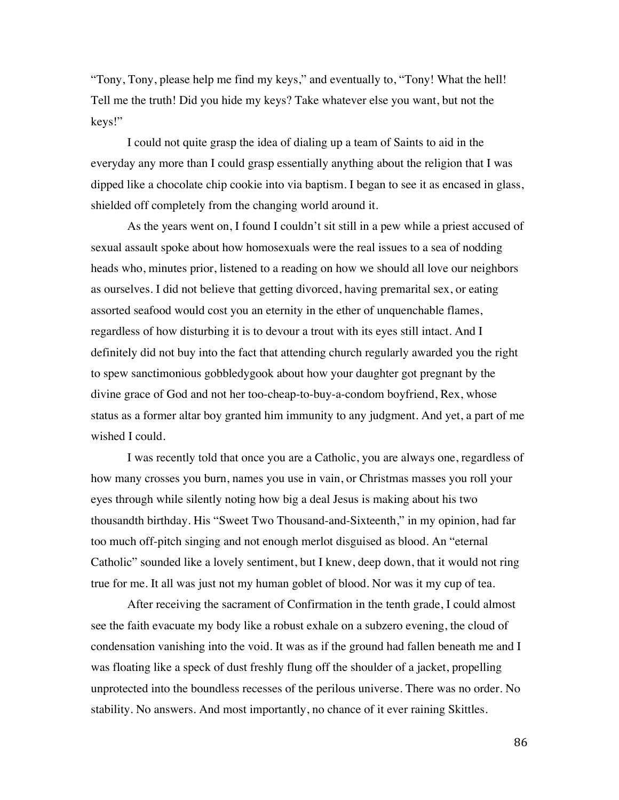"Tony, Tony, please help me find my keys," and eventually to, "Tony! What the hell! Tell me the truth! Did you hide my keys? Take whatever else you want, but not the keys!"

I could not quite grasp the idea of dialing up a team of Saints to aid in the everyday any more than I could grasp essentially anything about the religion that I was dipped like a chocolate chip cookie into via baptism. I began to see it as encased in glass, shielded off completely from the changing world around it.

As the years went on, I found I couldn't sit still in a pew while a priest accused of sexual assault spoke about how homosexuals were the real issues to a sea of nodding heads who, minutes prior, listened to a reading on how we should all love our neighbors as ourselves. I did not believe that getting divorced, having premarital sex, or eating assorted seafood would cost you an eternity in the ether of unquenchable flames, regardless of how disturbing it is to devour a trout with its eyes still intact. And I definitely did not buy into the fact that attending church regularly awarded you the right to spew sanctimonious gobbledygook about how your daughter got pregnant by the divine grace of God and not her too-cheap-to-buy-a-condom boyfriend, Rex, whose status as a former altar boy granted him immunity to any judgment. And yet, a part of me wished I could.

I was recently told that once you are a Catholic, you are always one, regardless of how many crosses you burn, names you use in vain, or Christmas masses you roll your eyes through while silently noting how big a deal Jesus is making about his two thousandth birthday. His "Sweet Two Thousand-and-Sixteenth," in my opinion, had far too much off-pitch singing and not enough merlot disguised as blood. An "eternal Catholic" sounded like a lovely sentiment, but I knew, deep down, that it would not ring true for me. It all was just not my human goblet of blood. Nor was it my cup of tea.

After receiving the sacrament of Confirmation in the tenth grade, I could almost see the faith evacuate my body like a robust exhale on a subzero evening, the cloud of condensation vanishing into the void. It was as if the ground had fallen beneath me and I was floating like a speck of dust freshly flung off the shoulder of a jacket, propelling unprotected into the boundless recesses of the perilous universe. There was no order. No stability. No answers. And most importantly, no chance of it ever raining Skittles.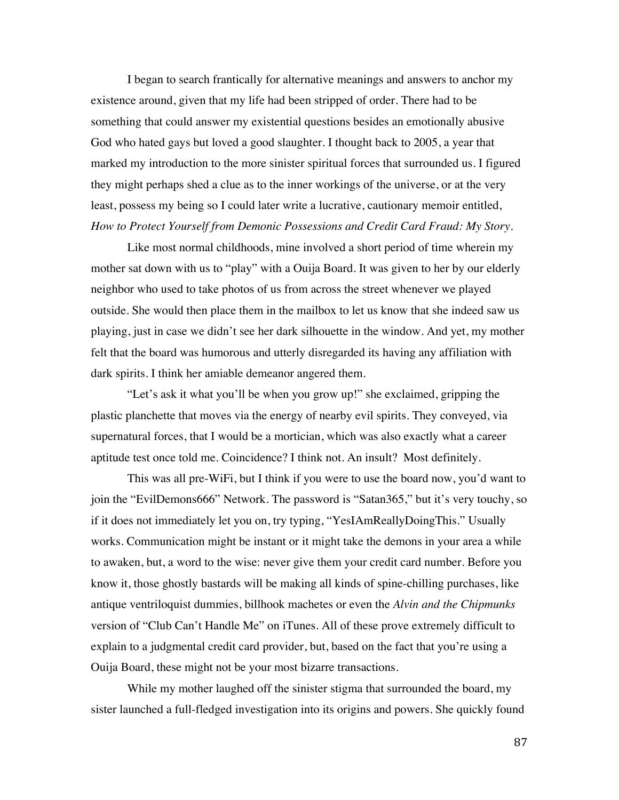I began to search frantically for alternative meanings and answers to anchor my existence around, given that my life had been stripped of order. There had to be something that could answer my existential questions besides an emotionally abusive God who hated gays but loved a good slaughter. I thought back to 2005, a year that marked my introduction to the more sinister spiritual forces that surrounded us. I figured they might perhaps shed a clue as to the inner workings of the universe, or at the very least, possess my being so I could later write a lucrative, cautionary memoir entitled, *How to Protect Yourself from Demonic Possessions and Credit Card Fraud: My Story.*

Like most normal childhoods, mine involved a short period of time wherein my mother sat down with us to "play" with a Ouija Board. It was given to her by our elderly neighbor who used to take photos of us from across the street whenever we played outside. She would then place them in the mailbox to let us know that she indeed saw us playing, just in case we didn't see her dark silhouette in the window. And yet, my mother felt that the board was humorous and utterly disregarded its having any affiliation with dark spirits. I think her amiable demeanor angered them.

"Let's ask it what you'll be when you grow up!" she exclaimed, gripping the plastic planchette that moves via the energy of nearby evil spirits. They conveyed, via supernatural forces, that I would be a mortician, which was also exactly what a career aptitude test once told me. Coincidence? I think not. An insult? Most definitely.

This was all pre-WiFi, but I think if you were to use the board now, you'd want to join the "EvilDemons666" Network. The password is "Satan365," but it's very touchy, so if it does not immediately let you on, try typing, "YesIAmReallyDoingThis." Usually works. Communication might be instant or it might take the demons in your area a while to awaken, but, a word to the wise: never give them your credit card number. Before you know it, those ghostly bastards will be making all kinds of spine-chilling purchases, like antique ventriloquist dummies, billhook machetes or even the *Alvin and the Chipmunks* version of "Club Can't Handle Me" on iTunes. All of these prove extremely difficult to explain to a judgmental credit card provider, but, based on the fact that you're using a Ouija Board, these might not be your most bizarre transactions.

While my mother laughed off the sinister stigma that surrounded the board, my sister launched a full-fledged investigation into its origins and powers. She quickly found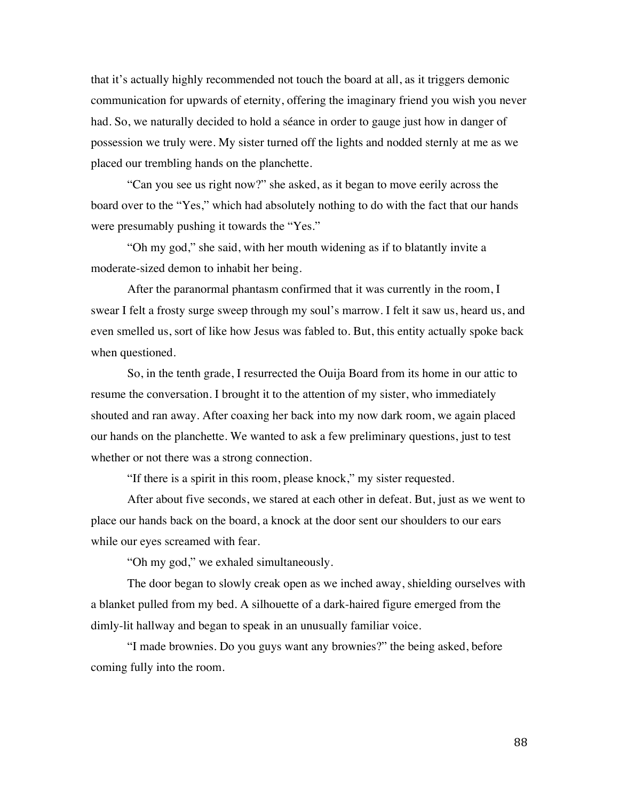that it's actually highly recommended not touch the board at all, as it triggers demonic communication for upwards of eternity, offering the imaginary friend you wish you never had. So, we naturally decided to hold a séance in order to gauge just how in danger of possession we truly were. My sister turned off the lights and nodded sternly at me as we placed our trembling hands on the planchette.

"Can you see us right now?" she asked, as it began to move eerily across the board over to the "Yes," which had absolutely nothing to do with the fact that our hands were presumably pushing it towards the "Yes."

"Oh my god," she said, with her mouth widening as if to blatantly invite a moderate-sized demon to inhabit her being.

After the paranormal phantasm confirmed that it was currently in the room, I swear I felt a frosty surge sweep through my soul's marrow. I felt it saw us, heard us, and even smelled us, sort of like how Jesus was fabled to. But, this entity actually spoke back when questioned.

So, in the tenth grade, I resurrected the Ouija Board from its home in our attic to resume the conversation. I brought it to the attention of my sister, who immediately shouted and ran away. After coaxing her back into my now dark room, we again placed our hands on the planchette. We wanted to ask a few preliminary questions, just to test whether or not there was a strong connection.

"If there is a spirit in this room, please knock," my sister requested.

After about five seconds, we stared at each other in defeat. But, just as we went to place our hands back on the board, a knock at the door sent our shoulders to our ears while our eyes screamed with fear.

"Oh my god," we exhaled simultaneously.

The door began to slowly creak open as we inched away, shielding ourselves with a blanket pulled from my bed. A silhouette of a dark-haired figure emerged from the dimly-lit hallway and began to speak in an unusually familiar voice.

"I made brownies. Do you guys want any brownies?" the being asked, before coming fully into the room.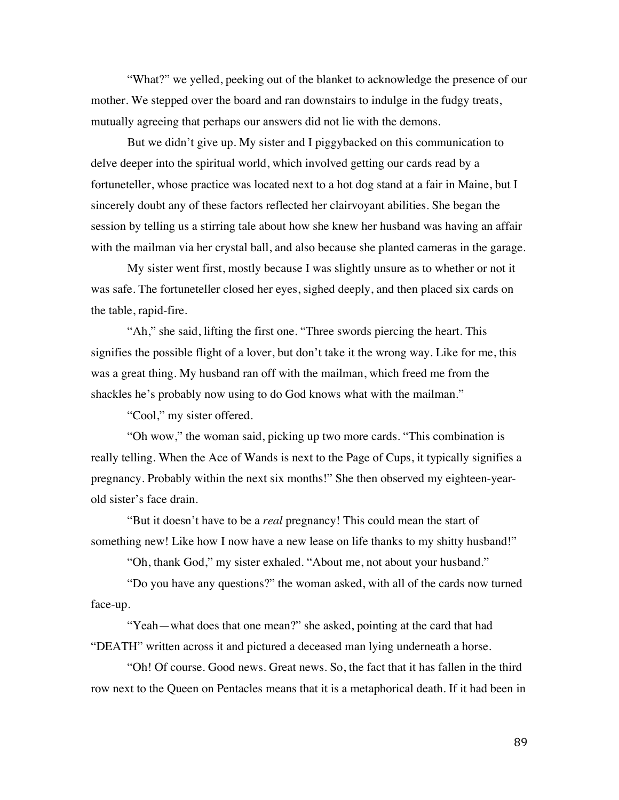"What?" we yelled, peeking out of the blanket to acknowledge the presence of our mother. We stepped over the board and ran downstairs to indulge in the fudgy treats, mutually agreeing that perhaps our answers did not lie with the demons.

But we didn't give up. My sister and I piggybacked on this communication to delve deeper into the spiritual world, which involved getting our cards read by a fortuneteller, whose practice was located next to a hot dog stand at a fair in Maine, but I sincerely doubt any of these factors reflected her clairvoyant abilities. She began the session by telling us a stirring tale about how she knew her husband was having an affair with the mailman via her crystal ball, and also because she planted cameras in the garage.

My sister went first, mostly because I was slightly unsure as to whether or not it was safe. The fortuneteller closed her eyes, sighed deeply, and then placed six cards on the table, rapid-fire.

"Ah," she said, lifting the first one. "Three swords piercing the heart. This signifies the possible flight of a lover, but don't take it the wrong way. Like for me, this was a great thing. My husband ran off with the mailman, which freed me from the shackles he's probably now using to do God knows what with the mailman."

"Cool," my sister offered.

"Oh wow," the woman said, picking up two more cards. "This combination is really telling. When the Ace of Wands is next to the Page of Cups, it typically signifies a pregnancy. Probably within the next six months!" She then observed my eighteen-yearold sister's face drain.

"But it doesn't have to be a *real* pregnancy! This could mean the start of something new! Like how I now have a new lease on life thanks to my shitty husband!"

"Oh, thank God," my sister exhaled. "About me, not about your husband."

"Do you have any questions?" the woman asked, with all of the cards now turned face-up.

"Yeah—what does that one mean?" she asked, pointing at the card that had "DEATH" written across it and pictured a deceased man lying underneath a horse.

"Oh! Of course. Good news. Great news. So, the fact that it has fallen in the third row next to the Queen on Pentacles means that it is a metaphorical death. If it had been in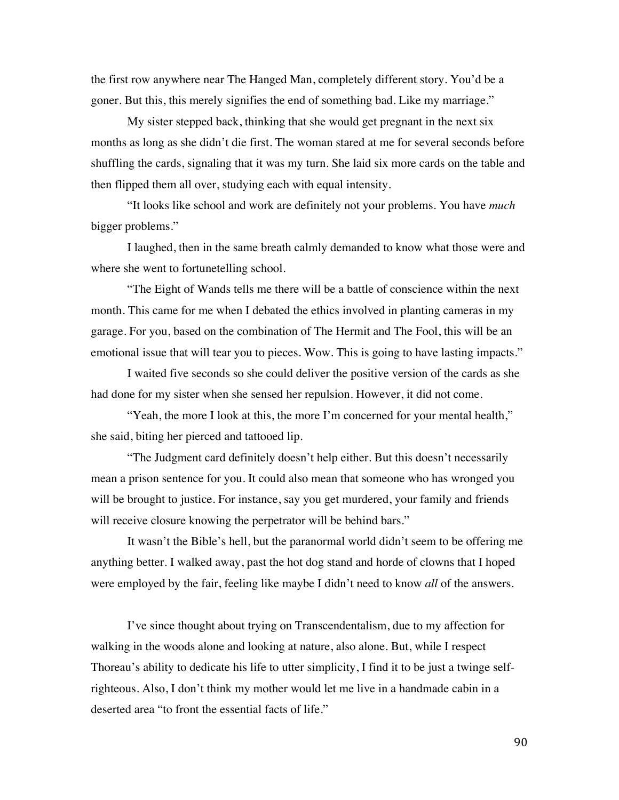the first row anywhere near The Hanged Man, completely different story. You'd be a goner. But this, this merely signifies the end of something bad. Like my marriage."

My sister stepped back, thinking that she would get pregnant in the next six months as long as she didn't die first. The woman stared at me for several seconds before shuffling the cards, signaling that it was my turn. She laid six more cards on the table and then flipped them all over, studying each with equal intensity.

"It looks like school and work are definitely not your problems. You have *much* bigger problems."

I laughed, then in the same breath calmly demanded to know what those were and where she went to fortunetelling school.

"The Eight of Wands tells me there will be a battle of conscience within the next month. This came for me when I debated the ethics involved in planting cameras in my garage. For you, based on the combination of The Hermit and The Fool, this will be an emotional issue that will tear you to pieces. Wow. This is going to have lasting impacts."

I waited five seconds so she could deliver the positive version of the cards as she had done for my sister when she sensed her repulsion. However, it did not come.

"Yeah, the more I look at this, the more I'm concerned for your mental health," she said, biting her pierced and tattooed lip.

"The Judgment card definitely doesn't help either. But this doesn't necessarily mean a prison sentence for you. It could also mean that someone who has wronged you will be brought to justice. For instance, say you get murdered, your family and friends will receive closure knowing the perpetrator will be behind bars."

It wasn't the Bible's hell, but the paranormal world didn't seem to be offering me anything better. I walked away, past the hot dog stand and horde of clowns that I hoped were employed by the fair, feeling like maybe I didn't need to know *all* of the answers.

I've since thought about trying on Transcendentalism, due to my affection for walking in the woods alone and looking at nature, also alone. But, while I respect Thoreau's ability to dedicate his life to utter simplicity, I find it to be just a twinge selfrighteous. Also, I don't think my mother would let me live in a handmade cabin in a deserted area "to front the essential facts of life."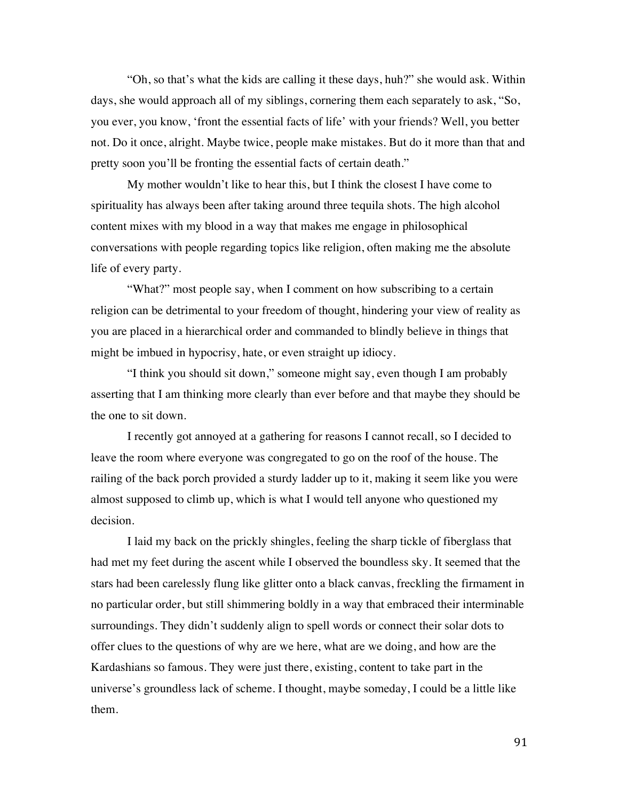"Oh, so that's what the kids are calling it these days, huh?" she would ask. Within days, she would approach all of my siblings, cornering them each separately to ask, "So, you ever, you know, 'front the essential facts of life' with your friends? Well, you better not. Do it once, alright. Maybe twice, people make mistakes. But do it more than that and pretty soon you'll be fronting the essential facts of certain death."

My mother wouldn't like to hear this, but I think the closest I have come to spirituality has always been after taking around three tequila shots. The high alcohol content mixes with my blood in a way that makes me engage in philosophical conversations with people regarding topics like religion, often making me the absolute life of every party.

"What?" most people say, when I comment on how subscribing to a certain religion can be detrimental to your freedom of thought, hindering your view of reality as you are placed in a hierarchical order and commanded to blindly believe in things that might be imbued in hypocrisy, hate, or even straight up idiocy.

"I think you should sit down," someone might say, even though I am probably asserting that I am thinking more clearly than ever before and that maybe they should be the one to sit down.

I recently got annoyed at a gathering for reasons I cannot recall, so I decided to leave the room where everyone was congregated to go on the roof of the house. The railing of the back porch provided a sturdy ladder up to it, making it seem like you were almost supposed to climb up, which is what I would tell anyone who questioned my decision.

I laid my back on the prickly shingles, feeling the sharp tickle of fiberglass that had met my feet during the ascent while I observed the boundless sky. It seemed that the stars had been carelessly flung like glitter onto a black canvas, freckling the firmament in no particular order, but still shimmering boldly in a way that embraced their interminable surroundings. They didn't suddenly align to spell words or connect their solar dots to offer clues to the questions of why are we here, what are we doing, and how are the Kardashians so famous. They were just there, existing, content to take part in the universe's groundless lack of scheme. I thought, maybe someday, I could be a little like them.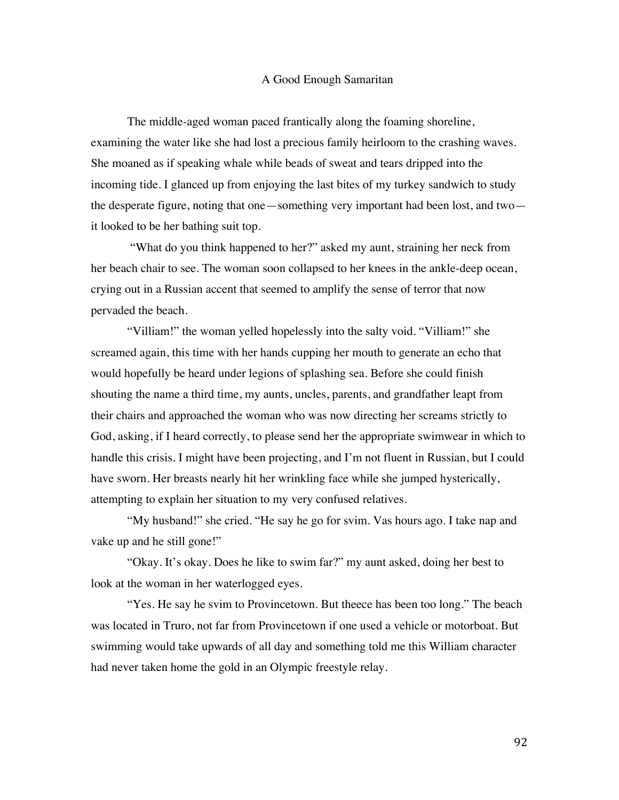## A Good Enough Samaritan

The middle-aged woman paced frantically along the foaming shoreline, examining the water like she had lost a precious family heirloom to the crashing waves. She moaned as if speaking whale while beads of sweat and tears dripped into the incoming tide. I glanced up from enjoying the last bites of my turkey sandwich to study the desperate figure, noting that one—something very important had been lost, and two it looked to be her bathing suit top.

"What do you think happened to her?" asked my aunt, straining her neck from her beach chair to see. The woman soon collapsed to her knees in the ankle-deep ocean, crying out in a Russian accent that seemed to amplify the sense of terror that now pervaded the beach.

"Villiam!" the woman yelled hopelessly into the salty void. "Villiam!" she screamed again, this time with her hands cupping her mouth to generate an echo that would hopefully be heard under legions of splashing sea. Before she could finish shouting the name a third time, my aunts, uncles, parents, and grandfather leapt from their chairs and approached the woman who was now directing her screams strictly to God, asking, if I heard correctly, to please send her the appropriate swimwear in which to handle this crisis. I might have been projecting, and I'm not fluent in Russian, but I could have sworn. Her breasts nearly hit her wrinkling face while she jumped hysterically, attempting to explain her situation to my very confused relatives.

"My husband!" she cried. "He say he go for svim. Vas hours ago. I take nap and vake up and he still gone!"

"Okay. It's okay. Does he like to swim far?" my aunt asked, doing her best to look at the woman in her waterlogged eyes.

"Yes. He say he svim to Provincetown. But theece has been too long." The beach was located in Truro, not far from Provincetown if one used a vehicle or motorboat. But swimming would take upwards of all day and something told me this William character had never taken home the gold in an Olympic freestyle relay.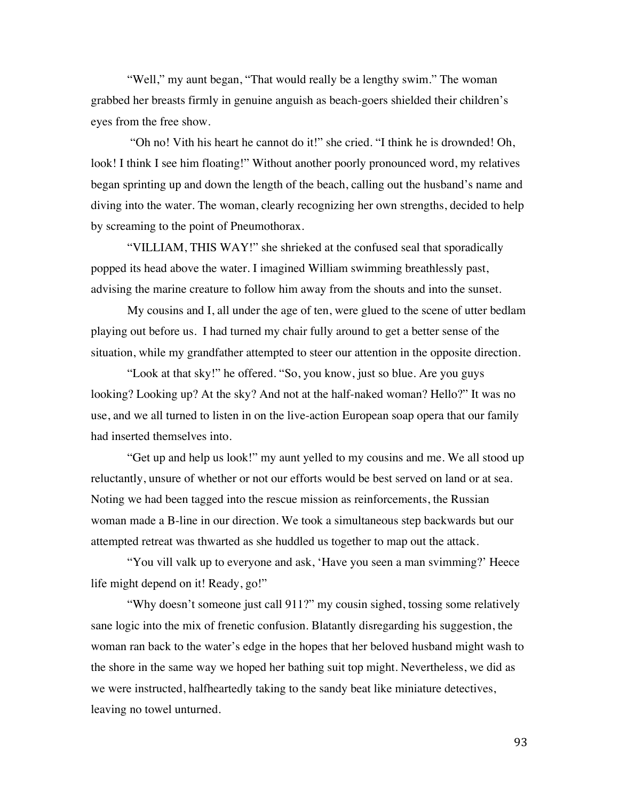"Well," my aunt began, "That would really be a lengthy swim." The woman grabbed her breasts firmly in genuine anguish as beach-goers shielded their children's eyes from the free show.

"Oh no! Vith his heart he cannot do it!" she cried. "I think he is drownded! Oh, look! I think I see him floating!" Without another poorly pronounced word, my relatives began sprinting up and down the length of the beach, calling out the husband's name and diving into the water. The woman, clearly recognizing her own strengths, decided to help by screaming to the point of Pneumothorax.

"VILLIAM, THIS WAY!" she shrieked at the confused seal that sporadically popped its head above the water. I imagined William swimming breathlessly past, advising the marine creature to follow him away from the shouts and into the sunset.

My cousins and I, all under the age of ten, were glued to the scene of utter bedlam playing out before us. I had turned my chair fully around to get a better sense of the situation, while my grandfather attempted to steer our attention in the opposite direction.

"Look at that sky!" he offered. "So, you know, just so blue. Are you guys looking? Looking up? At the sky? And not at the half-naked woman? Hello?" It was no use, and we all turned to listen in on the live-action European soap opera that our family had inserted themselves into.

"Get up and help us look!" my aunt yelled to my cousins and me. We all stood up reluctantly, unsure of whether or not our efforts would be best served on land or at sea. Noting we had been tagged into the rescue mission as reinforcements, the Russian woman made a B-line in our direction. We took a simultaneous step backwards but our attempted retreat was thwarted as she huddled us together to map out the attack.

"You vill valk up to everyone and ask, 'Have you seen a man svimming?' Heece life might depend on it! Ready, go!"

"Why doesn't someone just call 911?" my cousin sighed, tossing some relatively sane logic into the mix of frenetic confusion. Blatantly disregarding his suggestion, the woman ran back to the water's edge in the hopes that her beloved husband might wash to the shore in the same way we hoped her bathing suit top might. Nevertheless, we did as we were instructed, halfheartedly taking to the sandy beat like miniature detectives, leaving no towel unturned.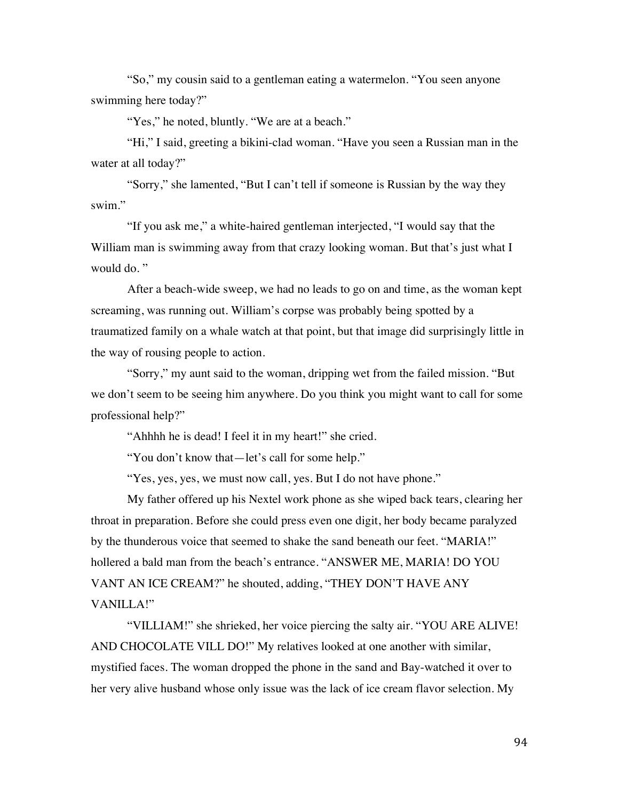"So," my cousin said to a gentleman eating a watermelon. "You seen anyone swimming here today?"

"Yes," he noted, bluntly. "We are at a beach."

"Hi," I said, greeting a bikini-clad woman. "Have you seen a Russian man in the water at all today?"

"Sorry," she lamented, "But I can't tell if someone is Russian by the way they swim."

"If you ask me," a white-haired gentleman interjected, "I would say that the William man is swimming away from that crazy looking woman. But that's just what I would do."

After a beach-wide sweep, we had no leads to go on and time, as the woman kept screaming, was running out. William's corpse was probably being spotted by a traumatized family on a whale watch at that point, but that image did surprisingly little in the way of rousing people to action.

"Sorry," my aunt said to the woman, dripping wet from the failed mission. "But we don't seem to be seeing him anywhere. Do you think you might want to call for some professional help?"

"Ahhhh he is dead! I feel it in my heart!" she cried.

"You don't know that—let's call for some help."

"Yes, yes, yes, we must now call, yes. But I do not have phone."

My father offered up his Nextel work phone as she wiped back tears, clearing her throat in preparation. Before she could press even one digit, her body became paralyzed by the thunderous voice that seemed to shake the sand beneath our feet. "MARIA!" hollered a bald man from the beach's entrance. "ANSWER ME, MARIA! DO YOU VANT AN ICE CREAM?" he shouted, adding, "THEY DON'T HAVE ANY VANILLA!"

"VILLIAM!" she shrieked, her voice piercing the salty air. "YOU ARE ALIVE! AND CHOCOLATE VILL DO!" My relatives looked at one another with similar, mystified faces. The woman dropped the phone in the sand and Bay-watched it over to her very alive husband whose only issue was the lack of ice cream flavor selection. My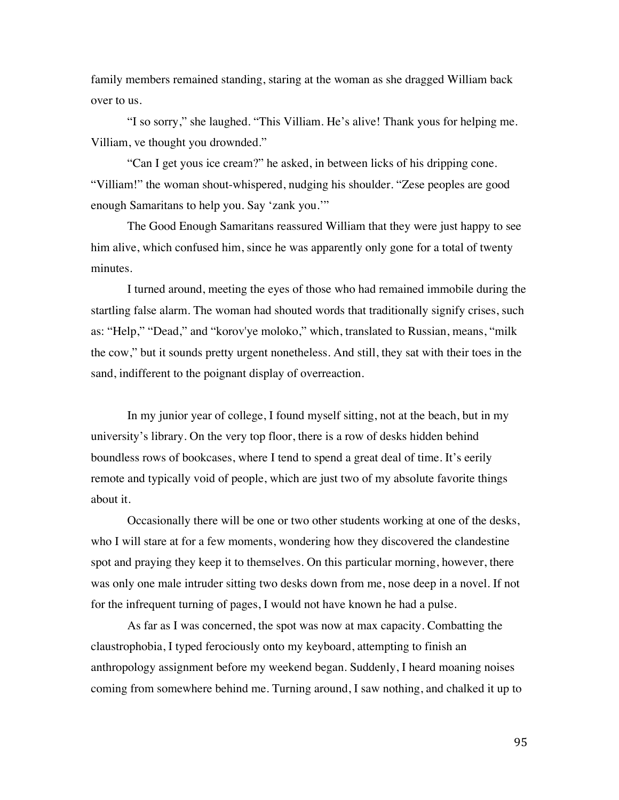family members remained standing, staring at the woman as she dragged William back over to us.

"I so sorry," she laughed. "This Villiam. He's alive! Thank yous for helping me. Villiam, ve thought you drownded."

"Can I get yous ice cream?" he asked, in between licks of his dripping cone. "Villiam!" the woman shout-whispered, nudging his shoulder. "Zese peoples are good enough Samaritans to help you. Say 'zank you.'"

The Good Enough Samaritans reassured William that they were just happy to see him alive, which confused him, since he was apparently only gone for a total of twenty minutes.

I turned around, meeting the eyes of those who had remained immobile during the startling false alarm. The woman had shouted words that traditionally signify crises, such as: "Help," "Dead," and "korov'ye moloko," which, translated to Russian, means, "milk the cow," but it sounds pretty urgent nonetheless. And still, they sat with their toes in the sand, indifferent to the poignant display of overreaction.

In my junior year of college, I found myself sitting, not at the beach, but in my university's library. On the very top floor, there is a row of desks hidden behind boundless rows of bookcases, where I tend to spend a great deal of time. It's eerily remote and typically void of people, which are just two of my absolute favorite things about it.

Occasionally there will be one or two other students working at one of the desks, who I will stare at for a few moments, wondering how they discovered the clandestine spot and praying they keep it to themselves. On this particular morning, however, there was only one male intruder sitting two desks down from me, nose deep in a novel. If not for the infrequent turning of pages, I would not have known he had a pulse.

As far as I was concerned, the spot was now at max capacity. Combatting the claustrophobia, I typed ferociously onto my keyboard, attempting to finish an anthropology assignment before my weekend began. Suddenly, I heard moaning noises coming from somewhere behind me. Turning around, I saw nothing, and chalked it up to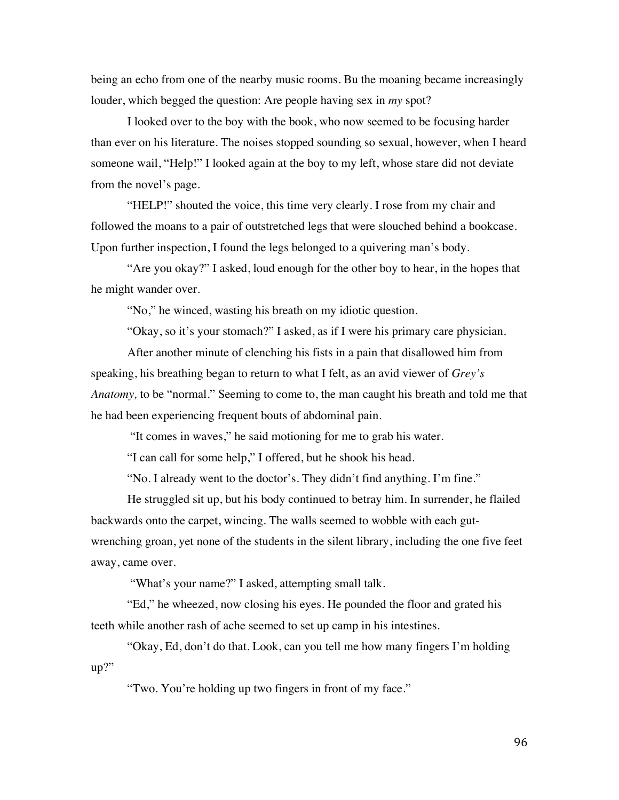being an echo from one of the nearby music rooms. Bu the moaning became increasingly louder, which begged the question: Are people having sex in *my* spot?

I looked over to the boy with the book, who now seemed to be focusing harder than ever on his literature. The noises stopped sounding so sexual, however, when I heard someone wail, "Help!" I looked again at the boy to my left, whose stare did not deviate from the novel's page.

"HELP!" shouted the voice, this time very clearly. I rose from my chair and followed the moans to a pair of outstretched legs that were slouched behind a bookcase. Upon further inspection, I found the legs belonged to a quivering man's body.

"Are you okay?" I asked, loud enough for the other boy to hear, in the hopes that he might wander over.

"No," he winced, wasting his breath on my idiotic question.

"Okay, so it's your stomach?" I asked, as if I were his primary care physician.

After another minute of clenching his fists in a pain that disallowed him from speaking, his breathing began to return to what I felt, as an avid viewer of *Grey's Anatomy,* to be "normal." Seeming to come to, the man caught his breath and told me that he had been experiencing frequent bouts of abdominal pain.

"It comes in waves," he said motioning for me to grab his water.

"I can call for some help," I offered, but he shook his head.

"No. I already went to the doctor's. They didn't find anything. I'm fine."

He struggled sit up, but his body continued to betray him. In surrender, he flailed backwards onto the carpet, wincing. The walls seemed to wobble with each gutwrenching groan, yet none of the students in the silent library, including the one five feet away, came over.

"What's your name?" I asked, attempting small talk.

"Ed," he wheezed, now closing his eyes. He pounded the floor and grated his teeth while another rash of ache seemed to set up camp in his intestines.

"Okay, Ed, don't do that. Look, can you tell me how many fingers I'm holding up?"

"Two. You're holding up two fingers in front of my face."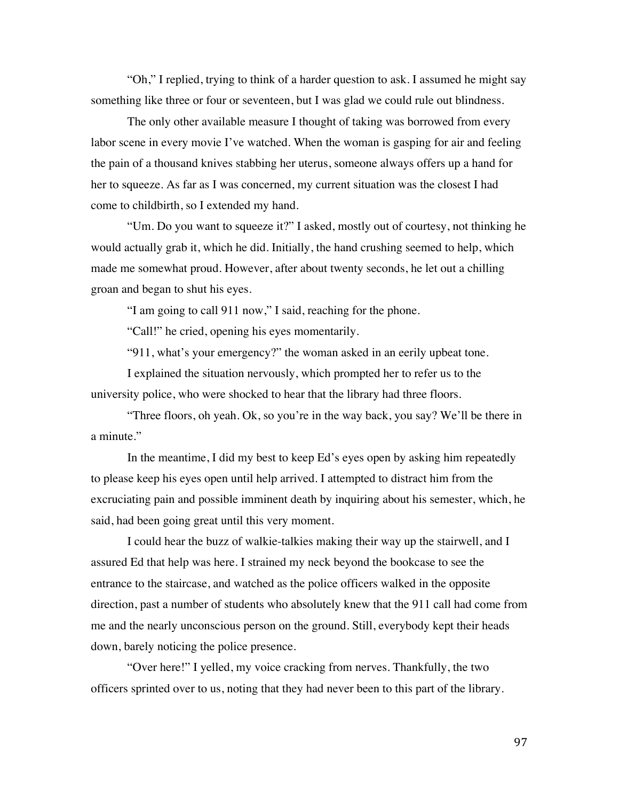"Oh," I replied, trying to think of a harder question to ask. I assumed he might say something like three or four or seventeen, but I was glad we could rule out blindness.

The only other available measure I thought of taking was borrowed from every labor scene in every movie I've watched. When the woman is gasping for air and feeling the pain of a thousand knives stabbing her uterus, someone always offers up a hand for her to squeeze. As far as I was concerned, my current situation was the closest I had come to childbirth, so I extended my hand.

"Um. Do you want to squeeze it?" I asked, mostly out of courtesy, not thinking he would actually grab it, which he did. Initially, the hand crushing seemed to help, which made me somewhat proud. However, after about twenty seconds, he let out a chilling groan and began to shut his eyes.

"I am going to call 911 now," I said, reaching for the phone.

"Call!" he cried, opening his eyes momentarily.

"911, what's your emergency?" the woman asked in an eerily upbeat tone.

I explained the situation nervously, which prompted her to refer us to the university police, who were shocked to hear that the library had three floors.

"Three floors, oh yeah. Ok, so you're in the way back, you say? We'll be there in a minute."

In the meantime, I did my best to keep Ed's eyes open by asking him repeatedly to please keep his eyes open until help arrived. I attempted to distract him from the excruciating pain and possible imminent death by inquiring about his semester, which, he said, had been going great until this very moment.

I could hear the buzz of walkie-talkies making their way up the stairwell, and I assured Ed that help was here. I strained my neck beyond the bookcase to see the entrance to the staircase, and watched as the police officers walked in the opposite direction, past a number of students who absolutely knew that the 911 call had come from me and the nearly unconscious person on the ground. Still, everybody kept their heads down, barely noticing the police presence.

"Over here!" I yelled, my voice cracking from nerves. Thankfully, the two officers sprinted over to us, noting that they had never been to this part of the library.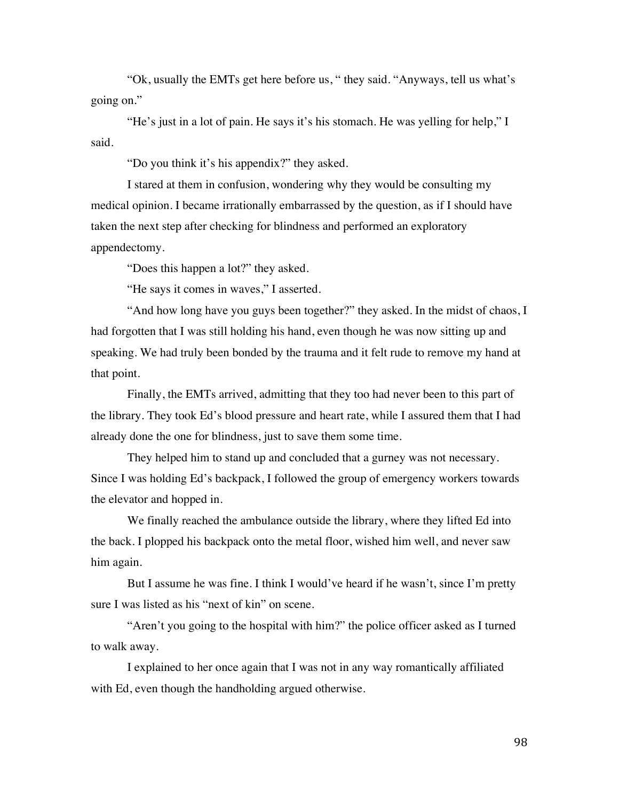"Ok, usually the EMTs get here before us, " they said. "Anyways, tell us what's going on."

"He's just in a lot of pain. He says it's his stomach. He was yelling for help," I said.

"Do you think it's his appendix?" they asked.

I stared at them in confusion, wondering why they would be consulting my medical opinion. I became irrationally embarrassed by the question, as if I should have taken the next step after checking for blindness and performed an exploratory appendectomy.

"Does this happen a lot?" they asked.

"He says it comes in waves," I asserted.

"And how long have you guys been together?" they asked. In the midst of chaos, I had forgotten that I was still holding his hand, even though he was now sitting up and speaking. We had truly been bonded by the trauma and it felt rude to remove my hand at that point.

Finally, the EMTs arrived, admitting that they too had never been to this part of the library. They took Ed's blood pressure and heart rate, while I assured them that I had already done the one for blindness, just to save them some time.

They helped him to stand up and concluded that a gurney was not necessary. Since I was holding Ed's backpack, I followed the group of emergency workers towards the elevator and hopped in.

We finally reached the ambulance outside the library, where they lifted Ed into the back. I plopped his backpack onto the metal floor, wished him well, and never saw him again.

But I assume he was fine. I think I would've heard if he wasn't, since I'm pretty sure I was listed as his "next of kin" on scene.

"Aren't you going to the hospital with him?" the police officer asked as I turned to walk away.

I explained to her once again that I was not in any way romantically affiliated with Ed, even though the handholding argued otherwise.